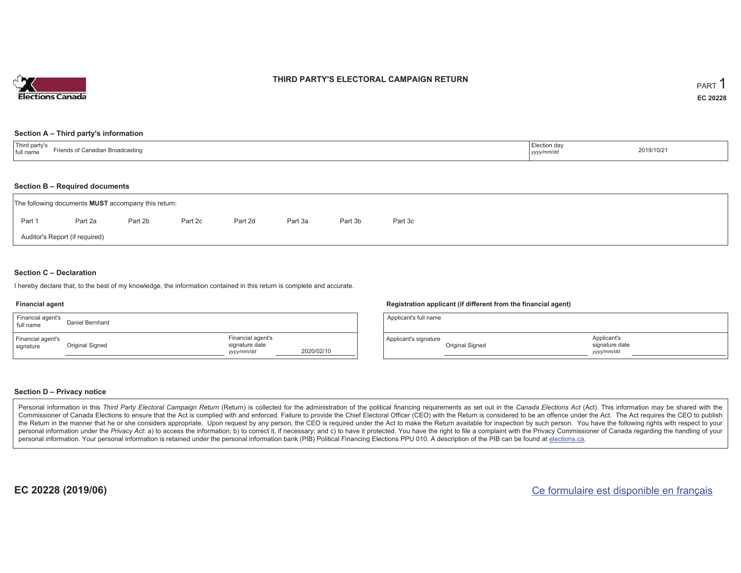

#### **THIRD PARTY'S ELECTORAL CAMPAIGN RETURN**

#### **Section A – Third party's information**

| <sup>'</sup> Third party s<br>$  -$<br>roadcastino<br>l full<br>rienas d<br>$\mathbf{L}$<br>name | Election day<br>yyyymm/ac | 2019/10/21 |
|--------------------------------------------------------------------------------------------------|---------------------------|------------|
|--------------------------------------------------------------------------------------------------|---------------------------|------------|

#### **Section B – Required documents**

|        | The following documents <b>MUST</b> accompany this return: |         |         |         |         |         |         |  |
|--------|------------------------------------------------------------|---------|---------|---------|---------|---------|---------|--|
| Part 1 | Part 2a                                                    | Part 2b | Part 2c | Part 2d | Part 3a | Part 3b | Part 3c |  |
|        | Auditor's Report (if required)                             |         |         |         |         |         |         |  |

#### **Section C – Declaration**

I hereby declare that, to the best of my knowledge, the information contained in this return is complete and accurate.

#### **Financial agent**

| Financial agent's<br>full name | Daniel Bernhard |                                                   |            |
|--------------------------------|-----------------|---------------------------------------------------|------------|
| Financial agent's<br>signature | Original Signed | Financial agent's<br>signature date<br>yyyy/mm/dd | 2020/02/10 |

#### **Registration applicant (if different from the financial agent)**

| Applicant's full name |                 |                                             |  |
|-----------------------|-----------------|---------------------------------------------|--|
| Applicant's signature | Original Signed | Applicant's<br>signature date<br>yyyy/mm/dd |  |

#### **Section D – Privacy notice**

Personal information in this Third Party Electoral Campaign Return (Return) is collected for the administration of the political financing requirements as set out in the Canada Elections Act (Act). This information may be Commissioner of Canada Elections to ensure that the Act is complied with and enforced. Failure to provide the Chief Electoral Officer (CEO) with the Return is considered to be an offence under the Act. The Act requires the the Return in the manner that he or she considers appropriate. Upon request by any person, the CEO is required under the Act to make the Return available for inspection by such person. You have the following rights with re personal information under the Privacy Act: a) to access the information; b) to correct it, if necessary; and c) to have it protected. You have the right to file a complaint with the Privacy Commissioner of Canada regardin personal information. Your personal information is retained under the personal information bank (PIB) Political Financing Elections PPU 010. A description of the PIB can be found at elections.ca.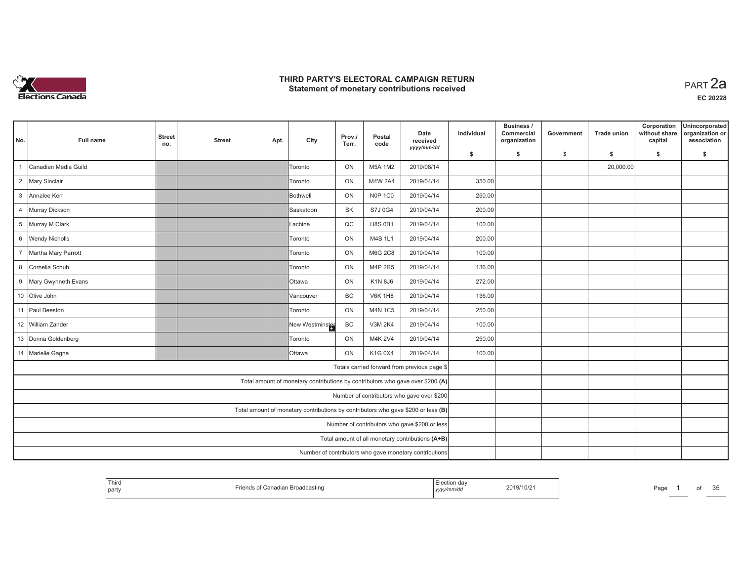

| No.            | Full name             | <b>Street</b><br>no. | <b>Street</b> | Apt. | City                                                                              | Prov./<br>Terr. | Postal<br>code | Date<br>received<br>yyyy/mm/dd                         | Individual | Business /<br>Commercial<br>organization | Government | <b>Trade union</b> | Corporation<br>without share<br>capital | Unincorporated<br>organization or<br>association |
|----------------|-----------------------|----------------------|---------------|------|-----------------------------------------------------------------------------------|-----------------|----------------|--------------------------------------------------------|------------|------------------------------------------|------------|--------------------|-----------------------------------------|--------------------------------------------------|
|                |                       |                      |               |      |                                                                                   |                 |                |                                                        | \$         | s.                                       | -\$        | -\$                | \$                                      | s.                                               |
|                | Canadian Media Guild  |                      |               |      | Toronto                                                                           | ON              | M5A 1M2        | 2019/08/14                                             |            |                                          |            | 20,000.00          |                                         |                                                  |
|                | 2 Mary Sinclair       |                      |               |      | <b>Toronto</b>                                                                    | ON              | M4W 2A4        | 2019/04/14                                             | 350.00     |                                          |            |                    |                                         |                                                  |
|                | 3 Annalee Kerr        |                      |               |      | Bothwell                                                                          | ON              | <b>N0P 1C0</b> | 2019/04/14                                             | 250.00     |                                          |            |                    |                                         |                                                  |
| $\overline{4}$ | Murray Dickson        |                      |               |      | Saskatoon                                                                         | SK              | S7J 0G4        | 2019/04/14                                             | 200.00     |                                          |            |                    |                                         |                                                  |
|                | 5 Murray M Clark      |                      |               |      | Lachine                                                                           | QC              | <b>H8S 0B1</b> | 2019/04/14                                             | 100.00     |                                          |            |                    |                                         |                                                  |
|                | 6 Wendy Nicholls      |                      |               |      | Toronto                                                                           | ON              | M4S 1L1        | 2019/04/14                                             | 200.00     |                                          |            |                    |                                         |                                                  |
| $7^{\circ}$    | Martha Mary Parrott   |                      |               |      | Toronto                                                                           | ON              | <b>M6G 2C8</b> | 2019/04/14                                             | 100.00     |                                          |            |                    |                                         |                                                  |
|                | 8 Cornelia Schuh      |                      |               |      | Toronto                                                                           | ON              | M4P 2R5        | 2019/04/14                                             | 136.00     |                                          |            |                    |                                         |                                                  |
|                | 9 Mary Gwynneth Evans |                      |               |      | <b>Ottawa</b>                                                                     | ON              | K1N 8J6        | 2019/04/14                                             | 272.00     |                                          |            |                    |                                         |                                                  |
|                | 10 Olive John         |                      |               |      | Vancouver                                                                         | <b>BC</b>       | <b>V6K 1H8</b> | 2019/04/14                                             | 136.00     |                                          |            |                    |                                         |                                                  |
|                | 11 Paul Beeston       |                      |               |      | Toronto                                                                           | ON              | <b>M4N 1C5</b> | 2019/04/14                                             | 250.00     |                                          |            |                    |                                         |                                                  |
|                | 12 William Zander     |                      |               |      | New Westminster                                                                   | BC              | <b>V3M 2K4</b> | 2019/04/14                                             | 100.00     |                                          |            |                    |                                         |                                                  |
|                | 13 Donna Goldenberg   |                      |               |      | Toronto                                                                           | ON              | M4K 2V4        | 2019/04/14                                             | 250.00     |                                          |            |                    |                                         |                                                  |
|                | 14 Marielle Gagne     |                      |               |      | <b>Ottawa</b>                                                                     | ON              | K1G 0X4        | 2019/04/14                                             | 100.00     |                                          |            |                    |                                         |                                                  |
|                |                       |                      |               |      |                                                                                   |                 |                | Totals carried forward from previous page \$           |            |                                          |            |                    |                                         |                                                  |
|                |                       |                      |               |      | Total amount of monetary contributions by contributors who gave over \$200 (A)    |                 |                |                                                        |            |                                          |            |                    |                                         |                                                  |
|                |                       |                      |               |      |                                                                                   |                 |                | Number of contributors who gave over \$200             |            |                                          |            |                    |                                         |                                                  |
|                |                       |                      |               |      | Total amount of monetary contributions by contributors who gave \$200 or less (B) |                 |                |                                                        |            |                                          |            |                    |                                         |                                                  |
|                |                       |                      |               |      |                                                                                   |                 |                | Number of contributors who gave \$200 or less          |            |                                          |            |                    |                                         |                                                  |
|                |                       |                      |               |      |                                                                                   |                 |                | Total amount of all monetary contributions (A+B)       |            |                                          |            |                    |                                         |                                                  |
|                |                       |                      |               |      |                                                                                   |                 |                | Number of contributors who gave monetary contributions |            |                                          |            |                    |                                         |                                                  |

| Third<br>the company's company's company's<br><sup>1</sup> party | adian<br>Broadcasting | 2019/10/2<br>.<br>, уууулт | $\sim$ $\sim$<br>Page<br>em<br>ΟI<br>. |
|------------------------------------------------------------------|-----------------------|----------------------------|----------------------------------------|
|------------------------------------------------------------------|-----------------------|----------------------------|----------------------------------------|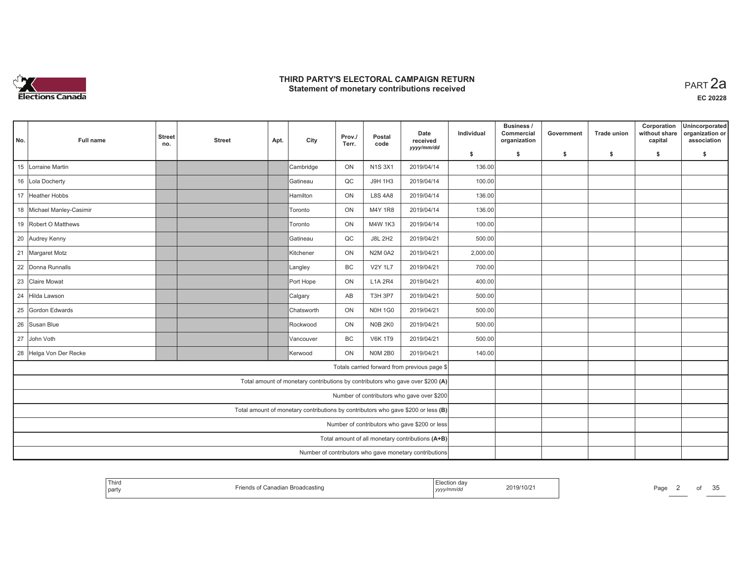

| No. | <b>Full name</b>          | <b>Street</b><br>no. | <b>Street</b> | Apt. | City                                                                              | Prov./<br>Terr. | Postal<br>code | Date<br>received<br>yyyy/mm/dd                         | Individual | Business /<br>Commercial<br>organization | Government | <b>Trade union</b> | Corporation<br>without share<br>capital | Unincorporated<br>organization or<br>association |
|-----|---------------------------|----------------------|---------------|------|-----------------------------------------------------------------------------------|-----------------|----------------|--------------------------------------------------------|------------|------------------------------------------|------------|--------------------|-----------------------------------------|--------------------------------------------------|
|     |                           |                      |               |      |                                                                                   |                 |                |                                                        | \$         | s.                                       | -\$        | -\$                | \$                                      | \$                                               |
| 15  | Lorraine Martin           |                      |               |      | Cambridge                                                                         | ON              | <b>N1S3X1</b>  | 2019/04/14                                             | 136.00     |                                          |            |                    |                                         |                                                  |
|     | 16 Lola Docherty          |                      |               |      | IGatineau                                                                         | QC              | J9H 1H3        | 2019/04/14                                             | 100.00     |                                          |            |                    |                                         |                                                  |
|     | 17 Heather Hobbs          |                      |               |      | <b>Hamilton</b>                                                                   | ON              | <b>L8S 4A8</b> | 2019/04/14                                             | 136.00     |                                          |            |                    |                                         |                                                  |
|     | 18 Michael Manley-Casimir |                      |               |      | Toronto                                                                           | ON              | M4Y 1R8        | 2019/04/14                                             | 136.00     |                                          |            |                    |                                         |                                                  |
|     | 19 Robert O Matthews      |                      |               |      | Toronto                                                                           | ON              | M4W 1K3        | 2019/04/14                                             | 100.00     |                                          |            |                    |                                         |                                                  |
|     | 20 Audrey Kenny           |                      |               |      | Gatineau                                                                          | QC              | <b>J8L 2H2</b> | 2019/04/21                                             | 500.00     |                                          |            |                    |                                         |                                                  |
|     | 21 Margaret Motz          |                      |               |      | <b>Kitchener</b>                                                                  | ON              | <b>N2M 0A2</b> | 2019/04/21                                             | 2,000.00   |                                          |            |                    |                                         |                                                  |
|     | 22 Donna Runnalls         |                      |               |      | Langley                                                                           | BC              | <b>V2Y 1L7</b> | 2019/04/21                                             | 700.00     |                                          |            |                    |                                         |                                                  |
|     | 23 Claire Mowat           |                      |               |      | Port Hope                                                                         | ON              | <b>L1A 2R4</b> | 2019/04/21                                             | 400.00     |                                          |            |                    |                                         |                                                  |
| 24  | Hilda Lawson              |                      |               |      | Calgary                                                                           | AB              | <b>T3H 3P7</b> | 2019/04/21                                             | 500.00     |                                          |            |                    |                                         |                                                  |
|     | 25 Gordon Edwards         |                      |               |      | Chatsworth                                                                        | ON              | <b>N0H 1G0</b> | 2019/04/21                                             | 500.00     |                                          |            |                    |                                         |                                                  |
|     | 26 Susan Blue             |                      |               |      | Rockwood                                                                          | ON              | <b>N0B 2K0</b> | 2019/04/21                                             | 500.00     |                                          |            |                    |                                         |                                                  |
|     | 27 John Voth              |                      |               |      | Vancouver                                                                         | BC              | <b>V6K 1T9</b> | 2019/04/21                                             | 500.00     |                                          |            |                    |                                         |                                                  |
|     | 28 Helga Von Der Recke    |                      |               |      | <b>Kerwood</b>                                                                    | ON              | <b>NOM 2B0</b> | 2019/04/21                                             | 140.00     |                                          |            |                    |                                         |                                                  |
|     |                           |                      |               |      |                                                                                   |                 |                | Totals carried forward from previous page \$           |            |                                          |            |                    |                                         |                                                  |
|     |                           |                      |               |      | Total amount of monetary contributions by contributors who gave over \$200 (A)    |                 |                |                                                        |            |                                          |            |                    |                                         |                                                  |
|     |                           |                      |               |      |                                                                                   |                 |                | Number of contributors who gave over \$200             |            |                                          |            |                    |                                         |                                                  |
|     |                           |                      |               |      | Total amount of monetary contributions by contributors who gave \$200 or less (B) |                 |                |                                                        |            |                                          |            |                    |                                         |                                                  |
|     |                           |                      |               |      |                                                                                   |                 |                | Number of contributors who gave \$200 or less          |            |                                          |            |                    |                                         |                                                  |
|     |                           |                      |               |      |                                                                                   |                 |                | Total amount of all monetary contributions (A+B)       |            |                                          |            |                    |                                         |                                                  |
|     |                           |                      |               |      |                                                                                   |                 |                | Number of contributors who gave monetary contributions |            |                                          |            |                    |                                         |                                                  |

| Third<br><sub>d</sub> o<br>EICUUI<br>ua<br>2019/10/2<br>Page<br>⊿dian Broadcasting<br>part<br><i>""mm</i> /au<br>, yyyyıı |  |  |  | OI | $\sim$ $\sim$<br>w |
|---------------------------------------------------------------------------------------------------------------------------|--|--|--|----|--------------------|
|---------------------------------------------------------------------------------------------------------------------------|--|--|--|----|--------------------|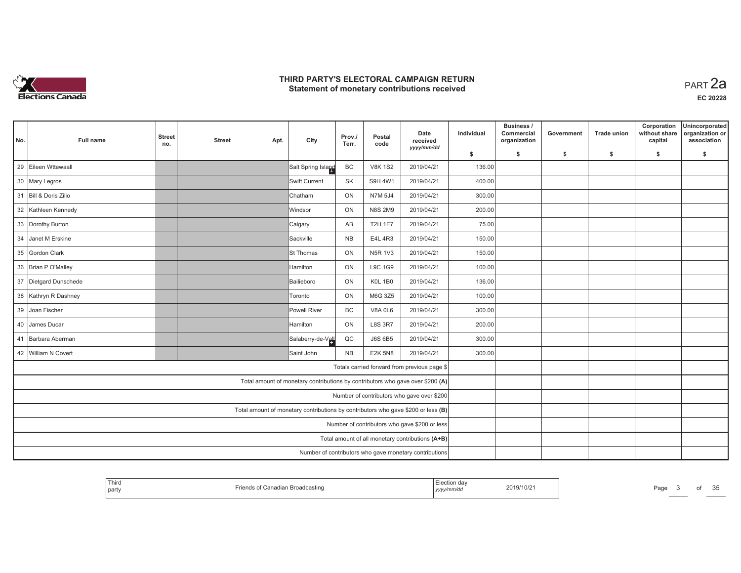

| No. | <b>Full name</b>      | <b>Street</b><br>no. | <b>Street</b> | Apt. | City                                                                              | Prov./<br>Terr. | Postal<br>code | Date<br>received<br>yyyy/mm/dd                         | Individual | Business /<br>Commercial<br>organization | Government | <b>Trade union</b> | Corporation<br>without share<br>capital | Unincorporated<br>organization or<br>association |
|-----|-----------------------|----------------------|---------------|------|-----------------------------------------------------------------------------------|-----------------|----------------|--------------------------------------------------------|------------|------------------------------------------|------------|--------------------|-----------------------------------------|--------------------------------------------------|
|     |                       |                      |               |      |                                                                                   |                 |                |                                                        | \$         | s.                                       | -\$        | -\$                | \$                                      | \$                                               |
| 29  | Eileen Wttewaall      |                      |               |      | Salt Spring Island                                                                | BC              | <b>V8K 1S2</b> | 2019/04/21                                             | 136.00     |                                          |            |                    |                                         |                                                  |
|     | 30 Mary Legros        |                      |               |      | Swift Current                                                                     | <b>SK</b>       | <b>S9H 4W1</b> | 2019/04/21                                             | 400.00     |                                          |            |                    |                                         |                                                  |
|     | 31 Bill & Doris Zilio |                      |               |      | <b>Chatham</b>                                                                    | ON              | <b>N7M 5J4</b> | 2019/04/21                                             | 300.00     |                                          |            |                    |                                         |                                                  |
|     | 32 Kathleen Kennedy   |                      |               |      | Windsor                                                                           | ON              | <b>N8S 2M9</b> | 2019/04/21                                             | 200.00     |                                          |            |                    |                                         |                                                  |
|     | 33 Dorothy Burton     |                      |               |      | Calgary                                                                           | AB              | <b>T2H 1E7</b> | 2019/04/21                                             | 75.00      |                                          |            |                    |                                         |                                                  |
| 34  | Janet M Erskine       |                      |               |      | Sackville                                                                         | <b>NB</b>       | E4L 4R3        | 2019/04/21                                             | 150.00     |                                          |            |                    |                                         |                                                  |
|     | 35 Gordon Clark       |                      |               |      | <b>St Thomas</b>                                                                  | ON              | <b>N5R 1V3</b> | 2019/04/21                                             | 150.00     |                                          |            |                    |                                         |                                                  |
|     | 36 Brian P O'Malley   |                      |               |      | Hamilton                                                                          | ON              | L9C 1G9        | 2019/04/21                                             | 100.00     |                                          |            |                    |                                         |                                                  |
|     | 37 Dietgard Dunschede |                      |               |      | Bailieboro                                                                        | ON              | <b>K0L 1B0</b> | 2019/04/21                                             | 136.00     |                                          |            |                    |                                         |                                                  |
|     | 38 Kathryn R Dashney  |                      |               |      | <b>Toronto</b>                                                                    | ON              | M6G 3Z5        | 2019/04/21                                             | 100.00     |                                          |            |                    |                                         |                                                  |
|     | 39 Joan Fischer       |                      |               |      | Powell River                                                                      | BC              | <b>V8A 0L6</b> | 2019/04/21                                             | 300.00     |                                          |            |                    |                                         |                                                  |
|     | 40 James Ducar        |                      |               |      | Hamilton                                                                          | ON              | <b>L8S 3R7</b> | 2019/04/21                                             | 200.00     |                                          |            |                    |                                         |                                                  |
|     | 41 Barbara Aberman    |                      |               |      | Salaberry-de-Vall                                                                 | $_{\rm QC}$     | <b>J6S 6B5</b> | 2019/04/21                                             | 300.00     |                                          |            |                    |                                         |                                                  |
|     | 42 William N Covert   |                      |               |      | Saint John                                                                        | NB              | <b>E2K 5N8</b> | 2019/04/21                                             | 300.00     |                                          |            |                    |                                         |                                                  |
|     |                       |                      |               |      |                                                                                   |                 |                | Totals carried forward from previous page \$           |            |                                          |            |                    |                                         |                                                  |
|     |                       |                      |               |      | Total amount of monetary contributions by contributors who gave over \$200 (A)    |                 |                |                                                        |            |                                          |            |                    |                                         |                                                  |
|     |                       |                      |               |      |                                                                                   |                 |                | Number of contributors who gave over \$200             |            |                                          |            |                    |                                         |                                                  |
|     |                       |                      |               |      | Total amount of monetary contributions by contributors who gave \$200 or less (B) |                 |                |                                                        |            |                                          |            |                    |                                         |                                                  |
|     |                       |                      |               |      |                                                                                   |                 |                | Number of contributors who gave \$200 or less          |            |                                          |            |                    |                                         |                                                  |
|     |                       |                      |               |      |                                                                                   |                 |                | Total amount of all monetary contributions (A+B)       |            |                                          |            |                    |                                         |                                                  |
|     |                       |                      |               |      |                                                                                   |                 |                | Number of contributors who gave monetary contributions |            |                                          |            |                    |                                         |                                                  |

| <b>Thiro</b><br>party | ⇔anagian Broadcasting | 2019/10/2<br>,,,,,,,<br>, уууулт | $\sim$ $\sim$<br>∼∼<br>OI<br>∽age<br>w |
|-----------------------|-----------------------|----------------------------------|----------------------------------------|
|-----------------------|-----------------------|----------------------------------|----------------------------------------|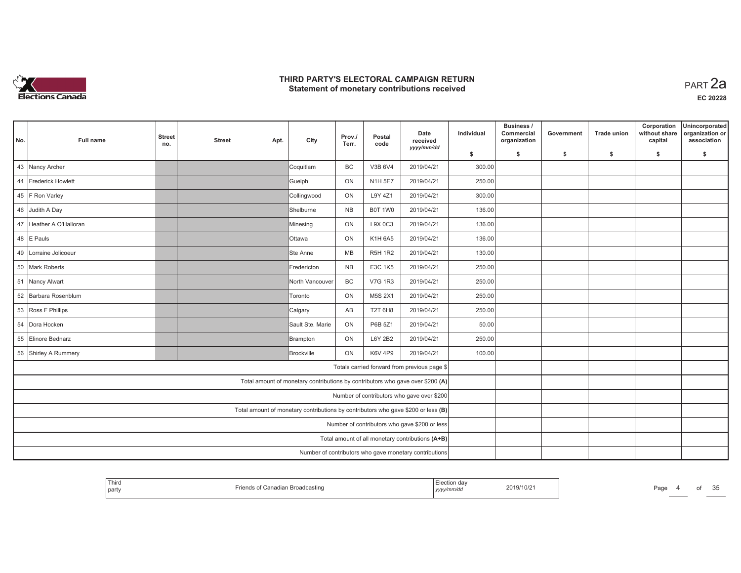

**EC 20228**

| No. | <b>Full name</b>        | <b>Street</b><br>no. | <b>Street</b> | Apt. | City                                                                              | Prov./<br>Terr. | Postal<br>code | Date<br>received<br>yyyy/mm/dd                         | Individual | Business /<br>Commercial<br>organization | Government | Trade union | Corporation<br>without share<br>capital | Unincorporated<br>organization or<br>association |
|-----|-------------------------|----------------------|---------------|------|-----------------------------------------------------------------------------------|-----------------|----------------|--------------------------------------------------------|------------|------------------------------------------|------------|-------------|-----------------------------------------|--------------------------------------------------|
|     |                         |                      |               |      |                                                                                   |                 |                |                                                        | \$         | s.                                       | -\$        | -\$         | \$                                      | \$                                               |
|     | 43 Nancy Archer         |                      |               |      | Coquitlam                                                                         | <b>BC</b>       | V3B 6V4        | 2019/04/21                                             | 300.00     |                                          |            |             |                                         |                                                  |
|     | 44 Frederick Howlett    |                      |               |      | Guelph                                                                            | ON              | <b>N1H 5E7</b> | 2019/04/21                                             | 250.00     |                                          |            |             |                                         |                                                  |
|     | 45 F Ron Varley         |                      |               |      | Collingwood                                                                       | ON              | L9Y 4Z1        | 2019/04/21                                             | 300.00     |                                          |            |             |                                         |                                                  |
|     | 46 Judith A Day         |                      |               |      | Shelburne                                                                         | <b>NB</b>       | <b>B0T 1W0</b> | 2019/04/21                                             | 136.00     |                                          |            |             |                                         |                                                  |
|     | 47 Heather A O'Halloran |                      |               |      | Minesing                                                                          | ON              | L9X 0C3        | 2019/04/21                                             | 136.00     |                                          |            |             |                                         |                                                  |
|     | 48 E Pauls              |                      |               |      | <b>Ottawa</b>                                                                     | ON              | K1H 6A5        | 2019/04/21                                             | 136.00     |                                          |            |             |                                         |                                                  |
| 49  | Lorraine Jolicoeur      |                      |               |      | Ste Anne                                                                          | MB              | <b>R5H 1R2</b> | 2019/04/21                                             | 130.00     |                                          |            |             |                                         |                                                  |
|     | 50 Mark Roberts         |                      |               |      | Fredericton                                                                       | <b>NB</b>       | E3C 1K5        | 2019/04/21                                             | 250.00     |                                          |            |             |                                         |                                                  |
|     | 51 Nancy Alwart         |                      |               |      | North Vancouver                                                                   | <b>BC</b>       | <b>V7G 1R3</b> | 2019/04/21                                             | 250.00     |                                          |            |             |                                         |                                                  |
|     | 52 Barbara Rosenblum    |                      |               |      | Toronto                                                                           | ON              | M5S 2X1        | 2019/04/21                                             | 250.00     |                                          |            |             |                                         |                                                  |
|     | 53 Ross F Phillips      |                      |               |      | Calgary                                                                           | AB              | T2T 6H8        | 2019/04/21                                             | 250.00     |                                          |            |             |                                         |                                                  |
|     | 54 Dora Hocken          |                      |               |      | Sault Ste. Marie                                                                  | ON              | P6B 5Z1        | 2019/04/21                                             | 50.00      |                                          |            |             |                                         |                                                  |
|     | 55 Elinore Bednarz      |                      |               |      | Brampton                                                                          | ON              | L6Y 2B2        | 2019/04/21                                             | 250.00     |                                          |            |             |                                         |                                                  |
|     | 56 Shirley A Rummery    |                      |               |      | Brockville                                                                        | ON              | <b>K6V 4P9</b> | 2019/04/21                                             | 100.00     |                                          |            |             |                                         |                                                  |
|     |                         |                      |               |      |                                                                                   |                 |                | Totals carried forward from previous page \$           |            |                                          |            |             |                                         |                                                  |
|     |                         |                      |               |      | Total amount of monetary contributions by contributors who gave over \$200 (A)    |                 |                |                                                        |            |                                          |            |             |                                         |                                                  |
|     |                         |                      |               |      |                                                                                   |                 |                | Number of contributors who gave over \$200             |            |                                          |            |             |                                         |                                                  |
|     |                         |                      |               |      | Total amount of monetary contributions by contributors who gave \$200 or less (B) |                 |                |                                                        |            |                                          |            |             |                                         |                                                  |
|     |                         |                      |               |      |                                                                                   |                 |                | Number of contributors who gave \$200 or less          |            |                                          |            |             |                                         |                                                  |
|     |                         |                      |               |      |                                                                                   |                 |                | Total amount of all monetary contributions (A+B)       |            |                                          |            |             |                                         |                                                  |
|     |                         |                      |               |      |                                                                                   |                 |                | Number of contributors who gave monetary contributions |            |                                          |            |             |                                         |                                                  |

| Third<br><b>Broadcasting</b><br>  party | ı dav<br>2019/10/2<br>,,,,,,<br>  ソソソソ | Page<br> | $\sim$<br>ΩŤ<br>w |
|-----------------------------------------|----------------------------------------|----------|-------------------|
|-----------------------------------------|----------------------------------------|----------|-------------------|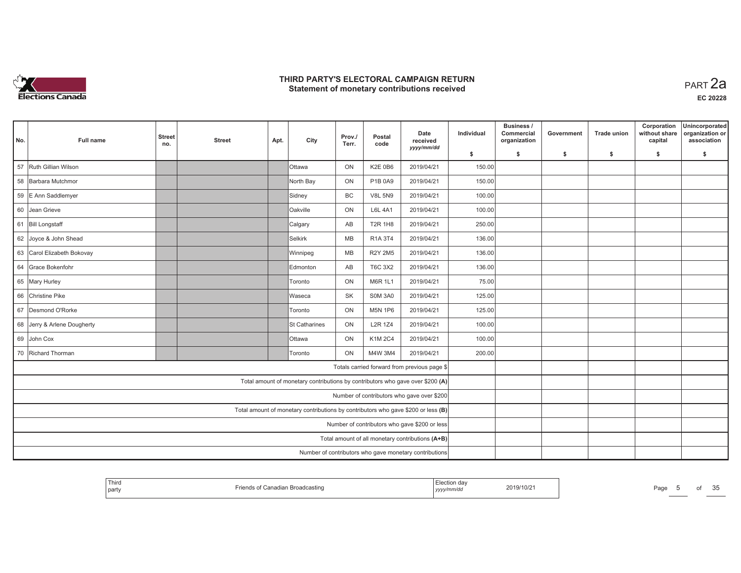

**EC 20228**

| No.                                              | Full name                                                                         | <b>Street</b><br>no. | <b>Street</b> | Apt. | City           | Prov./<br>Terr. | Postal<br>code | Date<br>received                                                               | Individual | Business /<br>Commercial<br>organization | Government | <b>Trade union</b> | Corporation<br>without share<br>capital | Unincorporated<br>organization or<br>association |
|--------------------------------------------------|-----------------------------------------------------------------------------------|----------------------|---------------|------|----------------|-----------------|----------------|--------------------------------------------------------------------------------|------------|------------------------------------------|------------|--------------------|-----------------------------------------|--------------------------------------------------|
|                                                  |                                                                                   |                      |               |      |                |                 |                | yyyy/mm/dd                                                                     | \$         | s.                                       | \$         | -S                 | \$                                      | s.                                               |
| 57                                               | Ruth Gillian Wilson                                                               |                      |               |      | Ottawa         | ON              | <b>K2E 0B6</b> | 2019/04/21                                                                     | 150.00     |                                          |            |                    |                                         |                                                  |
| 58                                               | Barbara Mutchmor                                                                  |                      |               |      | North Bay      | ON              | P1B 0A9        | 2019/04/21                                                                     | 150.00     |                                          |            |                    |                                         |                                                  |
|                                                  | 59 E Ann Saddlemyer                                                               |                      |               |      | Sidney         | BC              | <b>V8L 5N9</b> | 2019/04/21                                                                     | 100.00     |                                          |            |                    |                                         |                                                  |
|                                                  | 60 Jean Grieve                                                                    |                      |               |      | Oakville       | ON              | <b>L6L 4A1</b> | 2019/04/21                                                                     | 100.00     |                                          |            |                    |                                         |                                                  |
|                                                  | 61 Bill Longstaff                                                                 |                      |               |      | Calgary        | AB              | <b>T2R 1H8</b> | 2019/04/21                                                                     | 250.00     |                                          |            |                    |                                         |                                                  |
|                                                  | 62 Joyce & John Shead                                                             |                      |               |      | <b>Selkirk</b> | <b>MB</b>       | R1A 3T4        | 2019/04/21                                                                     | 136.00     |                                          |            |                    |                                         |                                                  |
| 63                                               | Carol Elizabeth Bokovay                                                           |                      |               |      | Winnipeg       | MB              | <b>R2Y 2M5</b> | 2019/04/21                                                                     | 136.00     |                                          |            |                    |                                         |                                                  |
| 64                                               | Grace Bokenfohr                                                                   |                      |               |      | Edmonton       | AB              | T6C 3X2        | 2019/04/21                                                                     | 136.00     |                                          |            |                    |                                         |                                                  |
|                                                  | 65 Mary Hurley                                                                    |                      |               |      | Toronto        | ON              | <b>M6R 1L1</b> | 2019/04/21                                                                     | 75.00      |                                          |            |                    |                                         |                                                  |
|                                                  | 66 Christine Pike                                                                 |                      |               |      | Waseca         | <b>SK</b>       | <b>S0M 3A0</b> | 2019/04/21                                                                     | 125.00     |                                          |            |                    |                                         |                                                  |
| 67                                               | Desmond O'Rorke                                                                   |                      |               |      | Toronto        | ON              | <b>M5N 1P6</b> | 2019/04/21                                                                     | 125.00     |                                          |            |                    |                                         |                                                  |
|                                                  | 68 Jerry & Arlene Dougherty                                                       |                      |               |      | St Catharines  | ON              | <b>L2R 1Z4</b> | 2019/04/21                                                                     | 100.00     |                                          |            |                    |                                         |                                                  |
|                                                  | 69 John Cox                                                                       |                      |               |      | Ottawa         | ON              | K1M 2C4        | 2019/04/21                                                                     | 100.00     |                                          |            |                    |                                         |                                                  |
|                                                  | 70 Richard Thorman                                                                |                      |               |      | Toronto        | ON              | M4W 3M4        | 2019/04/21                                                                     | 200.00     |                                          |            |                    |                                         |                                                  |
|                                                  |                                                                                   |                      |               |      |                |                 |                | Totals carried forward from previous page \$                                   |            |                                          |            |                    |                                         |                                                  |
|                                                  |                                                                                   |                      |               |      |                |                 |                | Total amount of monetary contributions by contributors who gave over \$200 (A) |            |                                          |            |                    |                                         |                                                  |
|                                                  | Number of contributors who gave over \$200                                        |                      |               |      |                |                 |                |                                                                                |            |                                          |            |                    |                                         |                                                  |
|                                                  | Total amount of monetary contributions by contributors who gave \$200 or less (B) |                      |               |      |                |                 |                |                                                                                |            |                                          |            |                    |                                         |                                                  |
|                                                  | Number of contributors who gave \$200 or less                                     |                      |               |      |                |                 |                |                                                                                |            |                                          |            |                    |                                         |                                                  |
| Total amount of all monetary contributions (A+B) |                                                                                   |                      |               |      |                |                 |                |                                                                                |            |                                          |            |                    |                                         |                                                  |
|                                                  |                                                                                   |                      |               |      |                |                 |                | Number of contributors who gave monetary contributions                         |            |                                          |            |                    |                                         |                                                  |

| Third<br>nadian Broadcasting<br>$\cdot$ 101 $\leq$ $\cdot$<br>l party | 2019/10/2<br>.<br>yyyy/mm <sup>,</sup> | 25<br>Page<br>О<br>ັບປ |
|-----------------------------------------------------------------------|----------------------------------------|------------------------|
|-----------------------------------------------------------------------|----------------------------------------|------------------------|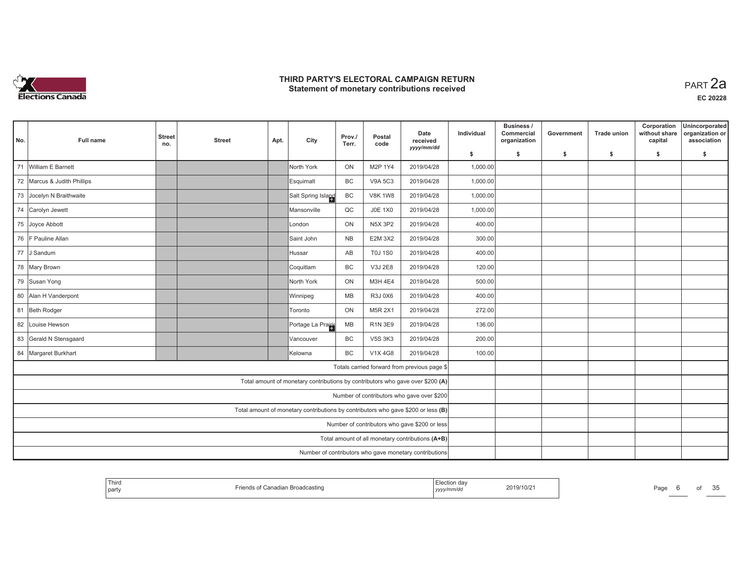

| No.                                                                               | <b>Full name</b>                                                   | <b>Street</b><br>no. | <b>Street</b> | Apt. | City                                                                           | Prov./<br>Terr. | Postal<br>code | Date<br>received<br>yyyy/mm/dd                         | Individual | Business /<br>Commercial<br>organization | Government | <b>Trade union</b> | Corporation<br>without share<br>capital | Unincorporated<br>organization or<br>association |
|-----------------------------------------------------------------------------------|--------------------------------------------------------------------|----------------------|---------------|------|--------------------------------------------------------------------------------|-----------------|----------------|--------------------------------------------------------|------------|------------------------------------------|------------|--------------------|-----------------------------------------|--------------------------------------------------|
|                                                                                   |                                                                    |                      |               |      |                                                                                |                 |                |                                                        | \$         | s.                                       | -\$        | -\$                | \$                                      | \$                                               |
| 71                                                                                | William E Barnett                                                  |                      |               |      | North York                                                                     | ON              | M2P 1Y4        | 2019/04/28                                             | 1,000.00   |                                          |            |                    |                                         |                                                  |
|                                                                                   | 72 Marcus & Judith Phillips                                        |                      |               |      | Esquimalt                                                                      | <b>BC</b>       | <b>V9A 5C3</b> | 2019/04/28                                             | 1,000.00   |                                          |            |                    |                                         |                                                  |
|                                                                                   | 73 Jocelyn N Braithwaite                                           |                      |               |      | Salt Spring Island                                                             | BC              | <b>V8K 1W8</b> | 2019/04/28                                             | 1,000.00   |                                          |            |                    |                                         |                                                  |
|                                                                                   | 74 Carolyn Jewett                                                  |                      |               |      | Mansonville                                                                    | QC              | <b>J0E 1X0</b> | 2019/04/28                                             | 1,000.00   |                                          |            |                    |                                         |                                                  |
|                                                                                   | 75 Joyce Abbott                                                    |                      |               |      | London                                                                         | ON              | <b>N5X 3P2</b> | 2019/04/28                                             | 400.00     |                                          |            |                    |                                         |                                                  |
|                                                                                   | 76 F Pauline Allan                                                 |                      |               |      | Saint John                                                                     | <b>NB</b>       | <b>E2M 3X2</b> | 2019/04/28                                             | 300.00     |                                          |            |                    |                                         |                                                  |
|                                                                                   | 77 J Sandum<br>AB<br><b>T0J 1S0</b><br>2019/04/28<br><b>Hussar</b> |                      |               |      |                                                                                |                 |                |                                                        |            |                                          |            |                    |                                         |                                                  |
|                                                                                   | 78 Mary Brown                                                      |                      |               |      | Coquitlam                                                                      | BC              | V3J 2E8        | 2019/04/28                                             | 120.00     |                                          |            |                    |                                         |                                                  |
|                                                                                   | 79 Susan Yong                                                      |                      |               |      | North York                                                                     | ON              | M3H 4E4        | 2019/04/28                                             | 500.00     |                                          |            |                    |                                         |                                                  |
|                                                                                   | 80 Alan H Vanderpont                                               |                      |               |      | Winnipeg                                                                       | MB              | R3J 0X6        | 2019/04/28                                             | 400.00     |                                          |            |                    |                                         |                                                  |
|                                                                                   | 81 Beth Rodger                                                     |                      |               |      | Toronto                                                                        | ON              | <b>M5R 2X1</b> | 2019/04/28                                             | 272.00     |                                          |            |                    |                                         |                                                  |
|                                                                                   | 82 Louise Hewson                                                   |                      |               |      | Portage La Prairie                                                             | MB              | <b>R1N 3E9</b> | 2019/04/28                                             | 136.00     |                                          |            |                    |                                         |                                                  |
|                                                                                   | 83 Gerald N Stensgaard                                             |                      |               |      | Vancouver                                                                      | BC              | <b>V5S 3K3</b> | 2019/04/28                                             | 200.00     |                                          |            |                    |                                         |                                                  |
|                                                                                   | 84 Margaret Burkhart                                               |                      |               |      | IKelowna                                                                       | <b>BC</b>       | V1X 4G8        | 2019/04/28                                             | 100.00     |                                          |            |                    |                                         |                                                  |
|                                                                                   |                                                                    |                      |               |      |                                                                                |                 |                | Totals carried forward from previous page \$           |            |                                          |            |                    |                                         |                                                  |
|                                                                                   |                                                                    |                      |               |      | Total amount of monetary contributions by contributors who gave over \$200 (A) |                 |                |                                                        |            |                                          |            |                    |                                         |                                                  |
|                                                                                   | Number of contributors who gave over \$200                         |                      |               |      |                                                                                |                 |                |                                                        |            |                                          |            |                    |                                         |                                                  |
| Total amount of monetary contributions by contributors who gave \$200 or less (B) |                                                                    |                      |               |      |                                                                                |                 |                |                                                        |            |                                          |            |                    |                                         |                                                  |
| Number of contributors who gave \$200 or less                                     |                                                                    |                      |               |      |                                                                                |                 |                |                                                        |            |                                          |            |                    |                                         |                                                  |
| Total amount of all monetary contributions (A+B)                                  |                                                                    |                      |               |      |                                                                                |                 |                |                                                        |            |                                          |            |                    |                                         |                                                  |
|                                                                                   |                                                                    |                      |               |      |                                                                                |                 |                | Number of contributors who gave monetary contributions |            |                                          |            |                    |                                         |                                                  |

| Third<br>on dav<br>2019/10/2<br>™an Broadcastino<br>$P_{A0t}$<br>nnna<br>l party<br>,,,,, | ОT | $\sim$ $\sim$<br>w |
|-------------------------------------------------------------------------------------------|----|--------------------|
|-------------------------------------------------------------------------------------------|----|--------------------|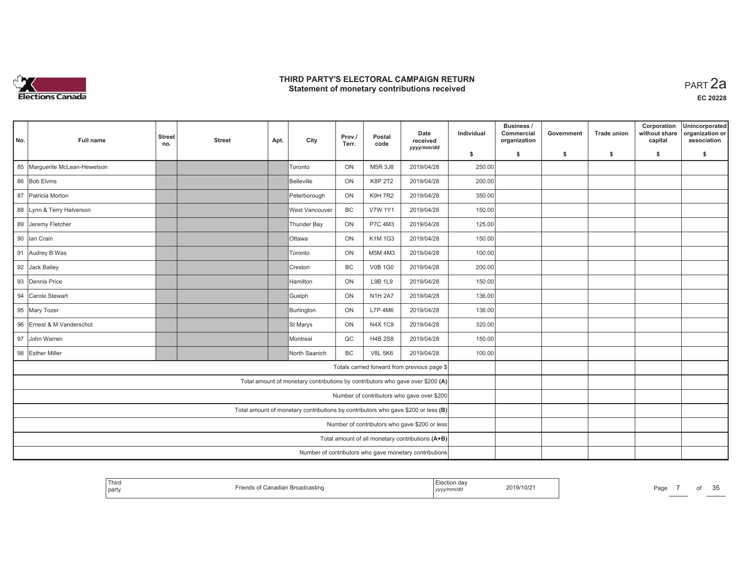

| No.                                           | Full name                                                                         | <b>Street</b><br>no. | <b>Street</b> | Apt. | City                                                                           | Prov./<br>Terr. | Postal<br>code | Date<br>received<br>yyyy/mm/dd               | Individual | Business /<br>Commercial<br>organization | Government | <b>Trade union</b> | Corporation<br>without share<br>capital | Unincorporated<br>organization or<br>association |
|-----------------------------------------------|-----------------------------------------------------------------------------------|----------------------|---------------|------|--------------------------------------------------------------------------------|-----------------|----------------|----------------------------------------------|------------|------------------------------------------|------------|--------------------|-----------------------------------------|--------------------------------------------------|
|                                               |                                                                                   |                      |               |      |                                                                                |                 |                |                                              | \$         | s.                                       | \$         | -\$                | \$                                      | \$                                               |
|                                               | 85 Marguerite McLean-Hewetson                                                     |                      |               |      | <b>Toronto</b>                                                                 | ON              | M5R 3J8        | 2019/04/28                                   | 250.00     |                                          |            |                    |                                         |                                                  |
|                                               | 86 Bob Elvins                                                                     |                      |               |      | Belleville                                                                     | ON              | K8P 2T2        | 2019/04/28                                   | 200.00     |                                          |            |                    |                                         |                                                  |
|                                               | 87 Patricia Morton                                                                |                      |               |      | Peterborough                                                                   | ON              | <b>K9H 7R2</b> | 2019/04/28                                   | 350.00     |                                          |            |                    |                                         |                                                  |
|                                               | 88 Lynn & Terry Halverson                                                         |                      |               |      | West Vancouver                                                                 | BC              | <b>V7W 1Y1</b> | 2019/04/28                                   | 150.00     |                                          |            |                    |                                         |                                                  |
|                                               | 89 Jeremy Fletcher                                                                |                      |               |      | Thunder Bay                                                                    | ON              | P7C 4M3        | 2019/04/28                                   | 125.00     |                                          |            |                    |                                         |                                                  |
|                                               | 90 Ian Crain                                                                      |                      |               |      | <b>Ottawa</b>                                                                  | ON              | K1M 1G3        | 2019/04/28                                   | 150.00     |                                          |            |                    |                                         |                                                  |
|                                               | 91 Audrey B Was                                                                   |                      |               |      | Toronto                                                                        | ON              | M5M 4M3        | 2019/04/28                                   | 100.00     |                                          |            |                    |                                         |                                                  |
|                                               | 92 Jack Bailey                                                                    |                      |               |      | Creston                                                                        | BC              | <b>V0B 1G0</b> | 2019/04/28                                   | 200.00     |                                          |            |                    |                                         |                                                  |
|                                               | 93 Dennis Price                                                                   |                      |               |      | <b>Hamilton</b>                                                                | ON              | L9B 1L9        | 2019/04/28                                   | 150.00     |                                          |            |                    |                                         |                                                  |
|                                               | 94 Carole Stewart                                                                 |                      |               |      | Guelph                                                                         | ON              | <b>N1H 2A7</b> | 2019/04/28                                   | 136.00     |                                          |            |                    |                                         |                                                  |
|                                               | 95 Mary Tozer                                                                     |                      |               |      | Burlington                                                                     | ON              | L7P 4M6        | 2019/04/28                                   | 136.00     |                                          |            |                    |                                         |                                                  |
|                                               | 96 Ernest & M Vanderschot                                                         |                      |               |      | St Marys                                                                       | ON              | N4X 1C9        | 2019/04/28                                   | 320.00     |                                          |            |                    |                                         |                                                  |
|                                               | 97 John Warren                                                                    |                      |               |      | Montreal                                                                       | QC              | <b>H4B 2S8</b> | 2019/04/28                                   | 150.00     |                                          |            |                    |                                         |                                                  |
|                                               | 98 Esther Miller                                                                  |                      |               |      | North Saanich                                                                  | <b>BC</b>       | <b>V8L 5K6</b> | 2019/04/28                                   | 100.00     |                                          |            |                    |                                         |                                                  |
|                                               |                                                                                   |                      |               |      |                                                                                |                 |                | Totals carried forward from previous page \$ |            |                                          |            |                    |                                         |                                                  |
|                                               |                                                                                   |                      |               |      | Total amount of monetary contributions by contributors who gave over \$200 (A) |                 |                |                                              |            |                                          |            |                    |                                         |                                                  |
|                                               | Number of contributors who gave over \$200                                        |                      |               |      |                                                                                |                 |                |                                              |            |                                          |            |                    |                                         |                                                  |
|                                               | Total amount of monetary contributions by contributors who gave \$200 or less (B) |                      |               |      |                                                                                |                 |                |                                              |            |                                          |            |                    |                                         |                                                  |
| Number of contributors who gave \$200 or less |                                                                                   |                      |               |      |                                                                                |                 |                |                                              |            |                                          |            |                    |                                         |                                                  |
|                                               | Total amount of all monetary contributions (A+B)                                  |                      |               |      |                                                                                |                 |                |                                              |            |                                          |            |                    |                                         |                                                  |
|                                               |                                                                                   |                      |               |      |                                                                                |                 |                |                                              |            |                                          |            |                    |                                         |                                                  |

| Third<br>party | of Canadian Broadcasting | Election day<br>, yyyy/mm/dd | 2019/10/21 | Page | от | $\Omega$<br>. .<br>ັບ |
|----------------|--------------------------|------------------------------|------------|------|----|-----------------------|
|                |                          |                              |            |      |    |                       |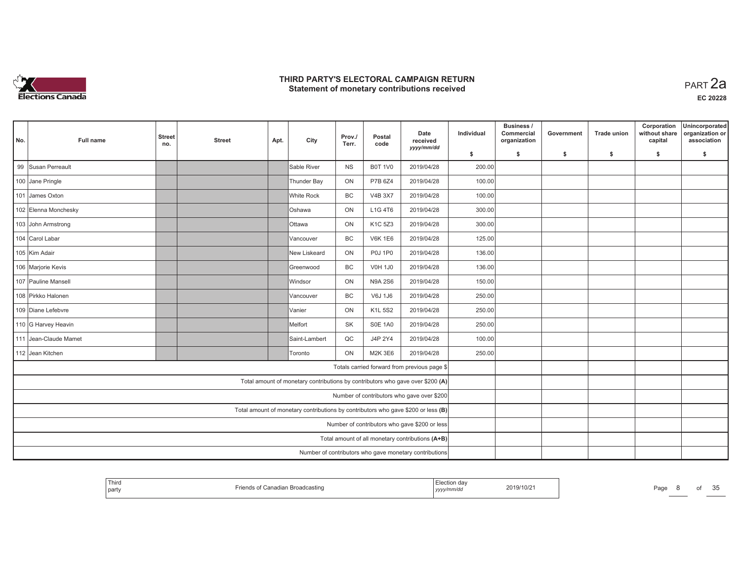

| No.                                                                               | <b>Full name</b>                           | <b>Street</b><br>no. | <b>Street</b> | Apt. | City                                                                           | Prov./<br>Terr. | Postal<br>code | Date<br>received<br>yyyy/mm/dd                         | Individual | Business /<br>Commercial<br>organization | Government | <b>Trade union</b> | Corporation<br>without share<br>capital | Unincorporated<br>organization or<br>association |
|-----------------------------------------------------------------------------------|--------------------------------------------|----------------------|---------------|------|--------------------------------------------------------------------------------|-----------------|----------------|--------------------------------------------------------|------------|------------------------------------------|------------|--------------------|-----------------------------------------|--------------------------------------------------|
|                                                                                   |                                            |                      |               |      |                                                                                |                 |                |                                                        | \$         | s.                                       | -\$        | -\$                | \$                                      | \$                                               |
|                                                                                   | 99 Susan Perreault                         |                      |               |      | Sable River                                                                    | <b>NS</b>       | <b>B0T 1V0</b> | 2019/04/28                                             | 200.00     |                                          |            |                    |                                         |                                                  |
|                                                                                   | 100 Jane Pringle                           |                      |               |      | Thunder Bay                                                                    | ON              | P7B 6Z4        | 2019/04/28                                             | 100.00     |                                          |            |                    |                                         |                                                  |
|                                                                                   | 101 James Oxton                            |                      |               |      | White Rock                                                                     | <b>BC</b>       | <b>V4B 3X7</b> | 2019/04/28                                             | 100.00     |                                          |            |                    |                                         |                                                  |
|                                                                                   | 102 Elenna Monchesky                       |                      |               |      | <b>Oshawa</b>                                                                  | ON              | L1G 4T6        | 2019/04/28                                             | 300.00     |                                          |            |                    |                                         |                                                  |
|                                                                                   | 103 John Armstrong                         |                      |               |      | <b>Ottawa</b>                                                                  | ON              | K1C 5Z3        | 2019/04/28                                             | 300.00     |                                          |            |                    |                                         |                                                  |
|                                                                                   | 104 Carol Labar                            |                      |               |      | Vancouver                                                                      | BC              | <b>V6K 1E6</b> | 2019/04/28                                             | 125.00     |                                          |            |                    |                                         |                                                  |
|                                                                                   | 105 Kim Adair                              |                      |               |      | New Liskeard                                                                   | ON              | <b>P0J 1P0</b> | 2019/04/28                                             | 136.00     |                                          |            |                    |                                         |                                                  |
|                                                                                   | 106 Marjorie Kevis                         |                      |               |      | Greenwood                                                                      | BC              | <b>V0H 1J0</b> | 2019/04/28                                             | 136.00     |                                          |            |                    |                                         |                                                  |
|                                                                                   | 107 Pauline Mansell                        |                      |               |      | lWindsor                                                                       | ON              | <b>N9A 2S6</b> | 2019/04/28                                             | 150.00     |                                          |            |                    |                                         |                                                  |
|                                                                                   | 108 Pirkko Halonen                         |                      |               |      | Vancouver                                                                      | BC              | V6J 1J6        | 2019/04/28                                             | 250.00     |                                          |            |                    |                                         |                                                  |
|                                                                                   | 109 Diane Lefebvre                         |                      |               |      | Vanier                                                                         | ON              | <b>K1L 5S2</b> | 2019/04/28                                             | 250.00     |                                          |            |                    |                                         |                                                  |
|                                                                                   | 110 G Harvey Heavin                        |                      |               |      | Melfort                                                                        | <b>SK</b>       | <b>S0E 1A0</b> | 2019/04/28                                             | 250.00     |                                          |            |                    |                                         |                                                  |
|                                                                                   | 111 Jean-Claude Mamet                      |                      |               |      | Saint-Lambert                                                                  | QC              | J4P 2Y4        | 2019/04/28                                             | 100.00     |                                          |            |                    |                                         |                                                  |
|                                                                                   | 112 Jean Kitchen                           |                      |               |      | <b>Toronto</b>                                                                 | ON              | M2K 3E6        | 2019/04/28                                             | 250.00     |                                          |            |                    |                                         |                                                  |
|                                                                                   |                                            |                      |               |      |                                                                                |                 |                | Totals carried forward from previous page \$           |            |                                          |            |                    |                                         |                                                  |
|                                                                                   |                                            |                      |               |      | Total amount of monetary contributions by contributors who gave over \$200 (A) |                 |                |                                                        |            |                                          |            |                    |                                         |                                                  |
|                                                                                   | Number of contributors who gave over \$200 |                      |               |      |                                                                                |                 |                |                                                        |            |                                          |            |                    |                                         |                                                  |
| Total amount of monetary contributions by contributors who gave \$200 or less (B) |                                            |                      |               |      |                                                                                |                 |                |                                                        |            |                                          |            |                    |                                         |                                                  |
| Number of contributors who gave \$200 or less                                     |                                            |                      |               |      |                                                                                |                 |                |                                                        |            |                                          |            |                    |                                         |                                                  |
| Total amount of all monetary contributions (A+B)                                  |                                            |                      |               |      |                                                                                |                 |                |                                                        |            |                                          |            |                    |                                         |                                                  |
|                                                                                   |                                            |                      |               |      |                                                                                |                 |                | Number of contributors who gave monetary contributions |            |                                          |            |                    |                                         |                                                  |

| Third<br>`part\ | ı Broadca<br>dcastino | $\frac{1}{2} \left( \frac{1}{2} \right) \left( \frac{1}{2} \right) \left( \frac{1}{2} \right) \left( \frac{1}{2} \right) \left( \frac{1}{2} \right) \left( \frac{1}{2} \right) \left( \frac{1}{2} \right) \left( \frac{1}{2} \right) \left( \frac{1}{2} \right) \left( \frac{1}{2} \right) \left( \frac{1}{2} \right) \left( \frac{1}{2} \right) \left( \frac{1}{2} \right) \left( \frac{1}{2} \right) \left( \frac{1}{2} \right) \left( \frac{1}{2} \right) \left( \frac$<br>ection.<br>aa<br>.<br>  yyyymmua | 2019/10/2 | Page |  | ОT | OE<br>em<br>w |
|-----------------|-----------------------|----------------------------------------------------------------------------------------------------------------------------------------------------------------------------------------------------------------------------------------------------------------------------------------------------------------------------------------------------------------------------------------------------------------------------------------------------------------------------------------------------------------|-----------|------|--|----|---------------|
|-----------------|-----------------------|----------------------------------------------------------------------------------------------------------------------------------------------------------------------------------------------------------------------------------------------------------------------------------------------------------------------------------------------------------------------------------------------------------------------------------------------------------------------------------------------------------------|-----------|------|--|----|---------------|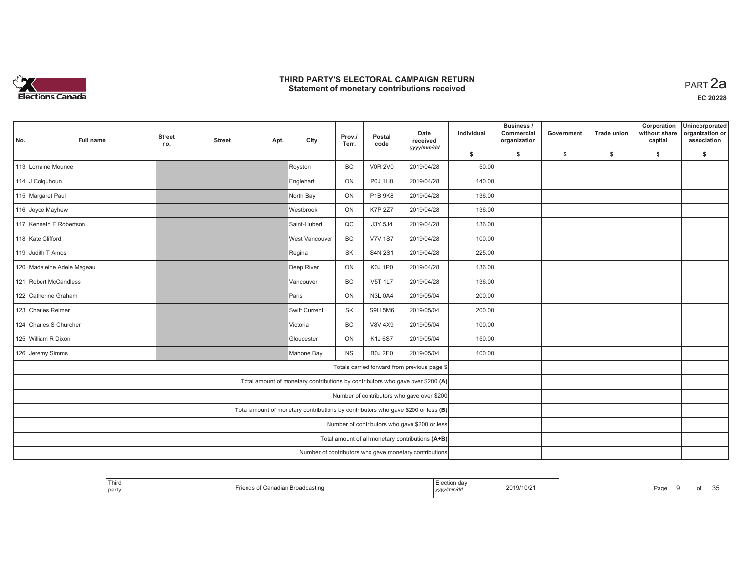

| No.                                                                               | <b>Full name</b>                           | <b>Street</b><br>no. | <b>Street</b> | Apt. | City                                                                           | Prov./<br>Terr. | Postal<br>code | Date<br>received<br>yyyy/mm/dd                         | Individual | Business /<br>Commercial<br>organization | Government | <b>Trade union</b> | Corporation<br>without share<br>capital | Unincorporated<br>organization or<br>association |
|-----------------------------------------------------------------------------------|--------------------------------------------|----------------------|---------------|------|--------------------------------------------------------------------------------|-----------------|----------------|--------------------------------------------------------|------------|------------------------------------------|------------|--------------------|-----------------------------------------|--------------------------------------------------|
|                                                                                   |                                            |                      |               |      |                                                                                |                 |                |                                                        | \$         | s.                                       | -\$        | -\$                | \$                                      | \$                                               |
|                                                                                   | 113 Lorraine Mounce                        |                      |               |      | Royston                                                                        | <b>BC</b>       | <b>V0R 2V0</b> | 2019/04/28                                             | 50.00      |                                          |            |                    |                                         |                                                  |
|                                                                                   | 114 J Colguhoun                            |                      |               |      | Englehart                                                                      | ON              | <b>P0J 1H0</b> | 2019/04/28                                             | 140.00     |                                          |            |                    |                                         |                                                  |
|                                                                                   | 115 Margaret Paul                          |                      |               |      | North Bay                                                                      | ON              | P1B 9K8        | 2019/04/28                                             | 136.00     |                                          |            |                    |                                         |                                                  |
|                                                                                   | 116 Joyce Mayhew                           |                      |               |      | Westbrook                                                                      | ON              | <b>K7P 2Z7</b> | 2019/04/28                                             | 136.00     |                                          |            |                    |                                         |                                                  |
|                                                                                   | 117 Kenneth E Robertson                    |                      |               |      | Saint-Hubert                                                                   | QC              | J3Y 5J4        | 2019/04/28                                             | 136.00     |                                          |            |                    |                                         |                                                  |
|                                                                                   | 118 Kate Clifford                          |                      |               |      | West Vancouver                                                                 | BC              | <b>V7V 1S7</b> | 2019/04/28                                             | 100.00     |                                          |            |                    |                                         |                                                  |
|                                                                                   | 119 Judith T Amos                          |                      |               |      | Regina                                                                         | <b>SK</b>       | <b>S4N 2S1</b> | 2019/04/28                                             | 225.00     |                                          |            |                    |                                         |                                                  |
|                                                                                   | 120 Madeleine Adele Mageau                 |                      |               |      | Deep River                                                                     | ON              | K0J 1P0        | 2019/04/28                                             | 136.00     |                                          |            |                    |                                         |                                                  |
|                                                                                   | 121 Robert McCandless                      |                      |               |      | Vancouver                                                                      | <b>BC</b>       | <b>V5T 1L7</b> | 2019/04/28                                             | 136.00     |                                          |            |                    |                                         |                                                  |
|                                                                                   | 122 Catherine Graham                       |                      |               |      | Paris                                                                          | ON              | <b>N3L 0A4</b> | 2019/05/04                                             | 200.00     |                                          |            |                    |                                         |                                                  |
|                                                                                   | 123 Charles Reimer                         |                      |               |      | Swift Current                                                                  | SK              | S9H 5M6        | 2019/05/04                                             | 200.00     |                                          |            |                    |                                         |                                                  |
|                                                                                   | 124 Charles S Churcher                     |                      |               |      | Victoria                                                                       | BC              | <b>V8V 4X9</b> | 2019/05/04                                             | 100.00     |                                          |            |                    |                                         |                                                  |
|                                                                                   | 125 William R Dixon                        |                      |               |      | Gloucester                                                                     | ON              | K1J 6S7        | 2019/05/04                                             | 150.00     |                                          |            |                    |                                         |                                                  |
|                                                                                   | 126 Jeremy Simms                           |                      |               |      | Mahone Bay                                                                     | <b>NS</b>       | <b>B0J 2E0</b> | 2019/05/04                                             | 100.00     |                                          |            |                    |                                         |                                                  |
|                                                                                   |                                            |                      |               |      |                                                                                |                 |                | Totals carried forward from previous page \$           |            |                                          |            |                    |                                         |                                                  |
|                                                                                   |                                            |                      |               |      | Total amount of monetary contributions by contributors who gave over \$200 (A) |                 |                |                                                        |            |                                          |            |                    |                                         |                                                  |
|                                                                                   | Number of contributors who gave over \$200 |                      |               |      |                                                                                |                 |                |                                                        |            |                                          |            |                    |                                         |                                                  |
| Total amount of monetary contributions by contributors who gave \$200 or less (B) |                                            |                      |               |      |                                                                                |                 |                |                                                        |            |                                          |            |                    |                                         |                                                  |
| Number of contributors who gave \$200 or less                                     |                                            |                      |               |      |                                                                                |                 |                |                                                        |            |                                          |            |                    |                                         |                                                  |
| Total amount of all monetary contributions (A+B)                                  |                                            |                      |               |      |                                                                                |                 |                |                                                        |            |                                          |            |                    |                                         |                                                  |
|                                                                                   |                                            |                      |               |      |                                                                                |                 |                | Number of contributors who gave monetary contributions |            |                                          |            |                    |                                         |                                                  |

| <b>Thiro</b><br>party | ⇔anagian Broadcasting | 2019/10/2<br>,,,,,,,<br>, уууулт | $\sim$ $\sim$<br>Page<br>ОT<br>u |
|-----------------------|-----------------------|----------------------------------|----------------------------------|
|-----------------------|-----------------------|----------------------------------|----------------------------------|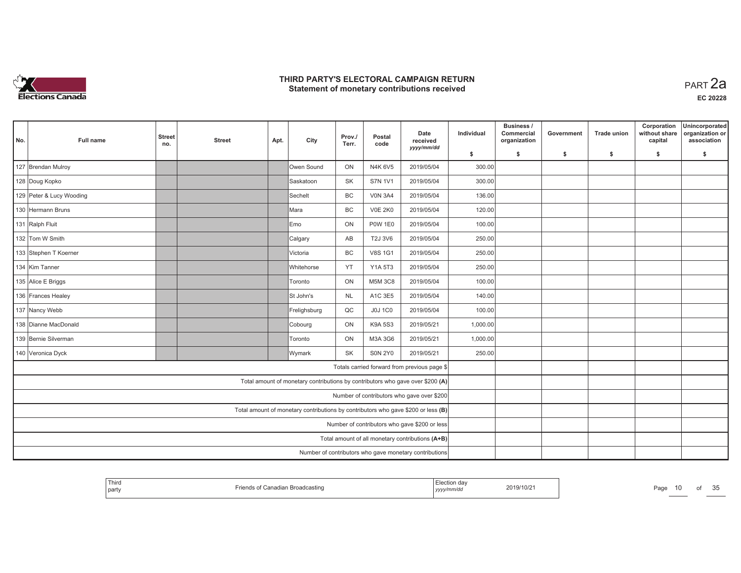

| No. | <b>Full name</b>                                                                  | <b>Street</b><br>no. | <b>Street</b> | Apt. | City         | Prov./<br>Terr. | Postal<br>code | Date<br>received<br>yyyy/mm/dd                                                 | Individual | Business /<br>Commercial<br>organization | Government | <b>Trade union</b> | Corporation<br>without share<br>capital | Unincorporated<br>organization or<br>association |
|-----|-----------------------------------------------------------------------------------|----------------------|---------------|------|--------------|-----------------|----------------|--------------------------------------------------------------------------------|------------|------------------------------------------|------------|--------------------|-----------------------------------------|--------------------------------------------------|
|     |                                                                                   |                      |               |      |              |                 |                |                                                                                | \$         | s.                                       | \$         | \$                 | \$                                      | \$                                               |
|     | 127 Brendan Mulroy                                                                |                      |               |      | Owen Sound   | ON              | N4K 6V5        | 2019/05/04                                                                     | 300.00     |                                          |            |                    |                                         |                                                  |
|     | 128 Doug Kopko                                                                    |                      |               |      | Saskatoon    | SK              | <b>S7N 1V1</b> | 2019/05/04                                                                     | 300.00     |                                          |            |                    |                                         |                                                  |
|     | 129 Peter & Lucy Wooding                                                          |                      |               |      | Sechelt      | BC              | <b>V0N 3A4</b> | 2019/05/04                                                                     | 136.00     |                                          |            |                    |                                         |                                                  |
|     | 130 Hermann Bruns                                                                 |                      |               |      | Mara         | BC              | <b>V0E 2K0</b> | 2019/05/04                                                                     | 120.00     |                                          |            |                    |                                         |                                                  |
|     | 131 Ralph Fluit                                                                   |                      |               |      | Emo          | ON              | <b>P0W 1E0</b> | 2019/05/04                                                                     | 100.00     |                                          |            |                    |                                         |                                                  |
|     | 132 Tom W Smith                                                                   |                      |               |      | Calgary      | AB              | T2J 3V6        | 2019/05/04                                                                     | 250.00     |                                          |            |                    |                                         |                                                  |
|     | 133 Stephen T Koerner                                                             |                      |               |      | Victoria     | <b>BC</b>       | <b>V8S 1G1</b> | 2019/05/04                                                                     | 250.00     |                                          |            |                    |                                         |                                                  |
|     | 134 Kim Tanner                                                                    |                      |               |      | Whitehorse   | YT              | Y1A 5T3        | 2019/05/04                                                                     | 250.00     |                                          |            |                    |                                         |                                                  |
|     | 135 Alice E Briggs                                                                |                      |               |      | Toronto      | ON              | <b>M5M 3C8</b> | 2019/05/04                                                                     | 100.00     |                                          |            |                    |                                         |                                                  |
|     | 136 Frances Healey                                                                |                      |               |      | St John's    | <b>NL</b>       | A1C 3E5        | 2019/05/04                                                                     | 140.00     |                                          |            |                    |                                         |                                                  |
|     | 137 Nancy Webb                                                                    |                      |               |      | Frelighsburg | QC              | <b>J0J 1C0</b> | 2019/05/04                                                                     | 100.00     |                                          |            |                    |                                         |                                                  |
|     | 138 Dianne MacDonald                                                              |                      |               |      | Cobourg      | ON              | <b>K9A 5S3</b> | 2019/05/21                                                                     | 1,000.00   |                                          |            |                    |                                         |                                                  |
|     | 139 Bernie Silverman                                                              |                      |               |      | Toronto      | ON              | M3A 3G6        | 2019/05/21                                                                     | 1,000.00   |                                          |            |                    |                                         |                                                  |
|     | 140 Veronica Dyck                                                                 |                      |               |      | Wymark       | <b>SK</b>       | <b>SON 2Y0</b> | 2019/05/21                                                                     | 250.00     |                                          |            |                    |                                         |                                                  |
|     |                                                                                   |                      |               |      |              |                 |                | Totals carried forward from previous page \$                                   |            |                                          |            |                    |                                         |                                                  |
|     |                                                                                   |                      |               |      |              |                 |                | Total amount of monetary contributions by contributors who gave over \$200 (A) |            |                                          |            |                    |                                         |                                                  |
|     | Number of contributors who gave over \$200                                        |                      |               |      |              |                 |                |                                                                                |            |                                          |            |                    |                                         |                                                  |
|     | Total amount of monetary contributions by contributors who gave \$200 or less (B) |                      |               |      |              |                 |                |                                                                                |            |                                          |            |                    |                                         |                                                  |
|     | Number of contributors who gave \$200 or less                                     |                      |               |      |              |                 |                |                                                                                |            |                                          |            |                    |                                         |                                                  |
|     | Total amount of all monetary contributions (A+B)                                  |                      |               |      |              |                 |                |                                                                                |            |                                          |            |                    |                                         |                                                  |
|     |                                                                                   |                      |               |      |              |                 |                | Number of contributors who gave monetary contributions                         |            |                                          |            |                    |                                         |                                                  |

| Third<br>s of Canadian Broadcasting<br>party | ı dav<br>2019/10/21<br>.<br>nmrai<br>17777 | $P_{\text{AOF}}$<br>ОT | $\sim$ $\sim$<br>u |
|----------------------------------------------|--------------------------------------------|------------------------|--------------------|
|----------------------------------------------|--------------------------------------------|------------------------|--------------------|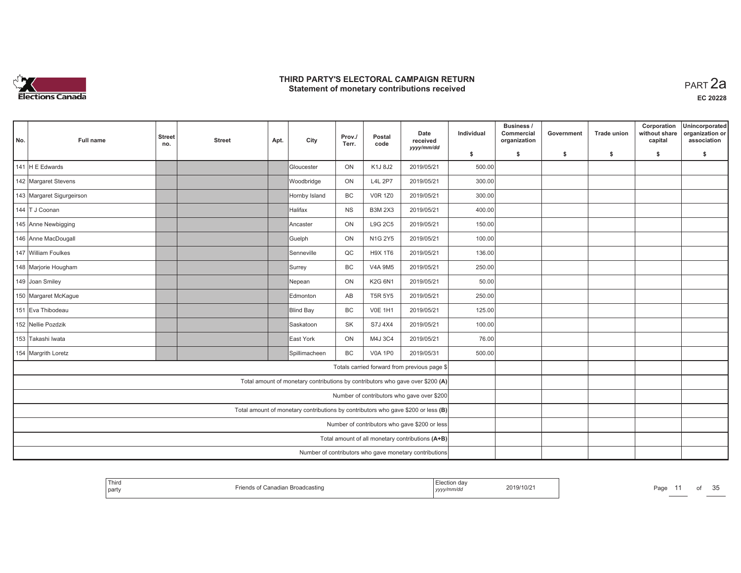

| No. | <b>Full name</b>          | <b>Street</b><br>no. | <b>Street</b> | Apt. | City                                                                              | Prov./<br>Terr. | Postal<br>code | Date<br>received<br>yyyy/mm/dd                         | Individual | Business /<br>Commercial<br>organization | Government | <b>Trade union</b> | Corporation<br>without share<br>capital | Unincorporated<br>organization or<br>association |
|-----|---------------------------|----------------------|---------------|------|-----------------------------------------------------------------------------------|-----------------|----------------|--------------------------------------------------------|------------|------------------------------------------|------------|--------------------|-----------------------------------------|--------------------------------------------------|
|     |                           |                      |               |      |                                                                                   |                 |                |                                                        | \$         | s.                                       | -\$        | -\$                | \$                                      | s.                                               |
|     | 141 H E Edwards           |                      |               |      | Gloucester                                                                        | ON              | K1J 8J2        | 2019/05/21                                             | 500.00     |                                          |            |                    |                                         |                                                  |
|     | 142 Margaret Stevens      |                      |               |      | Woodbridge                                                                        | ON              | <b>L4L 2P7</b> | 2019/05/21                                             | 300.00     |                                          |            |                    |                                         |                                                  |
|     | 143 Margaret Sigurgeirson |                      |               |      | Hornby Island                                                                     | <b>BC</b>       | <b>V0R 1Z0</b> | 2019/05/21                                             | 300.00     |                                          |            |                    |                                         |                                                  |
|     | 144 T J Coonan            |                      |               |      | Halifax                                                                           | <b>NS</b>       | <b>B3M 2X3</b> | 2019/05/21                                             | 400.00     |                                          |            |                    |                                         |                                                  |
|     | 145 Anne Newbigging       |                      |               |      | Ancaster                                                                          | ON              | L9G 2C5        | 2019/05/21                                             | 150.00     |                                          |            |                    |                                         |                                                  |
|     | 146 Anne MacDougall       |                      |               |      | Guelph                                                                            | ON              | N1G 2Y5        | 2019/05/21                                             | 100.00     |                                          |            |                    |                                         |                                                  |
|     | 147 William Foulkes       |                      |               |      | Senneville                                                                        | QC              | <b>H9X 1T6</b> | 2019/05/21                                             | 136.00     |                                          |            |                    |                                         |                                                  |
|     | 148 Marjorie Hougham      |                      |               |      | Surrey                                                                            | <b>BC</b>       | <b>V4A 9M5</b> | 2019/05/21                                             | 250.00     |                                          |            |                    |                                         |                                                  |
|     | 149 Joan Smiley           |                      |               |      | Nepean                                                                            | ON              | K2G 6N1        | 2019/05/21                                             | 50.00      |                                          |            |                    |                                         |                                                  |
|     | 150 Margaret McKague      |                      |               |      | Edmonton                                                                          | AB              | <b>T5R 5Y5</b> | 2019/05/21                                             | 250.00     |                                          |            |                    |                                         |                                                  |
|     | 151 Eva Thibodeau         |                      |               |      | Blind Bay                                                                         | <b>BC</b>       | <b>V0E 1H1</b> | 2019/05/21                                             | 125.00     |                                          |            |                    |                                         |                                                  |
|     | 152 Nellie Pozdzik        |                      |               |      | Saskatoon                                                                         | <b>SK</b>       | S7J 4X4        | 2019/05/21                                             | 100.00     |                                          |            |                    |                                         |                                                  |
|     | 153 Takashi Iwata         |                      |               |      | East York                                                                         | ON              | M4J 3C4        | 2019/05/21                                             | 76.00      |                                          |            |                    |                                         |                                                  |
|     | 154 Margrith Loretz       |                      |               |      | Spillimacheen                                                                     | <b>BC</b>       | <b>V0A 1P0</b> | 2019/05/31                                             | 500.00     |                                          |            |                    |                                         |                                                  |
|     |                           |                      |               |      |                                                                                   |                 |                | Totals carried forward from previous page \$           |            |                                          |            |                    |                                         |                                                  |
|     |                           |                      |               |      | Total amount of monetary contributions by contributors who gave over \$200 (A)    |                 |                |                                                        |            |                                          |            |                    |                                         |                                                  |
|     |                           |                      |               |      |                                                                                   |                 |                | Number of contributors who gave over \$200             |            |                                          |            |                    |                                         |                                                  |
|     |                           |                      |               |      | Total amount of monetary contributions by contributors who gave \$200 or less (B) |                 |                |                                                        |            |                                          |            |                    |                                         |                                                  |
|     |                           |                      |               |      |                                                                                   |                 |                | Number of contributors who gave \$200 or less          |            |                                          |            |                    |                                         |                                                  |
|     |                           |                      |               |      |                                                                                   |                 |                | Total amount of all monetary contributions (A+B)       |            |                                          |            |                    |                                         |                                                  |
|     |                           |                      |               |      |                                                                                   |                 |                | Number of contributors who gave monetary contributions |            |                                          |            |                    |                                         |                                                  |

| Thirc<br>of Canadian Broadcasting<br>party | ion da<br>2019/10/21<br>√mm/do<br>,,,,, |  |
|--------------------------------------------|-----------------------------------------|--|
|--------------------------------------------|-----------------------------------------|--|

age 11 of 35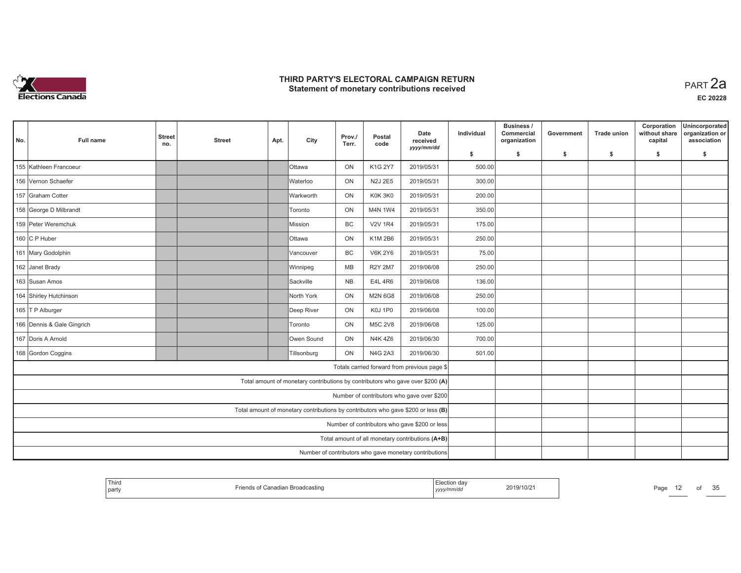

| No. | <b>Full name</b>           | <b>Street</b><br>no. | <b>Street</b> | Apt. | City                                                                              | Prov./<br>Terr. | Postal<br>code | Date<br>received<br>yyyy/mm/dd                         | Individual | Business /<br>Commercial<br>organization | Government | <b>Trade union</b> | Corporation<br>without share<br>capital | Unincorporated<br>organization or<br>association |
|-----|----------------------------|----------------------|---------------|------|-----------------------------------------------------------------------------------|-----------------|----------------|--------------------------------------------------------|------------|------------------------------------------|------------|--------------------|-----------------------------------------|--------------------------------------------------|
|     |                            |                      |               |      |                                                                                   |                 |                |                                                        | \$         | s.                                       | \$         | -S                 | \$                                      | s.                                               |
|     | 155 Kathleen Francoeur     |                      |               |      | <b>Ottawa</b>                                                                     | ON              | K1G 2Y7        | 2019/05/31                                             | 500.00     |                                          |            |                    |                                         |                                                  |
|     | 156 Vernon Schaefer        |                      |               |      | <b>Waterloo</b>                                                                   | ON              | <b>N2J 2E5</b> | 2019/05/31                                             | 300.00     |                                          |            |                    |                                         |                                                  |
|     | 157 Graham Cotter          |                      |               |      | Warkworth                                                                         | ON              | K0K 3K0        | 2019/05/31                                             | 200.00     |                                          |            |                    |                                         |                                                  |
|     | 158 George D Milbrandt     |                      |               |      | <b>Toronto</b>                                                                    | ON              | M4N 1W4        | 2019/05/31                                             | 350.00     |                                          |            |                    |                                         |                                                  |
|     | 159 Peter Weremchuk        |                      |               |      | Mission                                                                           | <b>BC</b>       | <b>V2V 1R4</b> | 2019/05/31                                             | 175.00     |                                          |            |                    |                                         |                                                  |
|     | 160 C P Huber              |                      |               |      | <b>Ottawa</b>                                                                     | ON              | K1M 2B6        | 2019/05/31                                             | 250.00     |                                          |            |                    |                                         |                                                  |
|     | 161 Mary Godolphin         |                      |               |      | lVancouver                                                                        | <b>BC</b>       | <b>V6K 2Y6</b> | 2019/05/31                                             | 75.00      |                                          |            |                    |                                         |                                                  |
|     | 162 Janet Brady            |                      |               |      | Winnipeg                                                                          | MB              | <b>R2Y 2M7</b> | 2019/06/08                                             | 250.00     |                                          |            |                    |                                         |                                                  |
|     | 163 Susan Amos             |                      |               |      | Sackville                                                                         | <b>NB</b>       | E4L 4R6        | 2019/06/08                                             | 136.00     |                                          |            |                    |                                         |                                                  |
|     | 164 Shirley Hutchinson     |                      |               |      | North York                                                                        | ON              | <b>M2N 6G8</b> | 2019/06/08                                             | 250.00     |                                          |            |                    |                                         |                                                  |
|     | 165 T P Alburger           |                      |               |      | Deep River                                                                        | ON              | K0J 1P0        | 2019/06/08                                             | 100.00     |                                          |            |                    |                                         |                                                  |
|     | 166 Dennis & Gale Gingrich |                      |               |      | Toronto                                                                           | ON              | <b>M5C 2V8</b> | 2019/06/08                                             | 125.00     |                                          |            |                    |                                         |                                                  |
|     | 167 Doris A Arnold         |                      |               |      | Owen Sound                                                                        | ON              | N4K 4Z6        | 2019/06/30                                             | 700.00     |                                          |            |                    |                                         |                                                  |
|     | 168 Gordon Coggins         |                      |               |      | Tillsonburg                                                                       | ON              | <b>N4G 2A3</b> | 2019/06/30                                             | 501.00     |                                          |            |                    |                                         |                                                  |
|     |                            |                      |               |      |                                                                                   |                 |                | Totals carried forward from previous page \$           |            |                                          |            |                    |                                         |                                                  |
|     |                            |                      |               |      | Total amount of monetary contributions by contributors who gave over \$200 (A)    |                 |                |                                                        |            |                                          |            |                    |                                         |                                                  |
|     |                            |                      |               |      |                                                                                   |                 |                | Number of contributors who gave over \$200             |            |                                          |            |                    |                                         |                                                  |
|     |                            |                      |               |      | Total amount of monetary contributions by contributors who gave \$200 or less (B) |                 |                |                                                        |            |                                          |            |                    |                                         |                                                  |
|     |                            |                      |               |      |                                                                                   |                 |                | Number of contributors who gave \$200 or less          |            |                                          |            |                    |                                         |                                                  |
|     |                            |                      |               |      |                                                                                   |                 |                | Total amount of all monetary contributions (A+B)       |            |                                          |            |                    |                                         |                                                  |
|     |                            |                      |               |      |                                                                                   |                 |                | Number of contributors who gave monetary contributions |            |                                          |            |                    |                                         |                                                  |

| Third<br>n Broadc<br>'anadi<br>icastino<br>party | 2019/10/2<br>yyyynmwuu | Page | οt | $\sim$ $\sim$ |
|--------------------------------------------------|------------------------|------|----|---------------|
|--------------------------------------------------|------------------------|------|----|---------------|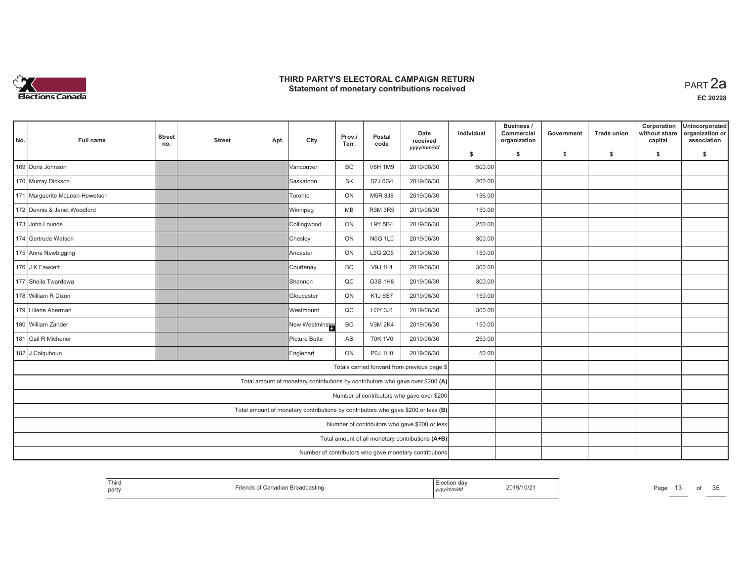

| No. | <b>Full name</b>               | <b>Street</b><br>no. | <b>Street</b> | Apt. | City                                                                              | Prov./<br>Terr. | Postal<br>code | Date<br>received<br>yyyy/mm/dd                         | Individual | Business /<br>Commercial<br>organization | Government | <b>Trade union</b> | Corporation<br>without share<br>capital | Unincorporated<br>organization or<br>association |
|-----|--------------------------------|----------------------|---------------|------|-----------------------------------------------------------------------------------|-----------------|----------------|--------------------------------------------------------|------------|------------------------------------------|------------|--------------------|-----------------------------------------|--------------------------------------------------|
|     |                                |                      |               |      |                                                                                   |                 |                |                                                        | \$         | s.                                       | \$         | \$                 | \$                                      | \$                                               |
|     | 169 Doris Johnson              |                      |               |      | Vancouver                                                                         | <b>BC</b>       | <b>V6H 1M9</b> | 2019/06/30                                             | 500.00     |                                          |            |                    |                                         |                                                  |
|     | 170 Murray Dickson             |                      |               |      | Saskatoon                                                                         | <b>SK</b>       | S7J 0G4        | 2019/06/30                                             | 200.00     |                                          |            |                    |                                         |                                                  |
|     | 171 Marguerite McLean-Hewetson |                      |               |      | Toronto                                                                           | ON              | M5R 3J8        | 2019/06/30                                             | 136.00     |                                          |            |                    |                                         |                                                  |
|     | 172 Dennis & Janet Woodford    |                      |               |      | Winnipeg                                                                          | MB              | <b>R3M 3R5</b> | 2019/06/30                                             | 150.00     |                                          |            |                    |                                         |                                                  |
|     | 173 John Lounds                |                      |               |      | Collingwood                                                                       | ON              | L9Y 5B4        | 2019/06/30                                             | 250.00     |                                          |            |                    |                                         |                                                  |
|     | 174 Gertrude Watson            |                      |               |      | Chesley                                                                           | ON              | <b>N0G 1L0</b> | 2019/06/30                                             | 300.00     |                                          |            |                    |                                         |                                                  |
|     | 175 Anne Newbigging            |                      |               |      | Ancaster                                                                          | ON              | L9G 2C5        | 2019/06/30                                             | 150.00     |                                          |            |                    |                                         |                                                  |
|     | 176 J K Fawcett                |                      |               |      | Courtenay                                                                         | BC              | V9J 1L4        | 2019/06/30                                             | 300.00     |                                          |            |                    |                                         |                                                  |
|     | 177 Sheila Twardawa            |                      |               |      | <b>IShannon</b>                                                                   | QC              | G3S 1H8        | 2019/06/30                                             | 300.00     |                                          |            |                    |                                         |                                                  |
|     | 178 William R Dixon            |                      |               |      | Gloucester                                                                        | ON              | K1J 6S7        | 2019/06/30                                             | 150.00     |                                          |            |                    |                                         |                                                  |
|     | 179 Liliane Aberman            |                      |               |      | Westmount                                                                         | QC              | H3Y 3J1        | 2019/06/30                                             | 300.00     |                                          |            |                    |                                         |                                                  |
|     | 180 William Zander             |                      |               |      | New Westminster                                                                   | BC              | <b>V3M 2K4</b> | 2019/06/30                                             | 150.00     |                                          |            |                    |                                         |                                                  |
|     | 181 Gail R Michener            |                      |               |      | Picture Butte                                                                     | AB              | <b>T0K 1V0</b> | 2019/06/30                                             | 250.00     |                                          |            |                    |                                         |                                                  |
|     | 182 J Colquhoun                |                      |               |      | Englehart                                                                         | ON              | <b>P0J 1H0</b> | 2019/06/30                                             | 50.00      |                                          |            |                    |                                         |                                                  |
|     |                                |                      |               |      |                                                                                   |                 |                | Totals carried forward from previous page \$           |            |                                          |            |                    |                                         |                                                  |
|     |                                |                      |               |      | Total amount of monetary contributions by contributors who gave over \$200 (A)    |                 |                |                                                        |            |                                          |            |                    |                                         |                                                  |
|     |                                |                      |               |      |                                                                                   |                 |                | Number of contributors who gave over \$200             |            |                                          |            |                    |                                         |                                                  |
|     |                                |                      |               |      | Total amount of monetary contributions by contributors who gave \$200 or less (B) |                 |                |                                                        |            |                                          |            |                    |                                         |                                                  |
|     |                                |                      |               |      |                                                                                   |                 |                | Number of contributors who gave \$200 or less          |            |                                          |            |                    |                                         |                                                  |
|     |                                |                      |               |      |                                                                                   |                 |                | Total amount of all monetary contributions (A+B)       |            |                                          |            |                    |                                         |                                                  |
|     |                                |                      |               |      |                                                                                   |                 |                | Number of contributors who gave monetary contributions |            |                                          |            |                    |                                         |                                                  |

| Third<br>Election day<br>2019/10/21<br>Page<br>f Canadian Broadcasting<br>Friends,<br>`party<br>, yyyy/mm/dd |  |  | οt | $\sim$ $\sim$<br>vu |
|--------------------------------------------------------------------------------------------------------------|--|--|----|---------------------|
|--------------------------------------------------------------------------------------------------------------|--|--|----|---------------------|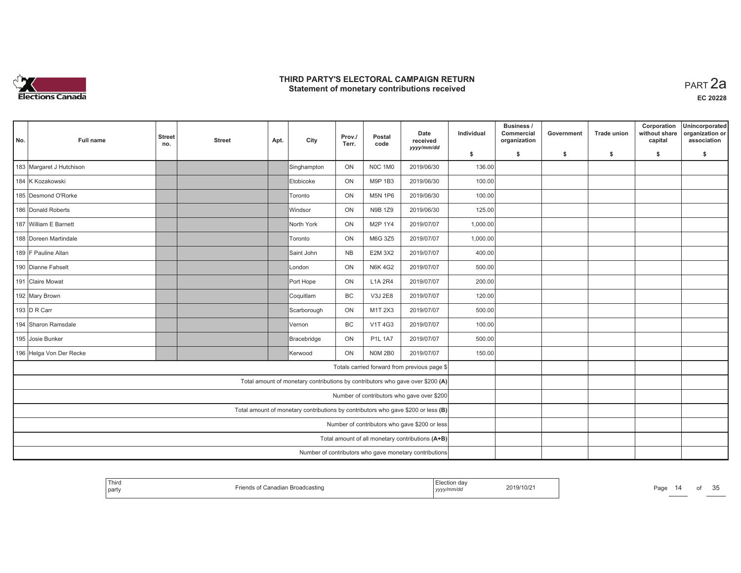

| No. | <b>Full name</b>         | <b>Street</b><br>no. | <b>Street</b> | Apt. | City                                                                              | Prov./<br>Terr. | Postal<br>code | Date<br>received<br>yyyy/mm/dd                         | Individual | Business /<br>Commercial<br>organization | Government | <b>Trade union</b> | Corporation<br>without share<br>capital | Unincorporated<br>organization or<br>association |
|-----|--------------------------|----------------------|---------------|------|-----------------------------------------------------------------------------------|-----------------|----------------|--------------------------------------------------------|------------|------------------------------------------|------------|--------------------|-----------------------------------------|--------------------------------------------------|
|     |                          |                      |               |      |                                                                                   |                 |                |                                                        | \$         | s.                                       | -\$        | -\$                | \$                                      | s.                                               |
|     | 183 Margaret J Hutchison |                      |               |      | Singhampton                                                                       | ON              | NOC 1M0        | 2019/06/30                                             | 136.00     |                                          |            |                    |                                         |                                                  |
|     | 184 K Kozakowski         |                      |               |      | Etobicoke                                                                         | ON              | M9P 1B3        | 2019/06/30                                             | 100.00     |                                          |            |                    |                                         |                                                  |
|     | 185 Desmond O'Rorke      |                      |               |      | Toronto                                                                           | ON              | <b>M5N 1P6</b> | 2019/06/30                                             | 100.00     |                                          |            |                    |                                         |                                                  |
|     | 186 Donald Roberts       |                      |               |      | <b>Windsor</b>                                                                    | ON              | N9B 1Z9        | 2019/06/30                                             | 125.00     |                                          |            |                    |                                         |                                                  |
|     | 187 William E Barnett    |                      |               |      | North York                                                                        | ON              | M2P 1Y4        | 2019/07/07                                             | 1,000.00   |                                          |            |                    |                                         |                                                  |
|     | 188 Doreen Martindale    |                      |               |      | <b>Toronto</b>                                                                    | ON              | M6G 3Z5        | 2019/07/07                                             | 1,000.00   |                                          |            |                    |                                         |                                                  |
|     | 189 F Pauline Allan      |                      |               |      | Saint John                                                                        | <b>NB</b>       | <b>E2M 3X2</b> | 2019/07/07                                             | 400.00     |                                          |            |                    |                                         |                                                  |
|     | 190 Dianne Fahselt       |                      |               |      | London                                                                            | ON              | <b>N6K 4G2</b> | 2019/07/07                                             | 500.00     |                                          |            |                    |                                         |                                                  |
|     | 191 Claire Mowat         |                      |               |      | Port Hope                                                                         | ON              | L1A 2R4        | 2019/07/07                                             | 200.00     |                                          |            |                    |                                         |                                                  |
|     | 192 Mary Brown           |                      |               |      | Coquitlam                                                                         | <b>BC</b>       | V3J 2E8        | 2019/07/07                                             | 120.00     |                                          |            |                    |                                         |                                                  |
|     | 193 $D R$ Carr           |                      |               |      | Scarborough                                                                       | ON              | M1T 2X3        | 2019/07/07                                             | 500.00     |                                          |            |                    |                                         |                                                  |
|     | 194 Sharon Ramsdale      |                      |               |      | Vernon                                                                            | <b>BC</b>       | <b>V1T4G3</b>  | 2019/07/07                                             | 100.00     |                                          |            |                    |                                         |                                                  |
|     | 195 Josie Bunker         |                      |               |      | Bracebridge                                                                       | ON              | <b>P1L 1A7</b> | 2019/07/07                                             | 500.00     |                                          |            |                    |                                         |                                                  |
|     | 196 Helga Von Der Recke  |                      |               |      | Kerwood                                                                           | ON              | <b>N0M 2B0</b> | 2019/07/07                                             | 150.00     |                                          |            |                    |                                         |                                                  |
|     |                          |                      |               |      |                                                                                   |                 |                | Totals carried forward from previous page \$           |            |                                          |            |                    |                                         |                                                  |
|     |                          |                      |               |      | Total amount of monetary contributions by contributors who gave over \$200 (A)    |                 |                |                                                        |            |                                          |            |                    |                                         |                                                  |
|     |                          |                      |               |      |                                                                                   |                 |                | Number of contributors who gave over \$200             |            |                                          |            |                    |                                         |                                                  |
|     |                          |                      |               |      | Total amount of monetary contributions by contributors who gave \$200 or less (B) |                 |                |                                                        |            |                                          |            |                    |                                         |                                                  |
|     |                          |                      |               |      |                                                                                   |                 |                | Number of contributors who gave \$200 or less          |            |                                          |            |                    |                                         |                                                  |
|     |                          |                      |               |      |                                                                                   |                 |                | Total amount of all monetary contributions (A+B)       |            |                                          |            |                    |                                         |                                                  |
|     |                          |                      |               |      |                                                                                   |                 |                | Number of contributors who gave monetary contributions |            |                                          |            |                    |                                         |                                                  |

| `Thira<br>Friends of Canadian Broadcasting<br>party | Election day<br>2019/10/21<br>yyyy/mm/dd |  |
|-----------------------------------------------------|------------------------------------------|--|
|-----------------------------------------------------|------------------------------------------|--|

Page 14 of 35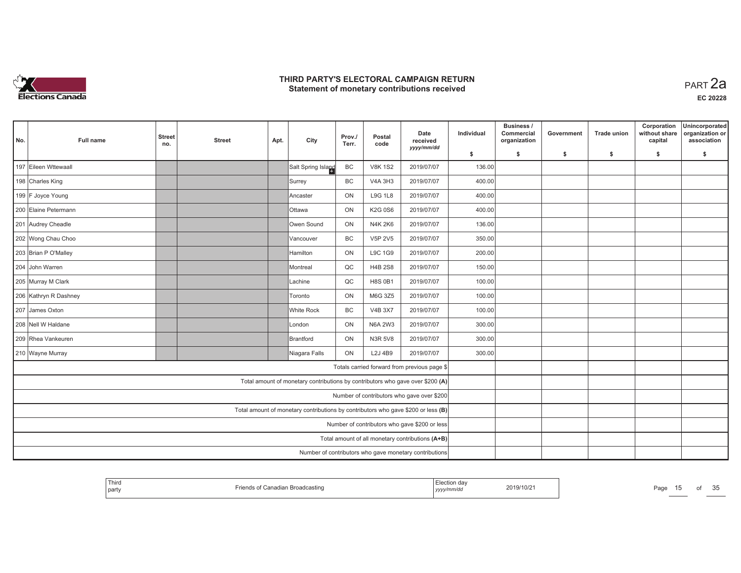

| No. | <b>Full name</b>      | <b>Street</b><br>no. | <b>Street</b> | Apt. | City                                                                              | Prov./<br>Terr. | Postal<br>code | Date<br>received<br>yyyy/mm/dd                         | Individual | Business /<br>Commercial<br>organization | Government | <b>Trade union</b> | Corporation<br>without share<br>capital | Unincorporated<br>organization or<br>association |
|-----|-----------------------|----------------------|---------------|------|-----------------------------------------------------------------------------------|-----------------|----------------|--------------------------------------------------------|------------|------------------------------------------|------------|--------------------|-----------------------------------------|--------------------------------------------------|
|     |                       |                      |               |      |                                                                                   |                 |                |                                                        | \$         | s.                                       | -\$        | -\$                | \$                                      | \$                                               |
|     | 197 Eileen Wttewaall  |                      |               |      | Salt Spring Island                                                                | BC              | <b>V8K 1S2</b> | 2019/07/07                                             | 136.00     |                                          |            |                    |                                         |                                                  |
|     | 198 Charles King      |                      |               |      | Surrey                                                                            | <b>BC</b>       | <b>V4A 3H3</b> | 2019/07/07                                             | 400.00     |                                          |            |                    |                                         |                                                  |
|     | 199 F Joyce Young     |                      |               |      | Ancaster                                                                          | ON              | <b>L9G 1L8</b> | 2019/07/07                                             | 400.00     |                                          |            |                    |                                         |                                                  |
|     | 200 Elaine Petermann  |                      |               |      | <b>Ottawa</b>                                                                     | ON              | K2G 0S6        | 2019/07/07                                             | 400.00     |                                          |            |                    |                                         |                                                  |
|     | 201 Audrey Cheadle    |                      |               |      | Owen Sound                                                                        | ON              | <b>N4K2K6</b>  | 2019/07/07                                             | 136.00     |                                          |            |                    |                                         |                                                  |
|     | 202 Wong Chau Choo    |                      |               |      | Vancouver                                                                         | BC              | <b>V5P 2V5</b> | 2019/07/07                                             | 350.00     |                                          |            |                    |                                         |                                                  |
|     | 203 Brian P O'Malley  |                      |               |      | <b>Hamilton</b>                                                                   | ON              | L9C 1G9        | 2019/07/07                                             | 200.00     |                                          |            |                    |                                         |                                                  |
|     | 204 John Warren       |                      |               |      | Montreal                                                                          | QC              | <b>H4B 2S8</b> | 2019/07/07                                             | 150.00     |                                          |            |                    |                                         |                                                  |
|     | 205 Murray M Clark    |                      |               |      | ILachine                                                                          | QC              | <b>H8S 0B1</b> | 2019/07/07                                             | 100.00     |                                          |            |                    |                                         |                                                  |
|     | 206 Kathryn R Dashney |                      |               |      | Toronto                                                                           | ON              | M6G 3Z5        | 2019/07/07                                             | 100.00     |                                          |            |                    |                                         |                                                  |
|     | 207 James Oxton       |                      |               |      | White Rock                                                                        | BC              | <b>V4B 3X7</b> | 2019/07/07                                             | 100.00     |                                          |            |                    |                                         |                                                  |
|     | 208 Nell W Haldane    |                      |               |      | London                                                                            | ON              | <b>N6A 2W3</b> | 2019/07/07                                             | 300.00     |                                          |            |                    |                                         |                                                  |
|     | 209 Rhea Vankeuren    |                      |               |      | Brantford                                                                         | ON              | <b>N3R 5V8</b> | 2019/07/07                                             | 300.00     |                                          |            |                    |                                         |                                                  |
|     | 210 Wayne Murray      |                      |               |      | Niagara Falls                                                                     | ON              | L2J 4B9        | 2019/07/07                                             | 300.00     |                                          |            |                    |                                         |                                                  |
|     |                       |                      |               |      |                                                                                   |                 |                | Totals carried forward from previous page \$           |            |                                          |            |                    |                                         |                                                  |
|     |                       |                      |               |      | Total amount of monetary contributions by contributors who gave over \$200 (A)    |                 |                |                                                        |            |                                          |            |                    |                                         |                                                  |
|     |                       |                      |               |      |                                                                                   |                 |                | Number of contributors who gave over \$200             |            |                                          |            |                    |                                         |                                                  |
|     |                       |                      |               |      | Total amount of monetary contributions by contributors who gave \$200 or less (B) |                 |                |                                                        |            |                                          |            |                    |                                         |                                                  |
|     |                       |                      |               |      |                                                                                   |                 |                | Number of contributors who gave \$200 or less          |            |                                          |            |                    |                                         |                                                  |
|     |                       |                      |               |      |                                                                                   |                 |                | Total amount of all monetary contributions (A+B)       |            |                                          |            |                    |                                         |                                                  |
|     |                       |                      |               |      |                                                                                   |                 |                | Number of contributors who gave monetary contributions |            |                                          |            |                    |                                         |                                                  |

| Third<br>⊨lection dav<br>2019/10/2<br>. Broadcastinc<br>Page<br>party<br>yyyymm/ar |  | от | $\sim$ $\sim$<br>. .<br>ັບ |
|------------------------------------------------------------------------------------|--|----|----------------------------|
|------------------------------------------------------------------------------------|--|----|----------------------------|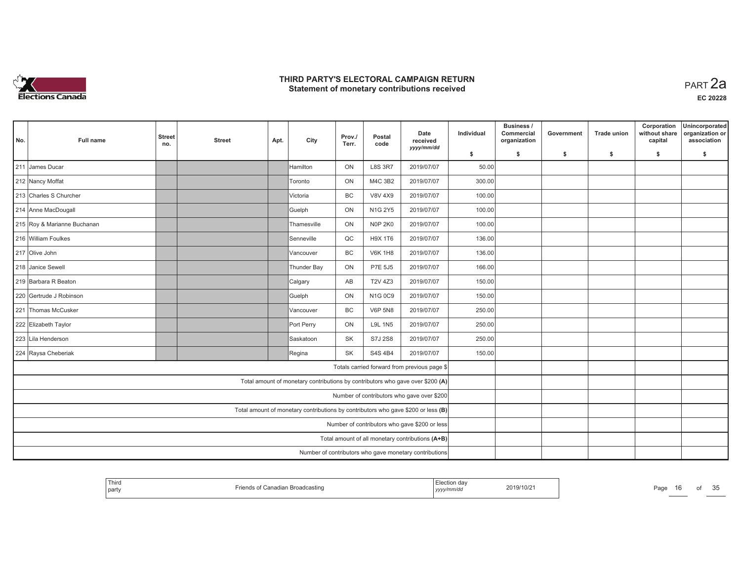

| No. | <b>Full name</b>            | <b>Street</b><br>no. | <b>Street</b> | Apt. | City                                                                              | Prov./<br>Terr. | Postal<br>code | Date<br>received<br>yyyy/mm/dd                         | Individual | Business /<br>Commercial<br>organization | Government | <b>Trade union</b> | Corporation<br>without share<br>capital | Unincorporated<br>organization or<br>association |
|-----|-----------------------------|----------------------|---------------|------|-----------------------------------------------------------------------------------|-----------------|----------------|--------------------------------------------------------|------------|------------------------------------------|------------|--------------------|-----------------------------------------|--------------------------------------------------|
|     |                             |                      |               |      |                                                                                   |                 |                |                                                        | \$         | s.                                       | -\$        | -\$                | \$                                      | \$                                               |
|     | 211 James Ducar             |                      |               |      | Hamilton                                                                          | ON              | <b>L8S 3R7</b> | 2019/07/07                                             | 50.00      |                                          |            |                    |                                         |                                                  |
|     | 212 Nancy Moffat            |                      |               |      | <b>Toronto</b>                                                                    | ON              | M4C 3B2        | 2019/07/07                                             | 300.00     |                                          |            |                    |                                         |                                                  |
|     | 213 Charles S Churcher      |                      |               |      | Victoria                                                                          | <b>BC</b>       | <b>V8V 4X9</b> | 2019/07/07                                             | 100.00     |                                          |            |                    |                                         |                                                  |
|     | 214 Anne MacDougall         |                      |               |      | Guelph                                                                            | ON              | N1G 2Y5        | 2019/07/07                                             | 100.00     |                                          |            |                    |                                         |                                                  |
|     | 215 Roy & Marianne Buchanan |                      |               |      | Thamesville                                                                       | ON              | <b>N0P 2K0</b> | 2019/07/07                                             | 100.00     |                                          |            |                    |                                         |                                                  |
|     | 216 William Foulkes         |                      |               |      | Senneville                                                                        | QC              | H9X 1T6        | 2019/07/07                                             | 136.00     |                                          |            |                    |                                         |                                                  |
|     | 217 Olive John              |                      |               |      | lVancouver                                                                        | <b>BC</b>       | <b>V6K 1H8</b> | 2019/07/07                                             | 136.00     |                                          |            |                    |                                         |                                                  |
|     | 218 Janice Sewell           |                      |               |      | Thunder Bay                                                                       | ON              | P7E 5J5        | 2019/07/07                                             | 166.00     |                                          |            |                    |                                         |                                                  |
|     | 219 Barbara R Beaton        |                      |               |      | Calgary                                                                           | AB              | <b>T2V 4Z3</b> | 2019/07/07                                             | 150.00     |                                          |            |                    |                                         |                                                  |
|     | 220 Gertrude J Robinson     |                      |               |      | Guelph                                                                            | ON              | N1G 0C9        | 2019/07/07                                             | 150.00     |                                          |            |                    |                                         |                                                  |
|     | 221 Thomas McCusker         |                      |               |      | Vancouver                                                                         | BC              | <b>V6P 5N8</b> | 2019/07/07                                             | 250.00     |                                          |            |                    |                                         |                                                  |
|     | 222 Elizabeth Taylor        |                      |               |      | Port Perry                                                                        | ON              | <b>L9L 1N5</b> | 2019/07/07                                             | 250.00     |                                          |            |                    |                                         |                                                  |
|     | 223 Lila Henderson          |                      |               |      | Saskatoon                                                                         | SK              | S7J 2S8        | 2019/07/07                                             | 250.00     |                                          |            |                    |                                         |                                                  |
|     | 224 Raysa Cheberiak         |                      |               |      | Regina                                                                            | <b>SK</b>       | S4S 4B4        | 2019/07/07                                             | 150.00     |                                          |            |                    |                                         |                                                  |
|     |                             |                      |               |      |                                                                                   |                 |                | Totals carried forward from previous page \$           |            |                                          |            |                    |                                         |                                                  |
|     |                             |                      |               |      | Total amount of monetary contributions by contributors who gave over \$200 (A)    |                 |                |                                                        |            |                                          |            |                    |                                         |                                                  |
|     |                             |                      |               |      |                                                                                   |                 |                | Number of contributors who gave over \$200             |            |                                          |            |                    |                                         |                                                  |
|     |                             |                      |               |      | Total amount of monetary contributions by contributors who gave \$200 or less (B) |                 |                |                                                        |            |                                          |            |                    |                                         |                                                  |
|     |                             |                      |               |      |                                                                                   |                 |                | Number of contributors who gave \$200 or less          |            |                                          |            |                    |                                         |                                                  |
|     |                             |                      |               |      |                                                                                   |                 |                | Total amount of all monetary contributions (A+B)       |            |                                          |            |                    |                                         |                                                  |
|     |                             |                      |               |      |                                                                                   |                 |                | Number of contributors who gave monetary contributions |            |                                          |            |                    |                                         |                                                  |

| Third<br>2019/10/21<br>Page<br>adian Broadcasting<br>Canadian<br>$\mathsf{m}$<br>l part<br>™mm⁄au<br>, <i>yyyyır</i> |
|----------------------------------------------------------------------------------------------------------------------|
|----------------------------------------------------------------------------------------------------------------------|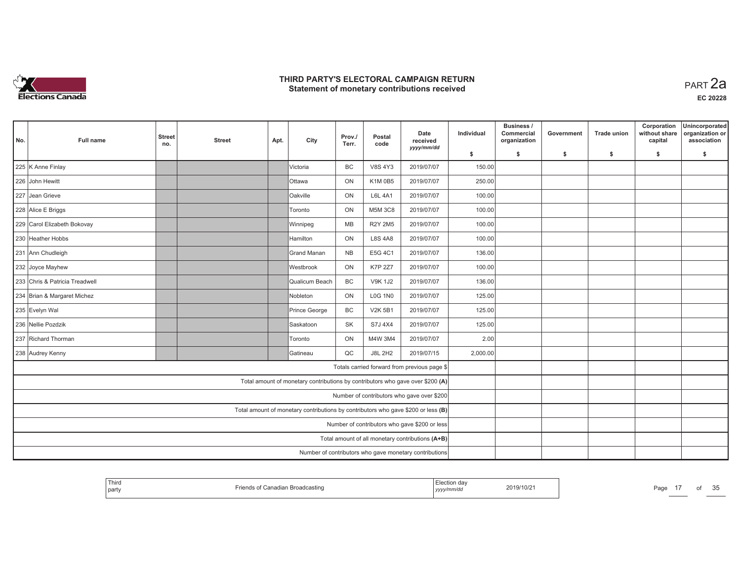

**EC 20228**

| No.                                                                               | <b>Full name</b>                                                      | <b>Street</b><br>no. | <b>Street</b> | Apt. | City                                                                           | Prov./<br>Terr. | Postal<br>code | Date<br>received<br>yyyy/mm/dd                   | Individual | Business /<br>Commercial<br>organization | Government | <b>Trade union</b> | Corporation<br>without share<br>capital | Unincorporated<br>organization or<br>association |
|-----------------------------------------------------------------------------------|-----------------------------------------------------------------------|----------------------|---------------|------|--------------------------------------------------------------------------------|-----------------|----------------|--------------------------------------------------|------------|------------------------------------------|------------|--------------------|-----------------------------------------|--------------------------------------------------|
|                                                                                   |                                                                       |                      |               |      |                                                                                |                 |                |                                                  | \$         | s.                                       | -\$        | -\$                | \$                                      | \$                                               |
|                                                                                   | 225 K Anne Finlay                                                     |                      |               |      | Victoria                                                                       | BC              | <b>V8S 4Y3</b> | 2019/07/07                                       | 150.00     |                                          |            |                    |                                         |                                                  |
|                                                                                   | 226 John Hewitt                                                       |                      |               |      | <b>Ottawa</b>                                                                  | ON              | <b>K1M 0B5</b> | 2019/07/07                                       | 250.00     |                                          |            |                    |                                         |                                                  |
|                                                                                   | 227 Jean Grieve                                                       |                      |               |      | Oakville                                                                       | ON              | <b>L6L 4A1</b> | 2019/07/07                                       | 100.00     |                                          |            |                    |                                         |                                                  |
|                                                                                   | 228 Alice E Briggs                                                    |                      |               |      | Toronto                                                                        | ON              | <b>M5M 3C8</b> | 2019/07/07                                       | 100.00     |                                          |            |                    |                                         |                                                  |
|                                                                                   | 229 Carol Elizabeth Bokovay                                           |                      |               |      | Winnipeg                                                                       | MB              | <b>R2Y 2M5</b> | 2019/07/07                                       | 100.00     |                                          |            |                    |                                         |                                                  |
|                                                                                   | 230 Heather Hobbs                                                     |                      |               |      | Hamilton                                                                       | ON              | <b>L8S 4A8</b> | 2019/07/07                                       | 100.00     |                                          |            |                    |                                         |                                                  |
|                                                                                   | 231 Ann Chudleigh                                                     |                      |               |      | Grand Manan                                                                    | <b>NB</b>       | E5G 4C1        | 2019/07/07                                       | 136.00     |                                          |            |                    |                                         |                                                  |
|                                                                                   | 232 Joyce Mayhew                                                      |                      |               |      | Westbrook                                                                      | ON              | <b>K7P 2Z7</b> | 2019/07/07                                       | 100.00     |                                          |            |                    |                                         |                                                  |
|                                                                                   | 233 Chris & Patricia Treadwell                                        |                      |               |      | Qualicum Beach                                                                 | BC              | <b>V9K1J2</b>  | 2019/07/07                                       | 136.00     |                                          |            |                    |                                         |                                                  |
|                                                                                   | 234 Brian & Margaret Michez                                           |                      |               |      | Nobleton                                                                       | ON              | <b>L0G 1N0</b> | 2019/07/07                                       | 125.00     |                                          |            |                    |                                         |                                                  |
|                                                                                   | BC<br>2019/07/07<br>235 Evelyn Wal<br>Prince George<br><b>V2K 5B1</b> |                      |               |      |                                                                                |                 |                |                                                  |            |                                          |            |                    |                                         |                                                  |
|                                                                                   | 236 Nellie Pozdzik                                                    |                      |               |      | Saskatoon                                                                      | SK              | S7J 4X4        | 2019/07/07                                       | 125.00     |                                          |            |                    |                                         |                                                  |
|                                                                                   | 237 Richard Thorman                                                   |                      |               |      | Toronto                                                                        | ON              | M4W 3M4        | 2019/07/07                                       | 2.00       |                                          |            |                    |                                         |                                                  |
|                                                                                   | 238 Audrey Kenny                                                      |                      |               |      | Gatineau                                                                       | QC              | <b>J8L 2H2</b> | 2019/07/15                                       | 2,000.00   |                                          |            |                    |                                         |                                                  |
|                                                                                   |                                                                       |                      |               |      |                                                                                |                 |                | Totals carried forward from previous page \$     |            |                                          |            |                    |                                         |                                                  |
|                                                                                   |                                                                       |                      |               |      | Total amount of monetary contributions by contributors who gave over \$200 (A) |                 |                |                                                  |            |                                          |            |                    |                                         |                                                  |
|                                                                                   |                                                                       |                      |               |      |                                                                                |                 |                | Number of contributors who gave over \$200       |            |                                          |            |                    |                                         |                                                  |
| Total amount of monetary contributions by contributors who gave \$200 or less (B) |                                                                       |                      |               |      |                                                                                |                 |                |                                                  |            |                                          |            |                    |                                         |                                                  |
| Number of contributors who gave \$200 or less                                     |                                                                       |                      |               |      |                                                                                |                 |                |                                                  |            |                                          |            |                    |                                         |                                                  |
|                                                                                   |                                                                       |                      |               |      |                                                                                |                 |                | Total amount of all monetary contributions (A+B) |            |                                          |            |                    |                                         |                                                  |
|                                                                                   | Number of contributors who gave monetary contributions                |                      |               |      |                                                                                |                 |                |                                                  |            |                                          |            |                    |                                         |                                                  |

| Third<br>  party | ıds of Canadian Broadcasting<br>$r$ rien $r$ | Election dav<br>2019/10/21<br>, yyyy/mm/dd |  |
|------------------|----------------------------------------------|--------------------------------------------|--|
|------------------|----------------------------------------------|--------------------------------------------|--|

age 17 of 35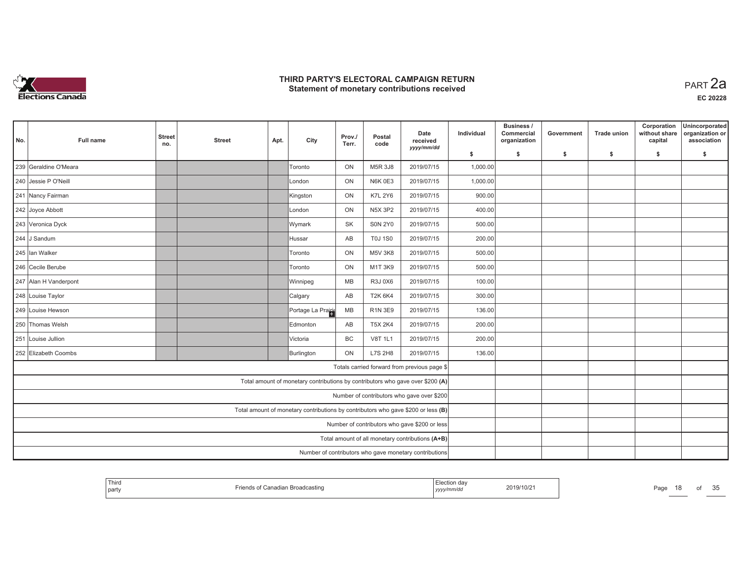

| No.                                                                               | Full name                                              | <b>Street</b><br>no.                          | <b>Street</b> | Apt. | City                                                                           | Prov./<br>Terr. | Postal<br>code | Date<br>received                                 | Individual | Business /<br>Commercial<br>organization | Government | <b>Trade union</b> | Corporation<br>without share<br>capital | Unincorporated<br>organization or<br>association |
|-----------------------------------------------------------------------------------|--------------------------------------------------------|-----------------------------------------------|---------------|------|--------------------------------------------------------------------------------|-----------------|----------------|--------------------------------------------------|------------|------------------------------------------|------------|--------------------|-----------------------------------------|--------------------------------------------------|
|                                                                                   |                                                        |                                               |               |      |                                                                                |                 |                | yyyy/mm/dd                                       | \$         | s.                                       | \$         | -S                 | \$                                      | \$                                               |
|                                                                                   | 239 Geraldine O'Meara                                  |                                               |               |      | Toronto                                                                        | ON              | M5R 3J8        | 2019/07/15                                       | 1,000.00   |                                          |            |                    |                                         |                                                  |
|                                                                                   | 240 Jessie P O'Neill                                   |                                               |               |      | London                                                                         | ON              | <b>N6K 0E3</b> | 2019/07/15                                       | 1,000.00   |                                          |            |                    |                                         |                                                  |
|                                                                                   | 241 Nancy Fairman                                      |                                               |               |      | Kingston                                                                       | ON              | <b>K7L 2Y6</b> | 2019/07/15                                       | 900.00     |                                          |            |                    |                                         |                                                  |
|                                                                                   | 242 Joyce Abbott                                       |                                               |               |      | London                                                                         | ON              | <b>N5X 3P2</b> | 2019/07/15                                       | 400.00     |                                          |            |                    |                                         |                                                  |
|                                                                                   | 243 Veronica Dyck                                      |                                               |               |      | Wymark                                                                         | <b>SK</b>       | <b>SON 2Y0</b> | 2019/07/15                                       | 500.00     |                                          |            |                    |                                         |                                                  |
|                                                                                   | 244 J Sandum                                           |                                               |               |      | Hussar                                                                         | AB              | <b>T0J 1S0</b> | 2019/07/15                                       | 200.00     |                                          |            |                    |                                         |                                                  |
|                                                                                   | 245 Ian Walker                                         |                                               |               |      | Toronto                                                                        | ON              | <b>M5V 3K8</b> | 2019/07/15                                       | 500.00     |                                          |            |                    |                                         |                                                  |
|                                                                                   | 246 Cecile Berube                                      |                                               |               |      | Toronto                                                                        | ON              | M1T 3K9        | 2019/07/15                                       | 500.00     |                                          |            |                    |                                         |                                                  |
|                                                                                   | 247 Alan H Vanderpont                                  |                                               |               |      | Winnipeg                                                                       | MB              | R3J0X6         | 2019/07/15                                       | 100.00     |                                          |            |                    |                                         |                                                  |
|                                                                                   | 248 Louise Taylor                                      |                                               |               |      | Calgary                                                                        | AB              | <b>T2K 6K4</b> | 2019/07/15                                       | 300.00     |                                          |            |                    |                                         |                                                  |
|                                                                                   | 249 Louise Hewson                                      |                                               |               |      | Portage La Prairie                                                             | MB              | R1N 3E9        | 2019/07/15                                       | 136.00     |                                          |            |                    |                                         |                                                  |
|                                                                                   | 250 Thomas Welsh                                       |                                               |               |      | Edmonton                                                                       | AB              | <b>T5X 2K4</b> | 2019/07/15                                       | 200.00     |                                          |            |                    |                                         |                                                  |
|                                                                                   | 251 Louise Jullion                                     |                                               |               |      | Victoria                                                                       | BC              | V8T 1L1        | 2019/07/15                                       | 200.00     |                                          |            |                    |                                         |                                                  |
|                                                                                   | 252 Elizabeth Coombs                                   |                                               |               |      | Burlington                                                                     | ON              | <b>L7S 2H8</b> | 2019/07/15                                       | 136.00     |                                          |            |                    |                                         |                                                  |
|                                                                                   |                                                        |                                               |               |      |                                                                                |                 |                | Totals carried forward from previous page \$     |            |                                          |            |                    |                                         |                                                  |
|                                                                                   |                                                        |                                               |               |      | Total amount of monetary contributions by contributors who gave over \$200 (A) |                 |                |                                                  |            |                                          |            |                    |                                         |                                                  |
| Number of contributors who gave over \$200                                        |                                                        |                                               |               |      |                                                                                |                 |                |                                                  |            |                                          |            |                    |                                         |                                                  |
| Total amount of monetary contributions by contributors who gave \$200 or less (B) |                                                        |                                               |               |      |                                                                                |                 |                |                                                  |            |                                          |            |                    |                                         |                                                  |
|                                                                                   |                                                        | Number of contributors who gave \$200 or less |               |      |                                                                                |                 |                |                                                  |            |                                          |            |                    |                                         |                                                  |
|                                                                                   |                                                        |                                               |               |      |                                                                                |                 |                | Total amount of all monetary contributions (A+B) |            |                                          |            |                    |                                         |                                                  |
|                                                                                   | Number of contributors who gave monetary contributions |                                               |               |      |                                                                                |                 |                |                                                  |            |                                          |            |                    |                                         |                                                  |

| Third<br>  party | ∵anadian Broadcasting | ⊨iection dav<br>.<br>nmır<br>, , , , , , , , | 2019/10/2 | Page | οt | $\sim$ $\sim$<br>u |
|------------------|-----------------------|----------------------------------------------|-----------|------|----|--------------------|
|------------------|-----------------------|----------------------------------------------|-----------|------|----|--------------------|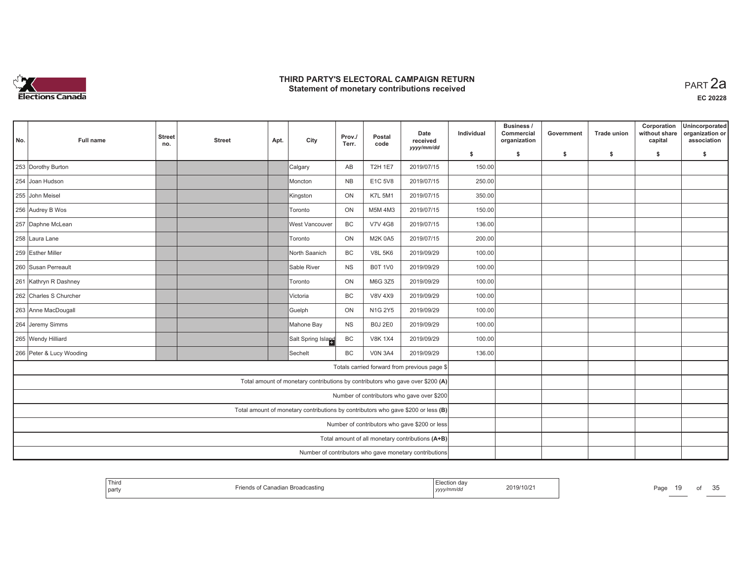

| No.                                                                               | <b>Full name</b>                                                                | <b>Street</b><br>no.                             | <b>Street</b> | Apt. | City                                                                           | Prov./<br>Terr. | Postal<br>code | Date<br>received<br>yyyy/mm/dd               | Individual | Business /<br>Commercial<br>organization | Government | <b>Trade union</b> | Corporation<br>without share<br>capital | Unincorporated<br>organization or<br>association |
|-----------------------------------------------------------------------------------|---------------------------------------------------------------------------------|--------------------------------------------------|---------------|------|--------------------------------------------------------------------------------|-----------------|----------------|----------------------------------------------|------------|------------------------------------------|------------|--------------------|-----------------------------------------|--------------------------------------------------|
|                                                                                   |                                                                                 |                                                  |               |      |                                                                                |                 |                |                                              | \$         | s.                                       | -\$        | -\$                | \$                                      | s.                                               |
|                                                                                   | 253 Dorothy Burton                                                              |                                                  |               |      | Calgary                                                                        | AB              | <b>T2H 1E7</b> | 2019/07/15                                   | 150.00     |                                          |            |                    |                                         |                                                  |
|                                                                                   | 254 Joan Hudson                                                                 |                                                  |               |      | Moncton                                                                        | <b>NB</b>       | E1C 5V8        | 2019/07/15                                   | 250.00     |                                          |            |                    |                                         |                                                  |
|                                                                                   | 255 John Meisel                                                                 |                                                  |               |      | Kingston                                                                       | ON              | <b>K7L 5M1</b> | 2019/07/15                                   | 350.00     |                                          |            |                    |                                         |                                                  |
|                                                                                   | 256 Audrey B Wos                                                                |                                                  |               |      | <b>Toronto</b>                                                                 | ON              | M5M 4M3        | 2019/07/15                                   | 150.00     |                                          |            |                    |                                         |                                                  |
|                                                                                   | 257 Daphne McLean                                                               |                                                  |               |      | West Vancouver                                                                 | <b>BC</b>       | <b>V7V 4G8</b> | 2019/07/15                                   | 136.00     |                                          |            |                    |                                         |                                                  |
|                                                                                   | 258 Laura Lane                                                                  |                                                  |               |      | <b>Toronto</b>                                                                 | ON              | <b>M2K 0A5</b> | 2019/07/15                                   | 200.00     |                                          |            |                    |                                         |                                                  |
|                                                                                   | 259 Esther Miller                                                               |                                                  |               |      | North Saanich                                                                  | <b>BC</b>       | <b>V8L 5K6</b> | 2019/09/29                                   | 100.00     |                                          |            |                    |                                         |                                                  |
|                                                                                   | 260 Susan Perreault                                                             |                                                  |               |      | Sable River                                                                    | <b>NS</b>       | <b>B0T 1V0</b> | 2019/09/29                                   | 100.00     |                                          |            |                    |                                         |                                                  |
|                                                                                   | 261 Kathryn R Dashney                                                           |                                                  |               |      | <b>Toronto</b>                                                                 | ON              | M6G 3Z5        | 2019/09/29                                   | 100.00     |                                          |            |                    |                                         |                                                  |
|                                                                                   | 262 Charles S Churcher<br><b>BC</b><br><b>V8V 4X9</b><br>2019/09/29<br>Victoria |                                                  |               |      |                                                                                |                 |                |                                              |            |                                          |            |                    |                                         |                                                  |
|                                                                                   | 263 Anne MacDougall<br>Guelph<br>ON<br>N1G 2Y5<br>2019/09/29                    |                                                  |               |      |                                                                                |                 |                |                                              |            | 100.00                                   |            |                    |                                         |                                                  |
|                                                                                   | 264 Jeremy Simms                                                                |                                                  |               |      | Mahone Bay                                                                     | <b>NS</b>       | <b>B0J 2E0</b> | 2019/09/29                                   | 100.00     |                                          |            |                    |                                         |                                                  |
|                                                                                   | 265 Wendy Hilliard                                                              |                                                  |               |      | Salt Spring Island                                                             | BC              | <b>V8K 1X4</b> | 2019/09/29                                   | 100.00     |                                          |            |                    |                                         |                                                  |
|                                                                                   | 266 Peter & Lucy Wooding                                                        |                                                  |               |      | Sechelt                                                                        | BC              | <b>V0N 3A4</b> | 2019/09/29                                   | 136.00     |                                          |            |                    |                                         |                                                  |
|                                                                                   |                                                                                 |                                                  |               |      |                                                                                |                 |                | Totals carried forward from previous page \$ |            |                                          |            |                    |                                         |                                                  |
|                                                                                   |                                                                                 |                                                  |               |      | Total amount of monetary contributions by contributors who gave over \$200 (A) |                 |                |                                              |            |                                          |            |                    |                                         |                                                  |
|                                                                                   |                                                                                 |                                                  |               |      |                                                                                |                 |                | Number of contributors who gave over \$200   |            |                                          |            |                    |                                         |                                                  |
| Total amount of monetary contributions by contributors who gave \$200 or less (B) |                                                                                 |                                                  |               |      |                                                                                |                 |                |                                              |            |                                          |            |                    |                                         |                                                  |
| Number of contributors who gave \$200 or less                                     |                                                                                 |                                                  |               |      |                                                                                |                 |                |                                              |            |                                          |            |                    |                                         |                                                  |
|                                                                                   |                                                                                 | Total amount of all monetary contributions (A+B) |               |      |                                                                                |                 |                |                                              |            |                                          |            |                    |                                         |                                                  |
|                                                                                   | Number of contributors who gave monetary contributions                          |                                                  |               |      |                                                                                |                 |                |                                              |            |                                          |            |                    |                                         |                                                  |

| Third<br>Election day<br>2019/10/21<br>Page<br>Canadian Broadcasting<br>ot Conodian<br>10 D<br>  party<br>yyyy/mm/dd |
|----------------------------------------------------------------------------------------------------------------------|
|----------------------------------------------------------------------------------------------------------------------|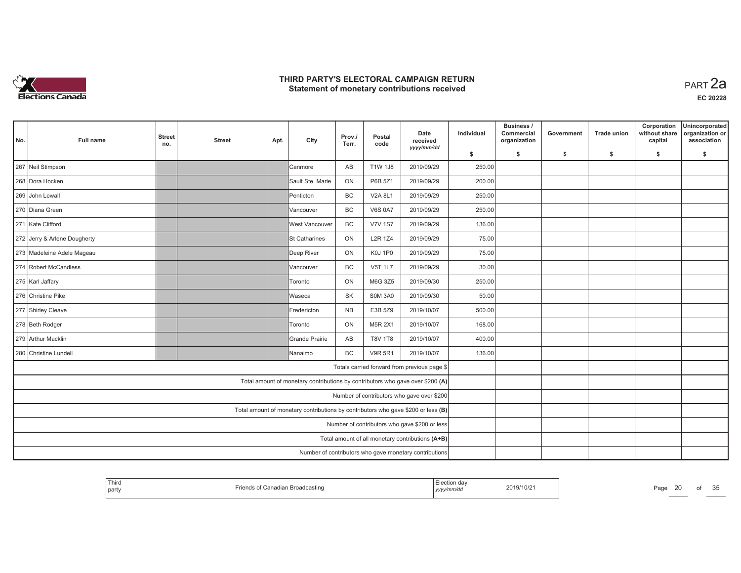

| No.                                                                               | Full name                                              | <b>Street</b><br>no.                          | <b>Street</b> | Apt.           | City                  | Prov./<br>Terr. | Postal<br>code | Date<br>received<br>yyyy/mm/dd                                                 | Individual | Business /<br>Commercial<br>organization | Government | <b>Trade union</b> | Corporation<br>without share<br>capital | Unincorporated<br>organization or<br>association |
|-----------------------------------------------------------------------------------|--------------------------------------------------------|-----------------------------------------------|---------------|----------------|-----------------------|-----------------|----------------|--------------------------------------------------------------------------------|------------|------------------------------------------|------------|--------------------|-----------------------------------------|--------------------------------------------------|
|                                                                                   |                                                        |                                               |               |                |                       |                 |                |                                                                                | \$         | \$                                       | \$         | \$                 | \$                                      | \$                                               |
|                                                                                   | 267 Neil Stimpson                                      |                                               |               |                | Canmore               | AB              | <b>T1W 1J8</b> | 2019/09/29                                                                     | 250.00     |                                          |            |                    |                                         |                                                  |
|                                                                                   | 268 Dora Hocken                                        |                                               |               |                | Sault Ste, Marie      | ON              | P6B 5Z1        | 2019/09/29                                                                     | 200.00     |                                          |            |                    |                                         |                                                  |
|                                                                                   | 269 John Lewall                                        |                                               |               |                | Penticton             | <b>BC</b>       | V2A 8L1        | 2019/09/29                                                                     | 250.00     |                                          |            |                    |                                         |                                                  |
|                                                                                   | 270 Diana Green                                        |                                               |               |                | Vancouver             | BC              | <b>V6S 0A7</b> | 2019/09/29                                                                     | 250.00     |                                          |            |                    |                                         |                                                  |
|                                                                                   | 271 Kate Clifford                                      |                                               |               |                | <b>West Vancouver</b> | <b>BC</b>       | <b>V7V 1S7</b> | 2019/09/29                                                                     | 136.00     |                                          |            |                    |                                         |                                                  |
|                                                                                   | 272 Jerry & Arlene Dougherty                           |                                               |               |                | <b>St Catharines</b>  | ON              | <b>L2R 1Z4</b> | 2019/09/29                                                                     | 75.00      |                                          |            |                    |                                         |                                                  |
|                                                                                   | 273 Madeleine Adele Mageau                             |                                               |               |                | Deep River            | <b>ON</b>       | K0J 1P0        | 2019/09/29                                                                     | 75.00      |                                          |            |                    |                                         |                                                  |
|                                                                                   | 274 Robert McCandless                                  |                                               |               |                | Vancouver             | BC              | <b>V5T 1L7</b> | 2019/09/29                                                                     | 30.00      |                                          |            |                    |                                         |                                                  |
| 275 Karl Jaffary<br>Toronto                                                       |                                                        |                                               |               |                |                       | <b>ON</b>       | M6G 3Z5        | 2019/09/30                                                                     | 250.00     |                                          |            |                    |                                         |                                                  |
|                                                                                   | 276 Christine Pike                                     | Waseca                                        | SK            | <b>SOM 3A0</b> | 2019/09/30            | 50.00           |                |                                                                                |            |                                          |            |                    |                                         |                                                  |
|                                                                                   | 277 Shirley Cleave                                     | Fredericton                                   | NB            | E3B 5Z9        | 2019/10/07            | 500.00          |                |                                                                                |            |                                          |            |                    |                                         |                                                  |
|                                                                                   | 278 Beth Rodger                                        |                                               |               |                | Toronto               | ON              | <b>M5R 2X1</b> | 2019/10/07                                                                     | 168.00     |                                          |            |                    |                                         |                                                  |
|                                                                                   | 279 Arthur Macklin                                     |                                               |               |                | <b>Grande Prairie</b> | AB              | <b>T8V 1T8</b> | 2019/10/07                                                                     | 400.00     |                                          |            |                    |                                         |                                                  |
|                                                                                   | 280 Christine Lundell                                  |                                               |               |                | Nanaimo               | <b>BC</b>       | <b>V9R 5R1</b> | 2019/10/07                                                                     | 136.00     |                                          |            |                    |                                         |                                                  |
|                                                                                   |                                                        |                                               |               |                |                       |                 |                | Totals carried forward from previous page \$                                   |            |                                          |            |                    |                                         |                                                  |
|                                                                                   |                                                        |                                               |               |                |                       |                 |                | Total amount of monetary contributions by contributors who gave over \$200 (A) |            |                                          |            |                    |                                         |                                                  |
|                                                                                   |                                                        |                                               |               |                |                       |                 |                | Number of contributors who gave over \$200                                     |            |                                          |            |                    |                                         |                                                  |
| Total amount of monetary contributions by contributors who gave \$200 or less (B) |                                                        |                                               |               |                |                       |                 |                |                                                                                |            |                                          |            |                    |                                         |                                                  |
|                                                                                   |                                                        | Number of contributors who gave \$200 or less |               |                |                       |                 |                |                                                                                |            |                                          |            |                    |                                         |                                                  |
|                                                                                   |                                                        |                                               |               |                |                       |                 |                | Total amount of all monetary contributions (A+B)                               |            |                                          |            |                    |                                         |                                                  |
|                                                                                   | Number of contributors who gave monetary contributions |                                               |               |                |                       |                 |                |                                                                                |            |                                          |            |                    |                                         |                                                  |

| <sup>1</sup> Thirc<br>part | $-$ - $-$ ion Droodoon<br>าastin⊾ | , yyyyır<br> | 019/10/2 | Page | $\overline{\phantom{0}}$ |  | $\sim$ $\sim$<br>. |
|----------------------------|-----------------------------------|--------------|----------|------|--------------------------|--|--------------------|
|----------------------------|-----------------------------------|--------------|----------|------|--------------------------|--|--------------------|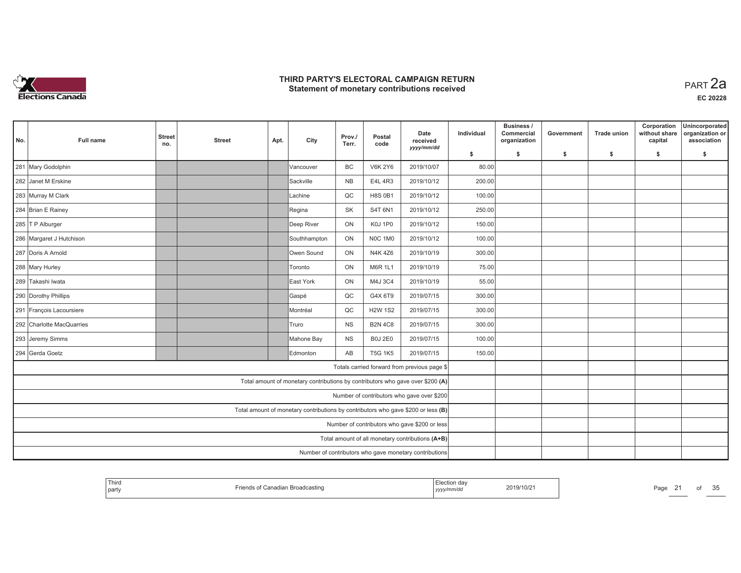

| No.                                                                               | Full name                                                                  | <b>Street</b><br>no.                          | <b>Street</b> | Apt. | City         | Prov./<br>Terr. | Postal<br>code | Date<br>received                                                               | Individual | Business /<br>Commercial<br>organization | Government | <b>Trade union</b> | Corporation<br>without share<br>capital | Unincorporated<br>organization or<br>association |
|-----------------------------------------------------------------------------------|----------------------------------------------------------------------------|-----------------------------------------------|---------------|------|--------------|-----------------|----------------|--------------------------------------------------------------------------------|------------|------------------------------------------|------------|--------------------|-----------------------------------------|--------------------------------------------------|
|                                                                                   |                                                                            |                                               |               |      |              |                 |                | yyyy/mm/dd                                                                     | \$         | s.                                       | \$         | -S                 | \$                                      | \$                                               |
|                                                                                   | 281 Mary Godolphin                                                         |                                               |               |      | Vancouver    | BC              | <b>V6K 2Y6</b> | 2019/10/07                                                                     | 80.00      |                                          |            |                    |                                         |                                                  |
|                                                                                   | 282 Janet M Erskine                                                        |                                               |               |      | Sackville    | <b>NB</b>       | E4L 4R3        | 2019/10/12                                                                     | 200.00     |                                          |            |                    |                                         |                                                  |
|                                                                                   | 283 Murray M Clark                                                         |                                               |               |      | Lachine      | QC              | <b>H8S 0B1</b> | 2019/10/12                                                                     | 100.00     |                                          |            |                    |                                         |                                                  |
|                                                                                   | 284 Brian E Rainey                                                         |                                               |               |      | Regina       | SK              | S4T 6N1        | 2019/10/12                                                                     | 250.00     |                                          |            |                    |                                         |                                                  |
|                                                                                   | 285 T P Alburger                                                           |                                               |               |      | Deep River   | ON              | K0J 1P0        | 2019/10/12                                                                     | 150.00     |                                          |            |                    |                                         |                                                  |
|                                                                                   | 286 Margaret J Hutchison                                                   |                                               |               |      | Southhampton | ON              | <b>NOC 1M0</b> | 2019/10/12                                                                     | 100.00     |                                          |            |                    |                                         |                                                  |
|                                                                                   | 287 Doris A Arnold                                                         |                                               |               |      | Owen Sound   | ON              | N4K 4Z6        | 2019/10/19                                                                     | 300.00     |                                          |            |                    |                                         |                                                  |
|                                                                                   | 288 Mary Hurley                                                            |                                               |               |      | Toronto      | ON              | M6R 1L1        | 2019/10/19                                                                     | 75.00      |                                          |            |                    |                                         |                                                  |
| 289 Takashi Iwata<br>ON<br>East York                                              |                                                                            |                                               |               |      |              |                 | M4J 3C4        | 2019/10/19                                                                     | 55.00      |                                          |            |                    |                                         |                                                  |
|                                                                                   | 290 Dorothy Phillips<br>QC<br>G4X 6T9<br>2019/07/15<br>Gaspé               |                                               |               |      |              |                 |                |                                                                                | 300.00     |                                          |            |                    |                                         |                                                  |
|                                                                                   | 291 François Lacoursiere<br>QC<br><b>H2W 1S2</b><br>2019/07/15<br>Montréal |                                               |               |      |              |                 |                |                                                                                | 300.00     |                                          |            |                    |                                         |                                                  |
|                                                                                   | 292 Charlotte MacQuarries                                                  |                                               |               |      | Truro        | <b>NS</b>       | <b>B2N 4C8</b> | 2019/07/15                                                                     | 300.00     |                                          |            |                    |                                         |                                                  |
|                                                                                   | 293 Jeremy Simms                                                           |                                               |               |      | Mahone Bay   | <b>NS</b>       | <b>B0J 2E0</b> | 2019/07/15                                                                     | 100.00     |                                          |            |                    |                                         |                                                  |
|                                                                                   | 294 Gerda Goetz                                                            |                                               |               |      | Edmonton     | AB              | <b>T5G 1K5</b> | 2019/07/15                                                                     | 150.00     |                                          |            |                    |                                         |                                                  |
|                                                                                   |                                                                            |                                               |               |      |              |                 |                | Totals carried forward from previous page \$                                   |            |                                          |            |                    |                                         |                                                  |
|                                                                                   |                                                                            |                                               |               |      |              |                 |                | Total amount of monetary contributions by contributors who gave over \$200 (A) |            |                                          |            |                    |                                         |                                                  |
| Number of contributors who gave over \$200                                        |                                                                            |                                               |               |      |              |                 |                |                                                                                |            |                                          |            |                    |                                         |                                                  |
| Total amount of monetary contributions by contributors who gave \$200 or less (B) |                                                                            |                                               |               |      |              |                 |                |                                                                                |            |                                          |            |                    |                                         |                                                  |
|                                                                                   |                                                                            | Number of contributors who gave \$200 or less |               |      |              |                 |                |                                                                                |            |                                          |            |                    |                                         |                                                  |
|                                                                                   |                                                                            |                                               |               |      |              |                 |                | Total amount of all monetary contributions (A+B)                               |            |                                          |            |                    |                                         |                                                  |
|                                                                                   | Number of contributors who gave monetary contributions                     |                                               |               |      |              |                 |                |                                                                                |            |                                          |            |                    |                                         |                                                  |

| <sup>I</sup> Third<br>party | lian Broadcastino | Election dav<br>yyyy/mm/dd | 2019/10/2 | Page | от | 25<br>ັບ |
|-----------------------------|-------------------|----------------------------|-----------|------|----|----------|
|-----------------------------|-------------------|----------------------------|-----------|------|----|----------|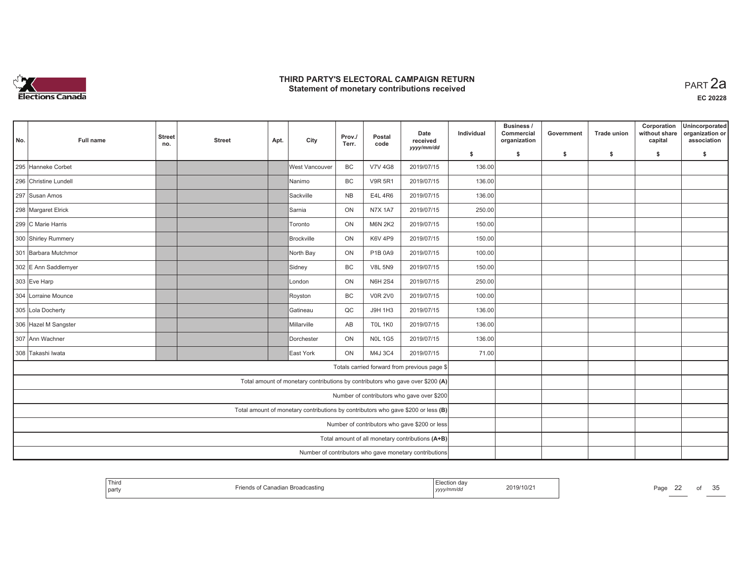

| No.                                                                               | <b>Full name</b>                                                     | <b>Street</b><br>no. | <b>Street</b> | Apt. | City                                                                           | Prov./<br>Terr. | Postal<br>code | Date<br>received<br>yyyy/mm/dd               | Individual | Business /<br>Commercial<br>organization | Government | <b>Trade union</b> | Corporation<br>without share<br>capital | Unincorporated<br>organization or<br>association |
|-----------------------------------------------------------------------------------|----------------------------------------------------------------------|----------------------|---------------|------|--------------------------------------------------------------------------------|-----------------|----------------|----------------------------------------------|------------|------------------------------------------|------------|--------------------|-----------------------------------------|--------------------------------------------------|
|                                                                                   |                                                                      |                      |               |      |                                                                                |                 |                |                                              | \$         | s.                                       | -\$        | -\$                | \$                                      | \$                                               |
|                                                                                   | 295 Hanneke Corbet                                                   |                      |               |      | West Vancouver                                                                 | <b>BC</b>       | <b>V7V 4G8</b> | 2019/07/15                                   | 136.00     |                                          |            |                    |                                         |                                                  |
|                                                                                   | 296 Christine Lundell                                                |                      |               |      | lNanimo                                                                        | <b>BC</b>       | <b>V9R 5R1</b> | 2019/07/15                                   | 136.00     |                                          |            |                    |                                         |                                                  |
|                                                                                   | 297 Susan Amos                                                       |                      |               |      | Sackville                                                                      | <b>NB</b>       | E4L 4R6        | 2019/07/15                                   | 136.00     |                                          |            |                    |                                         |                                                  |
|                                                                                   | 298 Margaret Elrick                                                  |                      |               |      | Samia                                                                          | ON              | <b>N7X 1A7</b> | 2019/07/15                                   | 250.00     |                                          |            |                    |                                         |                                                  |
|                                                                                   | 299 C Marie Harris                                                   |                      |               |      | Toronto                                                                        | ON              | <b>M6N 2K2</b> | 2019/07/15                                   | 150.00     |                                          |            |                    |                                         |                                                  |
|                                                                                   | 300 Shirley Rummery                                                  |                      |               |      | Brockville                                                                     | ON              | K6V 4P9        | 2019/07/15                                   | 150.00     |                                          |            |                    |                                         |                                                  |
|                                                                                   | 301 Barbara Mutchmor                                                 |                      |               |      | North Bay                                                                      | ON              | P1B 0A9        | 2019/07/15                                   | 100.00     |                                          |            |                    |                                         |                                                  |
|                                                                                   | 302 E Ann Saddlemyer                                                 |                      |               |      | Sidney                                                                         | BC              | <b>V8L 5N9</b> | 2019/07/15                                   | 150.00     |                                          |            |                    |                                         |                                                  |
|                                                                                   | 303 Eve Harp                                                         |                      |               |      | lLondon                                                                        | ON              | <b>N6H 2S4</b> | 2019/07/15                                   | 250.00     |                                          |            |                    |                                         |                                                  |
|                                                                                   | 304 Lorraine Mounce<br>BC<br><b>V0R 2V0</b><br>2019/07/15<br>Royston |                      |               |      |                                                                                |                 |                |                                              | 100.00     |                                          |            |                    |                                         |                                                  |
|                                                                                   | 305 Lola Docherty<br>Gatineau<br>QC<br>J9H 1H3<br>2019/07/15         |                      |               |      |                                                                                |                 |                |                                              |            |                                          |            |                    |                                         |                                                  |
|                                                                                   | 306 Hazel M Sangster                                                 |                      |               |      | Millarville                                                                    | AB              | <b>TOL 1K0</b> | 2019/07/15                                   | 136.00     |                                          |            |                    |                                         |                                                  |
|                                                                                   | 307 Ann Wachner                                                      |                      |               |      | Dorchester                                                                     | ON              | <b>NOL 1G5</b> | 2019/07/15                                   | 136.00     |                                          |            |                    |                                         |                                                  |
|                                                                                   | 308 Takashi Iwata                                                    |                      |               |      | East York                                                                      | ON              | M4J 3C4        | 2019/07/15                                   | 71.00      |                                          |            |                    |                                         |                                                  |
|                                                                                   |                                                                      |                      |               |      |                                                                                |                 |                | Totals carried forward from previous page \$ |            |                                          |            |                    |                                         |                                                  |
|                                                                                   |                                                                      |                      |               |      | Total amount of monetary contributions by contributors who gave over \$200 (A) |                 |                |                                              |            |                                          |            |                    |                                         |                                                  |
|                                                                                   |                                                                      |                      |               |      |                                                                                |                 |                | Number of contributors who gave over \$200   |            |                                          |            |                    |                                         |                                                  |
| Total amount of monetary contributions by contributors who gave \$200 or less (B) |                                                                      |                      |               |      |                                                                                |                 |                |                                              |            |                                          |            |                    |                                         |                                                  |
| Number of contributors who gave \$200 or less                                     |                                                                      |                      |               |      |                                                                                |                 |                |                                              |            |                                          |            |                    |                                         |                                                  |
|                                                                                   | Total amount of all monetary contributions (A+B)                     |                      |               |      |                                                                                |                 |                |                                              |            |                                          |            |                    |                                         |                                                  |
|                                                                                   | Number of contributors who gave monetary contributions               |                      |               |      |                                                                                |                 |                |                                              |            |                                          |            |                    |                                         |                                                  |

| Third<br>2019/10/21<br>D <sub>0</sub><br>adian Broadcasting<br>Canadian<br>l part<br>au.<br>mm/au<br>__<br>, <i>yyyyır</i> | OI | $\sim$ $\sim$<br>u |
|----------------------------------------------------------------------------------------------------------------------------|----|--------------------|
|----------------------------------------------------------------------------------------------------------------------------|----|--------------------|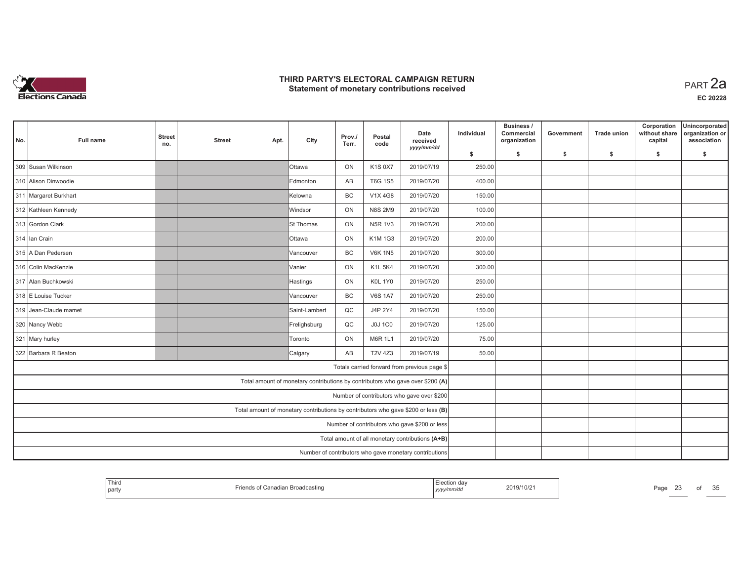

| No. | <b>Full name</b>                                                     | <b>Street</b><br>no.                                                              | <b>Street</b>                                 | Apt.                                                   | City                                                                           | Prov./<br>Terr. | Postal<br>code | Date<br>received<br>yyyy/mm/dd                   | Individual | Business /<br>Commercial<br>organization | Government | <b>Trade union</b> | Corporation<br>without share<br>capital | Unincorporated<br>organization or<br>association |
|-----|----------------------------------------------------------------------|-----------------------------------------------------------------------------------|-----------------------------------------------|--------------------------------------------------------|--------------------------------------------------------------------------------|-----------------|----------------|--------------------------------------------------|------------|------------------------------------------|------------|--------------------|-----------------------------------------|--------------------------------------------------|
|     |                                                                      |                                                                                   |                                               |                                                        |                                                                                |                 |                |                                                  | \$         | s.                                       | -\$        | -\$                | \$                                      | \$                                               |
|     | 309 Susan Wilkinson                                                  |                                                                                   |                                               |                                                        | <b>O</b> ttawa                                                                 | ON              | K1S 0X7        | 2019/07/19                                       | 250.00     |                                          |            |                    |                                         |                                                  |
|     | 310 Alison Dinwoodie                                                 |                                                                                   |                                               |                                                        | Edmonton                                                                       | AB              | <b>T6G 1S5</b> | 2019/07/20                                       | 400.00     |                                          |            |                    |                                         |                                                  |
|     | 311 Margaret Burkhart                                                |                                                                                   |                                               |                                                        | IKelowna                                                                       | <b>BC</b>       | V1X 4G8        | 2019/07/20                                       | 150.00     |                                          |            |                    |                                         |                                                  |
|     | 312 Kathleen Kennedy                                                 |                                                                                   |                                               |                                                        | Windsor                                                                        | ON              | <b>N8S 2M9</b> | 2019/07/20                                       | 100.00     |                                          |            |                    |                                         |                                                  |
|     | 313 Gordon Clark                                                     |                                                                                   |                                               |                                                        | <b>St Thomas</b>                                                               | ON              | <b>N5R 1V3</b> | 2019/07/20                                       | 200.00     |                                          |            |                    |                                         |                                                  |
|     | 314 Ian Crain                                                        |                                                                                   |                                               |                                                        | <b>Ottawa</b>                                                                  | ON              | K1M 1G3        | 2019/07/20                                       | 200.00     |                                          |            |                    |                                         |                                                  |
|     | 315 A Dan Pedersen                                                   |                                                                                   | 300.00                                        |                                                        |                                                                                |                 |                |                                                  |            |                                          |            |                    |                                         |                                                  |
|     | 316 Colin MacKenzie<br>ON<br><b>K1L 5K4</b><br>2019/07/20<br>lVanier |                                                                                   |                                               |                                                        |                                                                                |                 |                |                                                  | 300.00     |                                          |            |                    |                                         |                                                  |
|     | 317 Alan Buchkowski                                                  |                                                                                   |                                               |                                                        | Hastings                                                                       | ON              | K0L 1Y0        | 2019/07/20                                       | 250.00     |                                          |            |                    |                                         |                                                  |
|     | 318 E Louise Tucker                                                  |                                                                                   |                                               |                                                        | Vancouver                                                                      | BC              | <b>V6S 1A7</b> | 2019/07/20                                       | 250.00     |                                          |            |                    |                                         |                                                  |
|     | 319 Jean-Claude mamet                                                |                                                                                   |                                               |                                                        | Saint-Lambert                                                                  | QC              | J4P 2Y4        | 2019/07/20                                       | 150.00     |                                          |            |                    |                                         |                                                  |
|     | 320 Nancy Webb                                                       |                                                                                   |                                               |                                                        | Frelighsburg                                                                   | $_{\rm QC}$     | <b>J0J 1C0</b> | 2019/07/20                                       | 125.00     |                                          |            |                    |                                         |                                                  |
|     | 321 Mary hurley                                                      |                                                                                   |                                               |                                                        | Toronto                                                                        | ON              | <b>M6R 1L1</b> | 2019/07/20                                       | 75.00      |                                          |            |                    |                                         |                                                  |
|     | 322 Barbara R Beaton                                                 |                                                                                   |                                               |                                                        | Calgary                                                                        | AB              | <b>T2V 4Z3</b> | 2019/07/19                                       | 50.00      |                                          |            |                    |                                         |                                                  |
|     |                                                                      |                                                                                   |                                               |                                                        |                                                                                |                 |                | Totals carried forward from previous page \$     |            |                                          |            |                    |                                         |                                                  |
|     |                                                                      |                                                                                   |                                               |                                                        | Total amount of monetary contributions by contributors who gave over \$200 (A) |                 |                |                                                  |            |                                          |            |                    |                                         |                                                  |
|     |                                                                      |                                                                                   |                                               |                                                        |                                                                                |                 |                | Number of contributors who gave over \$200       |            |                                          |            |                    |                                         |                                                  |
|     |                                                                      | Total amount of monetary contributions by contributors who gave \$200 or less (B) |                                               |                                                        |                                                                                |                 |                |                                                  |            |                                          |            |                    |                                         |                                                  |
|     |                                                                      |                                                                                   | Number of contributors who gave \$200 or less |                                                        |                                                                                |                 |                |                                                  |            |                                          |            |                    |                                         |                                                  |
|     |                                                                      |                                                                                   |                                               |                                                        |                                                                                |                 |                | Total amount of all monetary contributions (A+B) |            |                                          |            |                    |                                         |                                                  |
|     |                                                                      |                                                                                   |                                               | Number of contributors who gave monetary contributions |                                                                                |                 |                |                                                  |            |                                          |            |                    |                                         |                                                  |

| Third<br>party | lian Broadcastino | Election dav<br>yyyy/mm/dd | 2019/10/2 | Page<br>$-$ | οt | 25<br>ںں |
|----------------|-------------------|----------------------------|-----------|-------------|----|----------|
|----------------|-------------------|----------------------------|-----------|-------------|----|----------|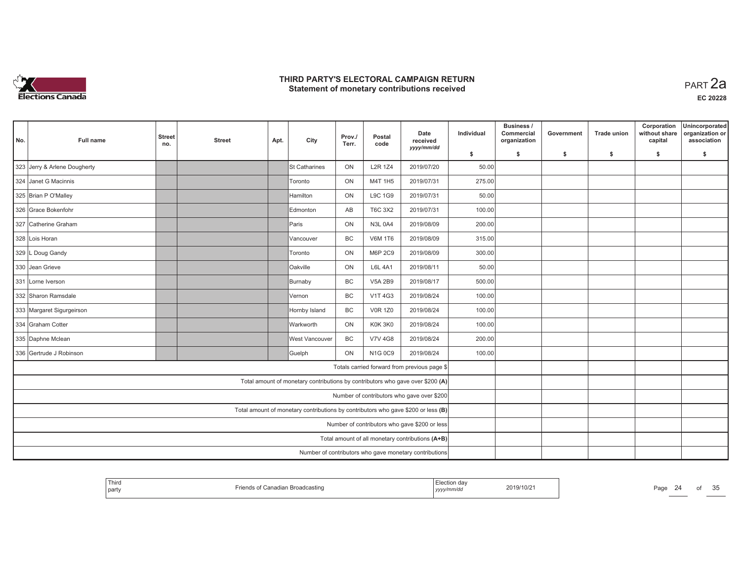

| No. | <b>Full name</b>                                                  | <b>Street</b><br>no.                                                              | <b>Street</b>                                 | Apt.                                                   | City                                                                           | Prov./<br>Terr. | Postal<br>code | Date<br>received<br>yyyy/mm/dd                   | Individual | Business /<br>Commercial<br>organization | Government | <b>Trade union</b> | Corporation<br>without share<br>capital | Unincorporated<br>organization or<br>association |
|-----|-------------------------------------------------------------------|-----------------------------------------------------------------------------------|-----------------------------------------------|--------------------------------------------------------|--------------------------------------------------------------------------------|-----------------|----------------|--------------------------------------------------|------------|------------------------------------------|------------|--------------------|-----------------------------------------|--------------------------------------------------|
|     |                                                                   |                                                                                   |                                               |                                                        |                                                                                |                 |                |                                                  | \$         | s.                                       | -\$        | -\$                | \$                                      | s.                                               |
|     | 323 Jerry & Arlene Dougherty                                      |                                                                                   |                                               |                                                        | St Catharines                                                                  | ON              | <b>L2R 1Z4</b> | 2019/07/20                                       | 50.00      |                                          |            |                    |                                         |                                                  |
|     | 324 Janet G Macinnis                                              |                                                                                   |                                               |                                                        | Toronto                                                                        | ON              | M4T 1H5        | 2019/07/31                                       | 275.00     |                                          |            |                    |                                         |                                                  |
|     | 325 Brian P O'Malley                                              |                                                                                   |                                               |                                                        | Hamilton                                                                       | ON              | L9C 1G9        | 2019/07/31                                       | 50.00      |                                          |            |                    |                                         |                                                  |
|     | 326 Grace Bokenfohr                                               |                                                                                   |                                               |                                                        | Edmonton                                                                       | AB              | T6C 3X2        | 2019/07/31                                       | 100.00     |                                          |            |                    |                                         |                                                  |
|     | 327 Catherine Graham                                              |                                                                                   |                                               |                                                        | <b>Paris</b>                                                                   | ON              | <b>N3L 0A4</b> | 2019/08/09                                       | 200.00     |                                          |            |                    |                                         |                                                  |
|     | 328 Lois Horan                                                    |                                                                                   |                                               |                                                        | <b>Vancouver</b>                                                               | <b>BC</b>       | <b>V6M 1T6</b> | 2019/08/09                                       | 315.00     |                                          |            |                    |                                         |                                                  |
|     | 329 L Doug Gandy                                                  |                                                                                   | 300.00                                        |                                                        |                                                                                |                 |                |                                                  |            |                                          |            |                    |                                         |                                                  |
|     | ON<br>2019/08/11<br>330 Jean Grieve<br>Oakville<br><b>L6L 4A1</b> |                                                                                   |                                               |                                                        |                                                                                |                 |                |                                                  |            |                                          |            |                    |                                         |                                                  |
|     | 331 Lorne Iverson                                                 |                                                                                   |                                               |                                                        | Burnaby                                                                        | <b>BC</b>       | <b>V5A 2B9</b> | 2019/08/17                                       | 500.00     |                                          |            |                    |                                         |                                                  |
|     | 332 Sharon Ramsdale                                               |                                                                                   |                                               |                                                        | lVernon                                                                        | <b>BC</b>       | V1T 4G3        | 2019/08/24                                       | 100.00     |                                          |            |                    |                                         |                                                  |
|     | 333 Margaret Sigurgeirson                                         |                                                                                   |                                               |                                                        | Hornby Island                                                                  | <b>BC</b>       | <b>V0R 1Z0</b> | 2019/08/24                                       | 100.00     |                                          |            |                    |                                         |                                                  |
|     | 334 Graham Cotter                                                 |                                                                                   |                                               |                                                        | <b>Warkworth</b>                                                               | ON              | K0K 3K0        | 2019/08/24                                       | 100.00     |                                          |            |                    |                                         |                                                  |
|     | 335 Daphne Mclean                                                 |                                                                                   |                                               |                                                        | West Vancouver                                                                 | BC              | <b>V7V 4G8</b> | 2019/08/24                                       | 200.00     |                                          |            |                    |                                         |                                                  |
|     | 336 Gertrude J Robinson                                           |                                                                                   |                                               |                                                        | Guelph                                                                         | ON              | N1G 0C9        | 2019/08/24                                       | 100.00     |                                          |            |                    |                                         |                                                  |
|     |                                                                   |                                                                                   |                                               |                                                        |                                                                                |                 |                | Totals carried forward from previous page \$     |            |                                          |            |                    |                                         |                                                  |
|     |                                                                   |                                                                                   |                                               |                                                        | Total amount of monetary contributions by contributors who gave over \$200 (A) |                 |                |                                                  |            |                                          |            |                    |                                         |                                                  |
|     |                                                                   |                                                                                   |                                               |                                                        |                                                                                |                 |                | Number of contributors who gave over \$200       |            |                                          |            |                    |                                         |                                                  |
|     |                                                                   | Total amount of monetary contributions by contributors who gave \$200 or less (B) |                                               |                                                        |                                                                                |                 |                |                                                  |            |                                          |            |                    |                                         |                                                  |
|     |                                                                   |                                                                                   | Number of contributors who gave \$200 or less |                                                        |                                                                                |                 |                |                                                  |            |                                          |            |                    |                                         |                                                  |
|     |                                                                   |                                                                                   |                                               |                                                        |                                                                                |                 |                | Total amount of all monetary contributions (A+B) |            |                                          |            |                    |                                         |                                                  |
|     |                                                                   |                                                                                   |                                               | Number of contributors who gave monetary contributions |                                                                                |                 |                |                                                  |            |                                          |            |                    |                                         |                                                  |

| Thiro<br>par | idian Broadcastinc | ua<br>mmwac<br>, , , , , , , , | 2019/10/2 | Doo<br>au,<br>$\sim$<br>-- |  | ОТ | $\sim$ $\sim$<br>u |
|--------------|--------------------|--------------------------------|-----------|----------------------------|--|----|--------------------|
|--------------|--------------------|--------------------------------|-----------|----------------------------|--|----|--------------------|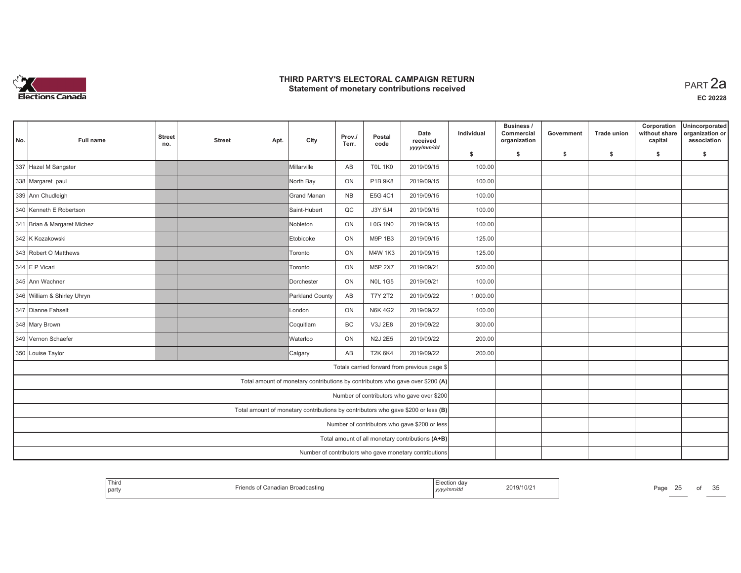

| No. | Full name                   | <b>Street</b><br>no.                             | <b>Street</b> | Apt.                                                   | City                                                                           | Prov./<br>Terr. | Postal<br>code | Date<br>received<br>yyyy/mm/dd               | Individual | Business /<br>Commercial<br>organization | Government | <b>Trade union</b> | Corporation<br>without share<br>capital | Unincorporated<br>organization or<br>association |
|-----|-----------------------------|--------------------------------------------------|---------------|--------------------------------------------------------|--------------------------------------------------------------------------------|-----------------|----------------|----------------------------------------------|------------|------------------------------------------|------------|--------------------|-----------------------------------------|--------------------------------------------------|
|     |                             |                                                  |               |                                                        |                                                                                |                 |                |                                              | \$         | s.                                       | \$         | -\$                | \$                                      | \$                                               |
|     | 337 Hazel M Sangster        |                                                  |               |                                                        | Millarville                                                                    | AB              | <b>T0L 1K0</b> | 2019/09/15                                   | 100.00     |                                          |            |                    |                                         |                                                  |
|     | 338 Margaret paul           |                                                  |               |                                                        | North Bay                                                                      | ON              | P1B 9K8        | 2019/09/15                                   | 100.00     |                                          |            |                    |                                         |                                                  |
|     | 339 Ann Chudleigh           |                                                  |               |                                                        | İGrand Manan                                                                   | <b>NB</b>       | E5G 4C1        | 2019/09/15                                   | 100.00     |                                          |            |                    |                                         |                                                  |
|     | 340 Kenneth E Robertson     |                                                  |               |                                                        | Saint-Hubert                                                                   | QC              | J3Y 5J4        | 2019/09/15                                   | 100.00     |                                          |            |                    |                                         |                                                  |
|     | 341 Brian & Margaret Michez |                                                  |               |                                                        | Nobleton                                                                       | ON              | <b>L0G 1N0</b> | 2019/09/15                                   | 100.00     |                                          |            |                    |                                         |                                                  |
|     | 342 K Kozakowski            | 125.00                                           |               |                                                        |                                                                                |                 |                |                                              |            |                                          |            |                    |                                         |                                                  |
|     | 343 Robert O Matthews       | 125.00                                           |               |                                                        |                                                                                |                 |                |                                              |            |                                          |            |                    |                                         |                                                  |
|     | 344 E P Vicari              |                                                  |               |                                                        | Toronto                                                                        | ON              | M5P 2X7        | 2019/09/21                                   | 500.00     |                                          |            |                    |                                         |                                                  |
|     | 345 Ann Wachner             |                                                  |               |                                                        | Dorchester                                                                     | ON              | <b>NOL 1G5</b> | 2019/09/21                                   | 100.00     |                                          |            |                    |                                         |                                                  |
|     | 346 William & Shirley Uhryn |                                                  |               |                                                        | Parkland County                                                                | AB              | <b>T7Y 2T2</b> | 2019/09/22                                   | 1,000.00   |                                          |            |                    |                                         |                                                  |
|     | 347 Dianne Fahselt          |                                                  |               |                                                        | London                                                                         | ON              | <b>N6K 4G2</b> | 2019/09/22                                   | 100.00     |                                          |            |                    |                                         |                                                  |
|     | 348 Mary Brown              |                                                  |               |                                                        | Coquitlam                                                                      | <b>BC</b>       | V3J 2E8        | 2019/09/22                                   | 300.00     |                                          |            |                    |                                         |                                                  |
|     | 349 Vernon Schaefer         |                                                  |               |                                                        | Waterloo                                                                       | ON              | N2J 2E5        | 2019/09/22                                   | 200.00     |                                          |            |                    |                                         |                                                  |
|     | 350 Louise Taylor           |                                                  |               |                                                        | Calgary                                                                        | AB              | <b>T2K 6K4</b> | 2019/09/22                                   | 200.00     |                                          |            |                    |                                         |                                                  |
|     |                             |                                                  |               |                                                        |                                                                                |                 |                | Totals carried forward from previous page \$ |            |                                          |            |                    |                                         |                                                  |
|     |                             |                                                  |               |                                                        | Total amount of monetary contributions by contributors who gave over \$200 (A) |                 |                |                                              |            |                                          |            |                    |                                         |                                                  |
|     |                             |                                                  |               |                                                        |                                                                                |                 |                | Number of contributors who gave over \$200   |            |                                          |            |                    |                                         |                                                  |
|     |                             |                                                  |               |                                                        |                                                                                |                 |                |                                              |            |                                          |            |                    |                                         |                                                  |
|     |                             | Number of contributors who gave \$200 or less    |               |                                                        |                                                                                |                 |                |                                              |            |                                          |            |                    |                                         |                                                  |
|     |                             | Total amount of all monetary contributions (A+B) |               |                                                        |                                                                                |                 |                |                                              |            |                                          |            |                    |                                         |                                                  |
|     |                             |                                                  |               | Number of contributors who gave monetary contributions |                                                                                |                 |                |                                              |            |                                          |            |                    |                                         |                                                  |

| l Thiru<br>  party | anadian Broadcasting | 019/10/2<br>јуууу. | Page<br>∼ | OT |
|--------------------|----------------------|--------------------|-----------|----|
|--------------------|----------------------|--------------------|-----------|----|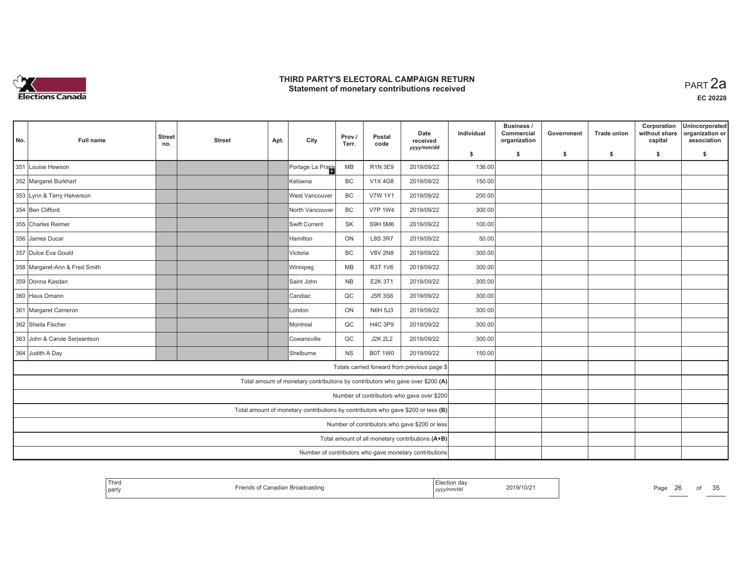

| No. | <b>Full name</b>                                                         | <b>Street</b><br>no.                                                              | <b>Street</b>                                 | Apt. | City                                                                                                       | Prov./<br>Terr. | Postal<br>code | Date<br>received<br>yyyy/mm/dd               | Individual | Business /<br>Commercial<br>organization | Government | <b>Trade union</b> | Corporation<br>without share<br>capital | Unincorporated<br>organization or<br>association |  |  |
|-----|--------------------------------------------------------------------------|-----------------------------------------------------------------------------------|-----------------------------------------------|------|------------------------------------------------------------------------------------------------------------|-----------------|----------------|----------------------------------------------|------------|------------------------------------------|------------|--------------------|-----------------------------------------|--------------------------------------------------|--|--|
|     |                                                                          |                                                                                   |                                               |      |                                                                                                            |                 |                |                                              | \$         | s.                                       | \$         | \$                 | \$                                      | \$                                               |  |  |
| 351 | Louise Hewson                                                            |                                                                                   |                                               |      | Portage La Prairie                                                                                         | MB              | <b>R1N 3E9</b> | 2019/09/22                                   | 136.00     |                                          |            |                    |                                         |                                                  |  |  |
|     | 352 Margaret Burkhart                                                    |                                                                                   |                                               |      | Kelowna                                                                                                    | BC              | V1X 4G8        | 2019/09/22                                   | 150.00     |                                          |            |                    |                                         |                                                  |  |  |
|     | 353 Lynn & Terry Halverson                                               |                                                                                   |                                               |      | West Vancouver                                                                                             | <b>BC</b>       | <b>V7W 1Y1</b> | 2019/09/22                                   | 200.00     |                                          |            |                    |                                         |                                                  |  |  |
|     | 354 Ben Clifford                                                         |                                                                                   |                                               |      | North Vancouver                                                                                            | BC              | <b>V7P 1W4</b> | 2019/09/22                                   | 300.00     |                                          |            |                    |                                         |                                                  |  |  |
|     | 355 Charles Reimer                                                       |                                                                                   |                                               |      | Swift Current                                                                                              | <b>SK</b>       | S9H 5M6        | 2019/09/22                                   | 100.00     |                                          |            |                    |                                         |                                                  |  |  |
|     | 356 James Ducar                                                          |                                                                                   |                                               |      | <b>Hamilton</b>                                                                                            | ON              | <b>L8S 3R7</b> | 2019/09/22                                   | 50.00      |                                          |            |                    |                                         |                                                  |  |  |
|     | 357 Dulce Eva Gould                                                      |                                                                                   |                                               |      | Victoria                                                                                                   | <b>BC</b>       | <b>V8V 2N8</b> | 2019/09/22                                   | 300.00     |                                          |            |                    |                                         |                                                  |  |  |
|     | 358 Margaret-Ann & Fred Smith<br>MB<br>R3T 1V6<br>2019/09/22<br>Winnipeg |                                                                                   |                                               |      |                                                                                                            |                 |                |                                              |            |                                          |            |                    |                                         |                                                  |  |  |
|     | 359 Donna Kasdan                                                         |                                                                                   |                                               |      | Saint John                                                                                                 | <b>NB</b>       | E2K 3T1        | 2019/09/22                                   | 300.00     |                                          |            |                    |                                         |                                                  |  |  |
|     | 360 Haus Omann                                                           |                                                                                   |                                               |      | Candiac                                                                                                    | QC              | <b>J5R 3S6</b> | 2019/09/22                                   | 300.00     |                                          |            |                    |                                         |                                                  |  |  |
|     | 361 Margaret Cameron                                                     |                                                                                   |                                               |      | London                                                                                                     | ON              | <b>N6H 5J3</b> | 2019/09/22                                   | 300.00     |                                          |            |                    |                                         |                                                  |  |  |
|     | 362 Sheila Fischer                                                       |                                                                                   |                                               |      | Montreal                                                                                                   | QC              | <b>H4C 3P9</b> | 2019/09/22                                   | 300.00     |                                          |            |                    |                                         |                                                  |  |  |
|     | 363 John & Carole Serjeantson                                            |                                                                                   |                                               |      | Cowansville                                                                                                | QC              | <b>J2K 2L2</b> | 2019/09/22                                   | 300.00     |                                          |            |                    |                                         |                                                  |  |  |
|     | 364 Judith A Day                                                         |                                                                                   |                                               |      | Shelburne                                                                                                  | <b>NS</b>       | B0T 1W0        | 2019/09/22                                   | 150.00     |                                          |            |                    |                                         |                                                  |  |  |
|     |                                                                          |                                                                                   |                                               |      |                                                                                                            |                 |                | Totals carried forward from previous page \$ |            |                                          |            |                    |                                         |                                                  |  |  |
|     |                                                                          |                                                                                   |                                               |      | Total amount of monetary contributions by contributors who gave over \$200 (A)                             |                 |                |                                              |            |                                          |            |                    |                                         |                                                  |  |  |
|     |                                                                          |                                                                                   |                                               |      |                                                                                                            |                 |                | Number of contributors who gave over \$200   |            |                                          |            |                    |                                         |                                                  |  |  |
|     |                                                                          | Total amount of monetary contributions by contributors who gave \$200 or less (B) |                                               |      |                                                                                                            |                 |                |                                              |            |                                          |            |                    |                                         |                                                  |  |  |
|     |                                                                          |                                                                                   | Number of contributors who gave \$200 or less |      |                                                                                                            |                 |                |                                              |            |                                          |            |                    |                                         |                                                  |  |  |
|     |                                                                          |                                                                                   |                                               |      |                                                                                                            |                 |                |                                              |            |                                          |            |                    |                                         |                                                  |  |  |
|     |                                                                          |                                                                                   |                                               |      | Total amount of all monetary contributions (A+B)<br>Number of contributors who gave monetary contributions |                 |                |                                              |            |                                          |            |                    |                                         |                                                  |  |  |

| Third<br>party |  | 2019/10/2<br><br>,,,,,,,, | Page<br>-- | ОТ | $\sim$ $-$<br>u |
|----------------|--|---------------------------|------------|----|-----------------|
|----------------|--|---------------------------|------------|----|-----------------|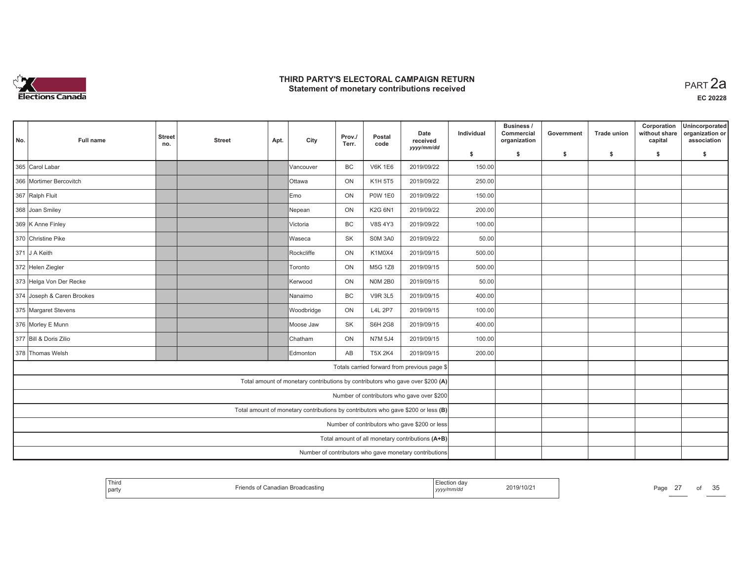

| No. | <b>Full name</b>                                            | <b>Street</b><br>no.                                                              | <b>Street</b>                                 | Apt. | City                                                                           | Prov./<br>Terr. | Postal<br>code | Date<br>received<br>yyyy/mm/dd                         | Individual | Business /<br>Commercial<br>organization | Government | <b>Trade union</b> | Corporation<br>without share<br>capital | Unincorporated<br>organization or<br>association |
|-----|-------------------------------------------------------------|-----------------------------------------------------------------------------------|-----------------------------------------------|------|--------------------------------------------------------------------------------|-----------------|----------------|--------------------------------------------------------|------------|------------------------------------------|------------|--------------------|-----------------------------------------|--------------------------------------------------|
|     |                                                             |                                                                                   |                                               |      |                                                                                |                 |                |                                                        | \$         | s.                                       | -\$        | -\$                | \$                                      | \$                                               |
|     | 365 Carol Labar                                             |                                                                                   |                                               |      | Vancouver                                                                      | <b>BC</b>       | <b>V6K 1E6</b> | 2019/09/22                                             | 150.00     |                                          |            |                    |                                         |                                                  |
|     | 366 Mortimer Bercovitch                                     |                                                                                   |                                               |      | <b>Ottawa</b>                                                                  | ON              | K1H 5T5        | 2019/09/22                                             | 250.00     |                                          |            |                    |                                         |                                                  |
|     | 367 Ralph Fluit                                             |                                                                                   |                                               |      | lEmo                                                                           | ON              | <b>P0W 1E0</b> | 2019/09/22                                             | 150.00     |                                          |            |                    |                                         |                                                  |
|     | 368 Joan Smiley                                             |                                                                                   |                                               |      | Nepean                                                                         | ON              | K2G 6N1        | 2019/09/22                                             | 200.00     |                                          |            |                    |                                         |                                                  |
|     | 369 K Anne Finley                                           |                                                                                   |                                               |      | Victoria                                                                       | BC              | <b>V8S 4Y3</b> | 2019/09/22                                             | 100.00     |                                          |            |                    |                                         |                                                  |
|     | 370 Christine Pike                                          |                                                                                   |                                               |      | Waseca                                                                         | SK              | <b>SOM 3A0</b> | 2019/09/22                                             | 50.00      |                                          |            |                    |                                         |                                                  |
|     | 371 J A Keith                                               |                                                                                   | 500.00                                        |      |                                                                                |                 |                |                                                        |            |                                          |            |                    |                                         |                                                  |
|     | 372 Helen Ziegler<br>ON<br>M5G 1Z8<br>2019/09/15<br>Toronto |                                                                                   |                                               |      |                                                                                |                 |                |                                                        | 500.00     |                                          |            |                    |                                         |                                                  |
|     | 373 Helga Von Der Recke                                     |                                                                                   |                                               |      | <b>Kerwood</b>                                                                 | ON              | <b>N0M 2B0</b> | 2019/09/15                                             | 50.00      |                                          |            |                    |                                         |                                                  |
|     | 374 Joseph & Caren Brookes                                  |                                                                                   |                                               |      | Nanaimo                                                                        | BC              | <b>V9R 3L5</b> | 2019/09/15                                             | 400.00     |                                          |            |                    |                                         |                                                  |
|     | 375 Margaret Stevens                                        |                                                                                   |                                               |      | Woodbridge                                                                     | ON              | <b>L4L 2P7</b> | 2019/09/15                                             | 100.00     |                                          |            |                    |                                         |                                                  |
|     | 376 Morley E Munn                                           |                                                                                   |                                               |      | Moose Jaw                                                                      | <b>SK</b>       | <b>S6H 2G8</b> | 2019/09/15                                             | 400.00     |                                          |            |                    |                                         |                                                  |
|     | 377 Bill & Doris Zilio                                      |                                                                                   |                                               |      | Chatham                                                                        | ON              | N7M 5J4        | 2019/09/15                                             | 100.00     |                                          |            |                    |                                         |                                                  |
|     | 378 Thomas Welsh                                            |                                                                                   |                                               |      | Edmonton                                                                       | AB              | <b>T5X 2K4</b> | 2019/09/15                                             | 200.00     |                                          |            |                    |                                         |                                                  |
|     |                                                             |                                                                                   |                                               |      |                                                                                |                 |                | Totals carried forward from previous page \$           |            |                                          |            |                    |                                         |                                                  |
|     |                                                             |                                                                                   |                                               |      | Total amount of monetary contributions by contributors who gave over \$200 (A) |                 |                |                                                        |            |                                          |            |                    |                                         |                                                  |
|     |                                                             |                                                                                   |                                               |      |                                                                                |                 |                | Number of contributors who gave over \$200             |            |                                          |            |                    |                                         |                                                  |
|     |                                                             | Total amount of monetary contributions by contributors who gave \$200 or less (B) |                                               |      |                                                                                |                 |                |                                                        |            |                                          |            |                    |                                         |                                                  |
|     |                                                             |                                                                                   | Number of contributors who gave \$200 or less |      |                                                                                |                 |                |                                                        |            |                                          |            |                    |                                         |                                                  |
|     |                                                             |                                                                                   |                                               |      |                                                                                |                 |                | Total amount of all monetary contributions (A+B)       |            |                                          |            |                    |                                         |                                                  |
|     |                                                             |                                                                                   |                                               |      |                                                                                |                 |                | Number of contributors who gave monetary contributions |            |                                          |            |                    |                                         |                                                  |

| ' Thirc<br>-lection da<br>$A^{\sim}$<br>-<br>2019/10/21<br>$-$<br>Page<br>∵Canadian Broadcasting<br>party<br>yyyy/mm/dd<br><u>_</u> | $\sim$ $\sim$<br>ΩŤ<br>u |
|-------------------------------------------------------------------------------------------------------------------------------------|--------------------------|
|-------------------------------------------------------------------------------------------------------------------------------------|--------------------------|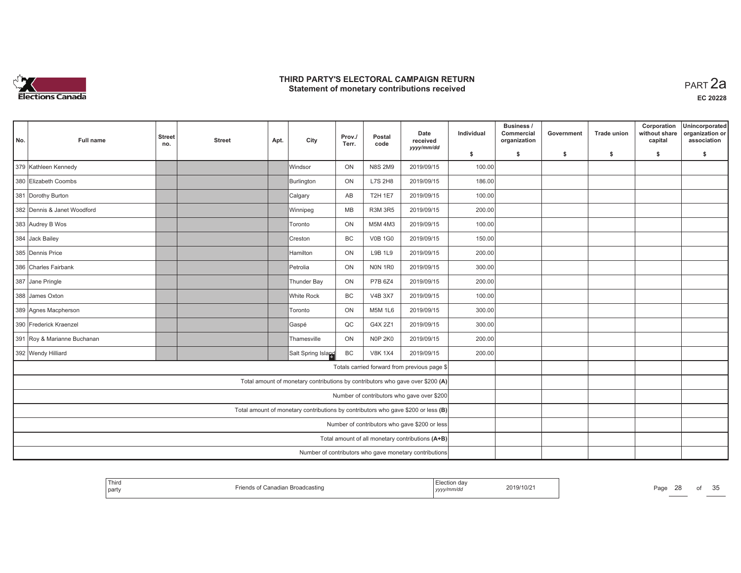

| No. | <b>Full name</b>                                                | <b>Street</b><br>no.                                                              | <b>Street</b>                                 | Apt. | City                                                                           | Prov./<br>Terr. | Postal<br>code | Date<br>received<br>yyyy/mm/dd                         | Individual | Business /<br>Commercial<br>organization | Government | <b>Trade union</b> | Corporation<br>without share<br>capital | Unincorporated<br>organization or<br>association |
|-----|-----------------------------------------------------------------|-----------------------------------------------------------------------------------|-----------------------------------------------|------|--------------------------------------------------------------------------------|-----------------|----------------|--------------------------------------------------------|------------|------------------------------------------|------------|--------------------|-----------------------------------------|--------------------------------------------------|
|     |                                                                 |                                                                                   |                                               |      |                                                                                |                 |                |                                                        | \$         | s.                                       | -\$        | -\$                | \$                                      | \$                                               |
|     | 379 Kathleen Kennedy                                            |                                                                                   |                                               |      | <b>Windsor</b>                                                                 | ON              | <b>N8S 2M9</b> | 2019/09/15                                             | 100.00     |                                          |            |                    |                                         |                                                  |
|     | 380 Elizabeth Coombs                                            |                                                                                   |                                               |      | Burlington                                                                     | ON              | L7S 2H8        | 2019/09/15                                             | 186.00     |                                          |            |                    |                                         |                                                  |
|     | 381 Dorothy Burton                                              |                                                                                   |                                               |      | Calgary                                                                        | AB              | <b>T2H 1E7</b> | 2019/09/15                                             | 100.00     |                                          |            |                    |                                         |                                                  |
|     | 382 Dennis & Janet Woodford                                     |                                                                                   |                                               |      | Winnipeg                                                                       | MB              | <b>R3M 3R5</b> | 2019/09/15                                             | 200.00     |                                          |            |                    |                                         |                                                  |
|     | 383 Audrey B Wos                                                |                                                                                   |                                               |      | Toronto                                                                        | ON              | M5M 4M3        | 2019/09/15                                             | 100.00     |                                          |            |                    |                                         |                                                  |
|     | 384 Jack Bailey                                                 |                                                                                   |                                               |      | Creston                                                                        | BC              | <b>V0B 1G0</b> | 2019/09/15                                             | 150.00     |                                          |            |                    |                                         |                                                  |
|     | 385 Dennis Price                                                |                                                                                   | 200.00                                        |      |                                                                                |                 |                |                                                        |            |                                          |            |                    |                                         |                                                  |
|     | 386 Charles Fairbank<br>Petrolia<br>ON<br>NON 1R0<br>2019/09/15 |                                                                                   |                                               |      |                                                                                |                 |                |                                                        |            |                                          |            |                    |                                         |                                                  |
|     | 387 Jane Pringle                                                |                                                                                   |                                               |      | Thunder Bay                                                                    | ON              | P7B 6Z4        | 2019/09/15                                             | 200.00     |                                          |            |                    |                                         |                                                  |
|     | 388 James Oxton                                                 |                                                                                   |                                               |      | White Rock                                                                     | <b>BC</b>       | <b>V4B 3X7</b> | 2019/09/15                                             | 100.00     |                                          |            |                    |                                         |                                                  |
|     | 389 Agnes Macpherson                                            |                                                                                   |                                               |      | Toronto                                                                        | ON              | <b>M5M 1L6</b> | 2019/09/15                                             | 300.00     |                                          |            |                    |                                         |                                                  |
|     | 390 Frederick Kraenzel                                          |                                                                                   |                                               |      | Gaspé                                                                          | QC              | G4X 2Z1        | 2019/09/15                                             | 300.00     |                                          |            |                    |                                         |                                                  |
|     | 391 Roy & Marianne Buchanan                                     |                                                                                   |                                               |      | Thamesville                                                                    | ON              | <b>N0P 2K0</b> | 2019/09/15                                             | 200.00     |                                          |            |                    |                                         |                                                  |
|     | 392 Wendy Hilliard                                              |                                                                                   |                                               |      | Salt Spring Island                                                             | BC              | <b>V8K 1X4</b> | 2019/09/15                                             | 200.00     |                                          |            |                    |                                         |                                                  |
|     |                                                                 |                                                                                   |                                               |      |                                                                                |                 |                | Totals carried forward from previous page \$           |            |                                          |            |                    |                                         |                                                  |
|     |                                                                 |                                                                                   |                                               |      | Total amount of monetary contributions by contributors who gave over \$200 (A) |                 |                |                                                        |            |                                          |            |                    |                                         |                                                  |
|     |                                                                 |                                                                                   |                                               |      |                                                                                |                 |                | Number of contributors who gave over \$200             |            |                                          |            |                    |                                         |                                                  |
|     |                                                                 | Total amount of monetary contributions by contributors who gave \$200 or less (B) |                                               |      |                                                                                |                 |                |                                                        |            |                                          |            |                    |                                         |                                                  |
|     |                                                                 |                                                                                   | Number of contributors who gave \$200 or less |      |                                                                                |                 |                |                                                        |            |                                          |            |                    |                                         |                                                  |
|     |                                                                 |                                                                                   |                                               |      |                                                                                |                 |                | Total amount of all monetary contributions (A+B)       |            |                                          |            |                    |                                         |                                                  |
|     |                                                                 |                                                                                   |                                               |      |                                                                                |                 |                | Number of contributors who gave monetary contributions |            |                                          |            |                    |                                         |                                                  |

| Third<br>party | ੁof Canadian Broadcasting | da۱ r<br>.<br>yyyy/mm/dd | 2019/10/2 | $\sim$<br>$P_{\text{AOL}}$<br>$-$ | от | $\sim$ $\sim$<br>em<br>ັບ |
|----------------|---------------------------|--------------------------|-----------|-----------------------------------|----|---------------------------|
|----------------|---------------------------|--------------------------|-----------|-----------------------------------|----|---------------------------|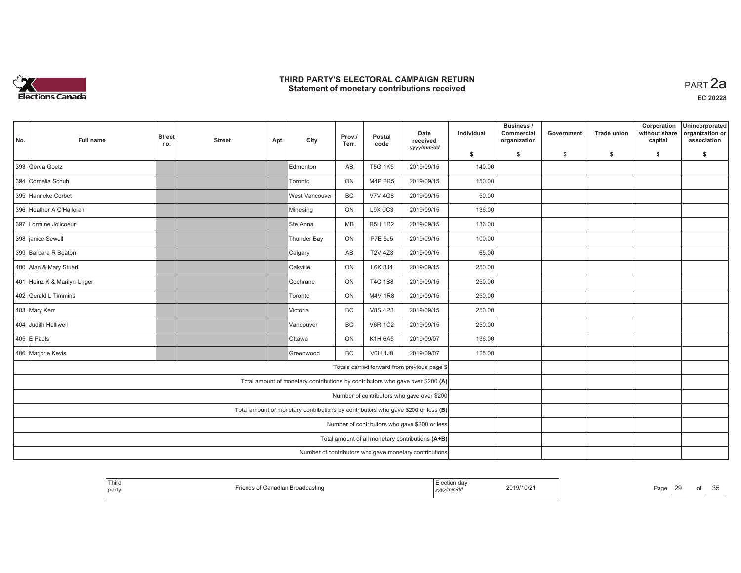

| No. | <b>Full name</b>            | <b>Street</b><br>no.                          | <b>Street</b> | Apt. | City                                                                              | Prov./<br>Terr. | Postal<br>code | Date<br>received<br>yyyy/mm/dd                         | Individual | Business /<br>Commercial<br>organization | Government | <b>Trade union</b> | Corporation<br>without share<br>capital | Unincorporated<br>organization or<br>association |
|-----|-----------------------------|-----------------------------------------------|---------------|------|-----------------------------------------------------------------------------------|-----------------|----------------|--------------------------------------------------------|------------|------------------------------------------|------------|--------------------|-----------------------------------------|--------------------------------------------------|
|     |                             |                                               |               |      |                                                                                   |                 |                |                                                        | \$         | s.                                       | -\$        | -\$                | \$                                      | \$                                               |
|     | 393 Gerda Goetz             |                                               |               |      | Edmonton                                                                          | AB              | <b>T5G 1K5</b> | 2019/09/15                                             | 140.00     |                                          |            |                    |                                         |                                                  |
|     | 394 Cornelia Schuh          |                                               |               |      | <b>Toronto</b>                                                                    | ON              | M4P 2R5        | 2019/09/15                                             | 150.00     |                                          |            |                    |                                         |                                                  |
|     | 395 Hanneke Corbet          |                                               |               |      | West Vancouver                                                                    | BC              | <b>V7V 4G8</b> | 2019/09/15                                             | 50.00      |                                          |            |                    |                                         |                                                  |
|     | 396 Heather A O'Halloran    |                                               |               |      | Minesing                                                                          | ON              | L9X 0C3        | 2019/09/15                                             | 136.00     |                                          |            |                    |                                         |                                                  |
|     | 397 Lorraine Jolicoeur      |                                               |               |      | Stte Anna                                                                         | MB              | <b>R5H 1R2</b> | 2019/09/15                                             | 136.00     |                                          |            |                    |                                         |                                                  |
|     | 398 janice Sewell           |                                               |               |      | Thunder Bay                                                                       | ON              | P7E 5J5        | 2019/09/15                                             | 100.00     |                                          |            |                    |                                         |                                                  |
|     | 399 Barbara R Beaton        |                                               |               |      | Calgary                                                                           | AB              | <b>T2V 4Z3</b> | 2019/09/15                                             | 65.00      |                                          |            |                    |                                         |                                                  |
|     | 400 Alan & Mary Stuart      |                                               |               |      | Oakville                                                                          | ON              | L6K 3J4        | 2019/09/15                                             | 250.00     |                                          |            |                    |                                         |                                                  |
|     | 401 Heinz K & Marilyn Unger |                                               |               |      | Cochrane                                                                          | ON              | <b>T4C 1B8</b> | 2019/09/15                                             | 250.00     |                                          |            |                    |                                         |                                                  |
|     | 402 Gerald L Timmins        |                                               |               |      | Toronto                                                                           | ON              | <b>M4V 1R8</b> | 2019/09/15                                             | 250.00     |                                          |            |                    |                                         |                                                  |
|     | 403 Mary Kerr               |                                               |               |      | Victoria                                                                          | BC              | <b>V8S 4P3</b> | 2019/09/15                                             | 250.00     |                                          |            |                    |                                         |                                                  |
|     | 404 Judith Helliwell        |                                               |               |      | Vancouver                                                                         | BC              | <b>V6R 1C2</b> | 2019/09/15                                             | 250.00     |                                          |            |                    |                                         |                                                  |
|     | 405 E Pauls                 |                                               |               |      | <b>Ottawa</b>                                                                     | ON              | K1H 6A5        | 2019/09/07                                             | 136.00     |                                          |            |                    |                                         |                                                  |
|     | 406 Marjorie Kevis          |                                               |               |      | <b>Greenwood</b>                                                                  | <b>BC</b>       | <b>V0H 1J0</b> | 2019/09/07                                             | 125.00     |                                          |            |                    |                                         |                                                  |
|     |                             |                                               |               |      |                                                                                   |                 |                | Totals carried forward from previous page \$           |            |                                          |            |                    |                                         |                                                  |
|     |                             |                                               |               |      | Total amount of monetary contributions by contributors who gave over \$200 (A)    |                 |                |                                                        |            |                                          |            |                    |                                         |                                                  |
|     |                             |                                               |               |      |                                                                                   |                 |                | Number of contributors who gave over \$200             |            |                                          |            |                    |                                         |                                                  |
|     |                             |                                               |               |      | Total amount of monetary contributions by contributors who gave \$200 or less (B) |                 |                |                                                        |            |                                          |            |                    |                                         |                                                  |
|     |                             | Number of contributors who gave \$200 or less |               |      |                                                                                   |                 |                |                                                        |            |                                          |            |                    |                                         |                                                  |
|     |                             |                                               |               |      |                                                                                   |                 |                | Total amount of all monetary contributions (A+B)       |            |                                          |            |                    |                                         |                                                  |
|     |                             |                                               |               |      |                                                                                   |                 |                | Number of contributors who gave monetary contributions |            |                                          |            |                    |                                         |                                                  |

| <b>Thiro</b><br>party | Canadian Broadcasting | 2019/10/2<br>,,,,,,,<br>, уууулт | $\sim$<br>Page<br>$-$ | ОT | $\sim$ $\sim$<br>. .<br>ັບ |
|-----------------------|-----------------------|----------------------------------|-----------------------|----|----------------------------|
|-----------------------|-----------------------|----------------------------------|-----------------------|----|----------------------------|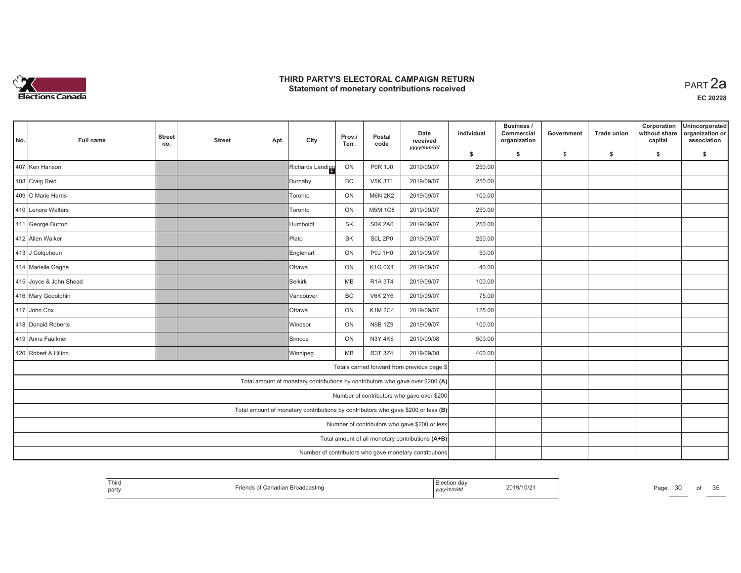

| No. | <b>Full name</b>       | <b>Street</b><br>no.                          | <b>Street</b> | Apt. | City                                                                              | Prov./<br>Terr. | Postal<br>code | Date<br>received<br>yyyy/mm/dd                         | Individual | Business /<br>Commercial<br>organization | Government | <b>Trade union</b> | Corporation<br>without share<br>capital | Unincorporated<br>organization or<br>association |
|-----|------------------------|-----------------------------------------------|---------------|------|-----------------------------------------------------------------------------------|-----------------|----------------|--------------------------------------------------------|------------|------------------------------------------|------------|--------------------|-----------------------------------------|--------------------------------------------------|
|     |                        |                                               |               |      |                                                                                   |                 |                |                                                        | \$         | s.                                       | -\$        | -\$                | \$                                      | \$                                               |
|     | 407 Ken Hanson         |                                               |               |      | Richards Landing                                                                  | ON              | <b>P0R 1J0</b> | 2019/09/07                                             | 250.00     |                                          |            |                    |                                         |                                                  |
|     | 408 Craig Reid         |                                               |               |      | Burnaby                                                                           | BC              | <b>V5K 3T1</b> | 2019/09/07                                             | 250.00     |                                          |            |                    |                                         |                                                  |
|     | 409 C Marie Harris     |                                               |               |      | Toronto                                                                           | ON              | <b>M6N 2K2</b> | 2019/09/07                                             | 100.00     |                                          |            |                    |                                         |                                                  |
|     | 410 Lenore Walters     |                                               |               |      | Toronto                                                                           | ON              | <b>M5M 1C8</b> | 2019/09/07                                             | 250.00     |                                          |            |                    |                                         |                                                  |
|     | 411 George Burton      |                                               |               |      | Humboldt                                                                          | <b>SK</b>       | <b>S0K 2A0</b> | 2019/09/07                                             | 250.00     |                                          |            |                    |                                         |                                                  |
|     | 412 Allen Walker       |                                               |               |      | Plato                                                                             | <b>SK</b>       | <b>S0L 2P0</b> | 2019/09/07                                             | 250.00     |                                          |            |                    |                                         |                                                  |
|     | 413 J Colquhoun        |                                               |               |      | Englehart                                                                         | ON              | <b>P0J 1H0</b> | 2019/09/07                                             | 50.00      |                                          |            |                    |                                         |                                                  |
|     | 414 Marielle Gagne     |                                               |               |      | <b>Ottawa</b>                                                                     | ON              | K1G 0X4        | 2019/09/07                                             | 40.00      |                                          |            |                    |                                         |                                                  |
|     | 415 Joyce & John Shead |                                               |               |      | <b>Selkirk</b>                                                                    | <b>MB</b>       | R1A 3T4        | 2019/09/07                                             | 100.00     |                                          |            |                    |                                         |                                                  |
|     | 416 Mary Godolphin     |                                               |               |      | Vancouver                                                                         | BC              | <b>V6K 2Y6</b> | 2019/09/07                                             | 75.00      |                                          |            |                    |                                         |                                                  |
|     | 417 John Cox           |                                               |               |      | <b>Ottawa</b>                                                                     | ON              | K1M 2C4        | 2019/09/07                                             | 125.00     |                                          |            |                    |                                         |                                                  |
|     | 418 Donald Roberts     |                                               |               |      | Windsor                                                                           | ON              | N9B 1Z9        | 2019/09/07                                             | 100.00     |                                          |            |                    |                                         |                                                  |
|     | 419 Anne Faulkner      |                                               |               |      | Simcoe                                                                            | ON              | N3Y 4K6        | 2019/09/08                                             | 500.00     |                                          |            |                    |                                         |                                                  |
|     | 420 Robert A Hilton    |                                               |               |      | Winnipeg                                                                          | <b>MB</b>       | R3T 3Z4        | 2019/09/08                                             | 400.00     |                                          |            |                    |                                         |                                                  |
|     |                        |                                               |               |      |                                                                                   |                 |                | Totals carried forward from previous page \$           |            |                                          |            |                    |                                         |                                                  |
|     |                        |                                               |               |      | Total amount of monetary contributions by contributors who gave over \$200 (A)    |                 |                |                                                        |            |                                          |            |                    |                                         |                                                  |
|     |                        |                                               |               |      |                                                                                   |                 |                | Number of contributors who gave over \$200             |            |                                          |            |                    |                                         |                                                  |
|     |                        |                                               |               |      | Total amount of monetary contributions by contributors who gave \$200 or less (B) |                 |                |                                                        |            |                                          |            |                    |                                         |                                                  |
|     |                        | Number of contributors who gave \$200 or less |               |      |                                                                                   |                 |                |                                                        |            |                                          |            |                    |                                         |                                                  |
|     |                        |                                               |               |      |                                                                                   |                 |                | Total amount of all monetary contributions (A+B)       |            |                                          |            |                    |                                         |                                                  |
|     |                        |                                               |               |      |                                                                                   |                 |                | Number of contributors who gave monetary contributions |            |                                          |            |                    |                                         |                                                  |

| Third<br>  party | ∵anadian Broadcasting | ⊨iection dav<br>.<br>nmır<br>, , , , , , , , | 2019/10/2 | Page | ОT | $\sim$ $\sim$<br>ັບ |
|------------------|-----------------------|----------------------------------------------|-----------|------|----|---------------------|
|------------------|-----------------------|----------------------------------------------|-----------|------|----|---------------------|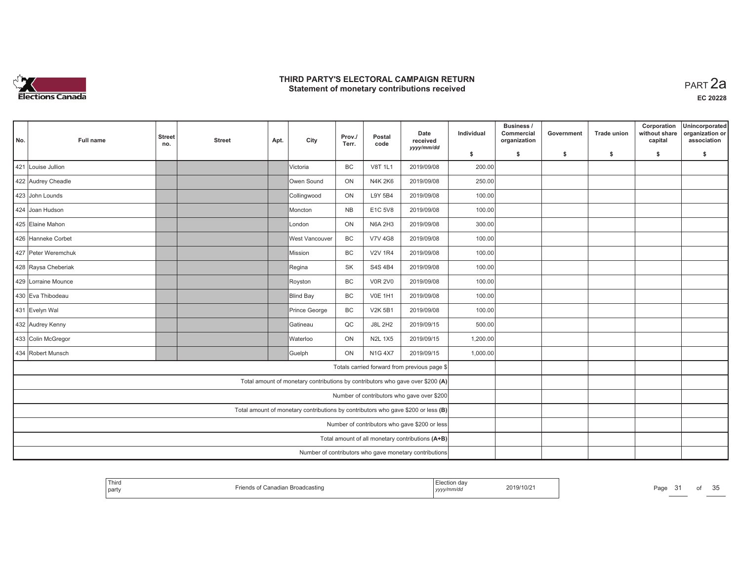

**EC 20228**

| No. | Full name           | <b>Street</b><br>no. | <b>Street</b> | Apt. | City                                                                              | Prov./<br>Terr. | Postal<br>code | Date<br>received<br>yyyy/mm/dd                         | Individual | Business /<br>Commercial<br>organization | Government | <b>Trade union</b> | Corporation<br>without share<br>capital | Unincorporated<br>organization or<br>association |
|-----|---------------------|----------------------|---------------|------|-----------------------------------------------------------------------------------|-----------------|----------------|--------------------------------------------------------|------------|------------------------------------------|------------|--------------------|-----------------------------------------|--------------------------------------------------|
|     |                     |                      |               |      |                                                                                   |                 |                |                                                        | \$         | s.                                       | \$         | -\$                | \$                                      | s.                                               |
| 421 | Louise Jullion      |                      |               |      | Victoria                                                                          | BC              | <b>V8T 1L1</b> | 2019/09/08                                             | 200.00     |                                          |            |                    |                                         |                                                  |
|     | 422 Audrey Cheadle  |                      |               |      | Owen Sound                                                                        | ON              | <b>N4K 2K6</b> | 2019/09/08                                             | 250.00     |                                          |            |                    |                                         |                                                  |
|     | 423 John Lounds     |                      |               |      | Collingwood                                                                       | ON              | L9Y 5B4        | 2019/09/08                                             | 100.00     |                                          |            |                    |                                         |                                                  |
|     | 424 Joan Hudson     |                      |               |      | Moncton                                                                           | <b>NB</b>       | E1C 5V8        | 2019/09/08                                             | 100.00     |                                          |            |                    |                                         |                                                  |
|     | 425 Elaine Mahon    |                      |               |      | London                                                                            | ON              | <b>N6A 2H3</b> | 2019/09/08                                             | 300.00     |                                          |            |                    |                                         |                                                  |
|     | 426 Hanneke Corbet  |                      |               |      | <b>West Vancouver</b>                                                             | <b>BC</b>       | <b>V7V 4G8</b> | 2019/09/08                                             | 100.00     |                                          |            |                    |                                         |                                                  |
|     | 427 Peter Weremchuk |                      |               |      | <b>Mission</b>                                                                    | BC              | <b>V2V 1R4</b> | 2019/09/08                                             | 100.00     |                                          |            |                    |                                         |                                                  |
|     | 428 Raysa Cheberiak |                      |               |      | Regina                                                                            | <b>SK</b>       | S4S 4B4        | 2019/09/08                                             | 100.00     |                                          |            |                    |                                         |                                                  |
|     | 429 Lorraine Mounce |                      |               |      | Royston                                                                           | <b>BC</b>       | <b>V0R 2V0</b> | 2019/09/08                                             | 100.00     |                                          |            |                    |                                         |                                                  |
|     | 430 Eva Thibodeau   |                      |               |      | <b>Blind Bay</b>                                                                  | BC              | <b>V0E 1H1</b> | 2019/09/08                                             | 100.00     |                                          |            |                    |                                         |                                                  |
|     | 431 Evelyn Wal      |                      |               |      | Prince George                                                                     | BC              | <b>V2K 5B1</b> | 2019/09/08                                             | 100.00     |                                          |            |                    |                                         |                                                  |
|     | 432 Audrey Kenny    |                      |               |      | Gatineau                                                                          | QC              | <b>J8L 2H2</b> | 2019/09/15                                             | 500.00     |                                          |            |                    |                                         |                                                  |
|     | 433 Colin McGregor  |                      |               |      | Waterloo                                                                          | ON              | <b>N2L 1X5</b> | 2019/09/15                                             | 1,200.00   |                                          |            |                    |                                         |                                                  |
|     | 434 Robert Munsch   |                      |               |      | Guelph                                                                            | <b>ON</b>       | <b>N1G 4X7</b> | 2019/09/15                                             | 1,000.00   |                                          |            |                    |                                         |                                                  |
|     |                     |                      |               |      |                                                                                   |                 |                | Totals carried forward from previous page \$           |            |                                          |            |                    |                                         |                                                  |
|     |                     |                      |               |      | Total amount of monetary contributions by contributors who gave over \$200 (A)    |                 |                |                                                        |            |                                          |            |                    |                                         |                                                  |
|     |                     |                      |               |      |                                                                                   |                 |                | Number of contributors who gave over \$200             |            |                                          |            |                    |                                         |                                                  |
|     |                     |                      |               |      | Total amount of monetary contributions by contributors who gave \$200 or less (B) |                 |                |                                                        |            |                                          |            |                    |                                         |                                                  |
|     |                     |                      |               |      |                                                                                   |                 |                | Number of contributors who gave \$200 or less          |            |                                          |            |                    |                                         |                                                  |
|     |                     |                      |               |      |                                                                                   |                 |                | Total amount of all monetary contributions (A+B)       |            |                                          |            |                    |                                         |                                                  |
|     |                     |                      |               |      |                                                                                   |                 |                | Number of contributors who gave monetary contributions |            |                                          |            |                    |                                         |                                                  |

| Third<br>- -<br>of Canadian Broadcasting<br>-rio<br>party | Election day<br>2019/10/21<br>yyyy/mm/dd | Page<br>. . | 25<br>οt<br>ັບ |
|-----------------------------------------------------------|------------------------------------------|-------------|----------------|
|-----------------------------------------------------------|------------------------------------------|-------------|----------------|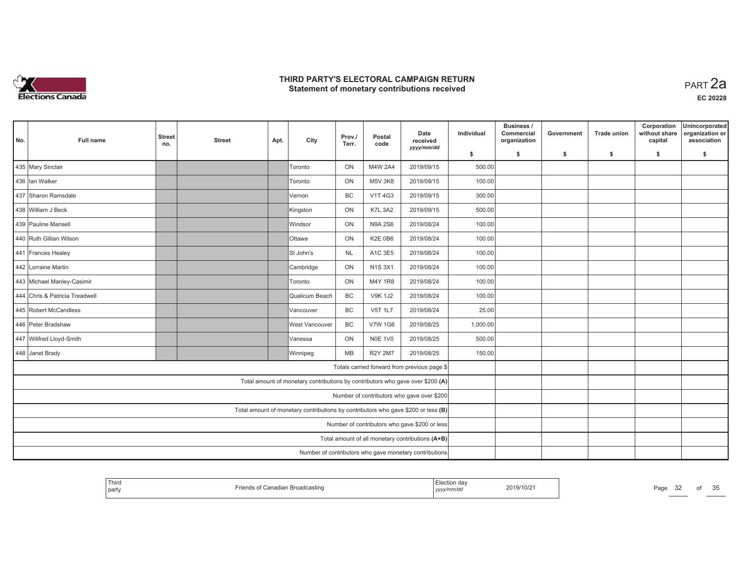

| No. | <b>Full name</b>               | <b>Street</b><br>no.                          | <b>Street</b> | Apt. | City                                                                              | Prov./<br>Terr. | Postal<br>code | Date<br>received<br>yyyy/mm/dd                         | Individual | Business /<br>Commercial<br>organization | Government | <b>Trade union</b> | Corporation<br>without share<br>capital | Unincorporated<br>organization or<br>association |
|-----|--------------------------------|-----------------------------------------------|---------------|------|-----------------------------------------------------------------------------------|-----------------|----------------|--------------------------------------------------------|------------|------------------------------------------|------------|--------------------|-----------------------------------------|--------------------------------------------------|
|     |                                |                                               |               |      |                                                                                   |                 |                |                                                        | \$         | s.                                       | -\$        | -\$                | \$                                      | \$                                               |
|     | 435 Mary Sinclair              |                                               |               |      | Toronto                                                                           | ON              | M4W 2A4        | 2019/09/15                                             | 500.00     |                                          |            |                    |                                         |                                                  |
|     | 436 Ian Walker                 |                                               |               |      | <b>Toronto</b>                                                                    | ON              | <b>M5V 3K8</b> | 2019/09/15                                             | 100.00     |                                          |            |                    |                                         |                                                  |
|     | 437 Sharon Ramsdale            |                                               |               |      | Vernon                                                                            | <b>BC</b>       | <b>V1T4G3</b>  | 2019/09/15                                             | 300.00     |                                          |            |                    |                                         |                                                  |
|     | 438 William J Beck             |                                               |               |      | Kingston                                                                          | ON              | <b>K7L 3A2</b> | 2019/09/15                                             | 500.00     |                                          |            |                    |                                         |                                                  |
|     | 439 Pauline Mansell            |                                               |               |      | Windsor                                                                           | ON              | <b>N9A 2S6</b> | 2019/08/24                                             | 100.00     |                                          |            |                    |                                         |                                                  |
|     | 440 Ruth Gillian Wilson        |                                               |               |      | <b>Ottawa</b>                                                                     | ON              | <b>K2E 0B6</b> | 2019/08/24                                             | 100.00     |                                          |            |                    |                                         |                                                  |
|     | 441 Frances Healey             |                                               |               |      | St John's                                                                         | <b>NL</b>       | A1C 3E5        | 2019/08/24                                             | 100.00     |                                          |            |                    |                                         |                                                  |
|     | 442 Lorraine Martin            |                                               |               |      | Cambridge                                                                         | ON              | <b>N1S3X1</b>  | 2019/08/24                                             | 100.00     |                                          |            |                    |                                         |                                                  |
|     | 443 Michael Manley-Casimir     |                                               |               |      | <b>Toronto</b>                                                                    | ON              | M4Y 1R8        | 2019/08/24                                             | 100.00     |                                          |            |                    |                                         |                                                  |
|     | 444 Chris & Patricia Treadwell |                                               |               |      | Qualicum Beach                                                                    | BC              | <b>V9K 1J2</b> | 2019/08/24                                             | 100.00     |                                          |            |                    |                                         |                                                  |
|     | 445 Robert McCandless          |                                               |               |      | Vancouver                                                                         | BC              | <b>V5T 1L7</b> | 2019/08/24                                             | 25.00      |                                          |            |                    |                                         |                                                  |
|     | 446 Peter Bradshaw             |                                               |               |      | <b>West Vancouver</b>                                                             | BC              | <b>V7W 1G6</b> | 2019/08/25                                             | 1,000.00   |                                          |            |                    |                                         |                                                  |
|     | 447 Wilifred Lloyd-Smith       |                                               |               |      | Vanessa                                                                           | ON              | <b>N0E 1V0</b> | 2019/08/25                                             | 500.00     |                                          |            |                    |                                         |                                                  |
|     | 448 Janet Brady                |                                               |               |      | Winnipeg                                                                          | <b>MB</b>       | <b>R2Y 2M7</b> | 2019/08/25                                             | 150.00     |                                          |            |                    |                                         |                                                  |
|     |                                |                                               |               |      |                                                                                   |                 |                | Totals carried forward from previous page \$           |            |                                          |            |                    |                                         |                                                  |
|     |                                |                                               |               |      | Total amount of monetary contributions by contributors who gave over \$200 (A)    |                 |                |                                                        |            |                                          |            |                    |                                         |                                                  |
|     |                                |                                               |               |      |                                                                                   |                 |                | Number of contributors who gave over \$200             |            |                                          |            |                    |                                         |                                                  |
|     |                                |                                               |               |      | Total amount of monetary contributions by contributors who gave \$200 or less (B) |                 |                |                                                        |            |                                          |            |                    |                                         |                                                  |
|     |                                | Number of contributors who gave \$200 or less |               |      |                                                                                   |                 |                |                                                        |            |                                          |            |                    |                                         |                                                  |
|     |                                |                                               |               |      |                                                                                   |                 |                | Total amount of all monetary contributions (A+B)       |            |                                          |            |                    |                                         |                                                  |
|     |                                |                                               |               |      |                                                                                   |                 |                | Number of contributors who gave monetary contributions |            |                                          |            |                    |                                         |                                                  |

| Third<br>  party | ∵anadian Broadcasting | ⊨iection dav<br>,,,,,,<br>, , , , , , , , | 2019/10/2 | Pa <sub>0</sub><br>ےت | ot | $\sim$ $\sim$<br>u |
|------------------|-----------------------|-------------------------------------------|-----------|-----------------------|----|--------------------|
|------------------|-----------------------|-------------------------------------------|-----------|-----------------------|----|--------------------|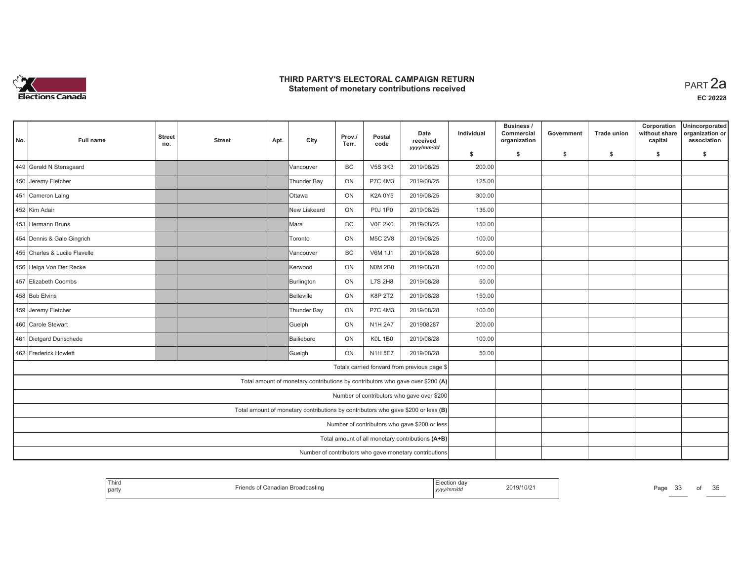

| No. | <b>Full name</b>              | <b>Street</b><br>no.                          | <b>Street</b> | Apt. | City                                                                              | Prov./<br>Terr. | Postal<br>code | Date<br>received<br>yyyy/mm/dd                         | Individual | Business /<br>Commercial<br>organization | Government | <b>Trade union</b> | Corporation<br>without share<br>capital | Unincorporated<br>organization or<br>association |
|-----|-------------------------------|-----------------------------------------------|---------------|------|-----------------------------------------------------------------------------------|-----------------|----------------|--------------------------------------------------------|------------|------------------------------------------|------------|--------------------|-----------------------------------------|--------------------------------------------------|
|     |                               |                                               |               |      |                                                                                   |                 |                |                                                        | \$         | s.                                       | -\$        | -\$                | \$                                      | s.                                               |
|     | 449 Gerald N Stensgaard       |                                               |               |      | Vancouver                                                                         | <b>BC</b>       | <b>V5S 3K3</b> | 2019/08/25                                             | 200.00     |                                          |            |                    |                                         |                                                  |
|     | 450 Jeremy Fletcher           |                                               |               |      | Thunder Bay                                                                       | ON              | P7C 4M3        | 2019/08/25                                             | 125.00     |                                          |            |                    |                                         |                                                  |
|     | 451 Cameron Laing             |                                               |               |      | <b>O</b> ttawa                                                                    | ON              | K2A 0Y5        | 2019/08/25                                             | 300.00     |                                          |            |                    |                                         |                                                  |
|     | 452 Kim Adair                 |                                               |               |      | New Liskeard                                                                      | ON              | <b>P0J 1P0</b> | 2019/08/25                                             | 136.00     |                                          |            |                    |                                         |                                                  |
|     | 453 Hermann Bruns             |                                               |               |      | ∣Mara                                                                             | <b>BC</b>       | <b>V0E 2K0</b> | 2019/08/25                                             | 150.00     |                                          |            |                    |                                         |                                                  |
|     | 454 Dennis & Gale Gingrich    |                                               |               |      | Toronto                                                                           | ON              | <b>M5C 2V8</b> | 2019/08/25                                             | 100.00     |                                          |            |                    |                                         |                                                  |
|     | 455 Charles & Lucile Flavelle |                                               |               |      | lVancouver                                                                        | <b>BC</b>       | <b>V6M 1J1</b> | 2019/08/28                                             | 500.00     |                                          |            |                    |                                         |                                                  |
|     | 456 Helga Von Der Recke       |                                               |               |      | Kerwood                                                                           | ON              | <b>N0M 2B0</b> | 2019/08/28                                             | 100.00     |                                          |            |                    |                                         |                                                  |
|     | 457 Elizabeth Coombs          |                                               |               |      | Burlington                                                                        | ON              | <b>L7S 2H8</b> | 2019/08/28                                             | 50.00      |                                          |            |                    |                                         |                                                  |
|     | 458 Bob Elvins                |                                               |               |      | Belleville                                                                        | ON              | K8P 2T2        | 2019/08/28                                             | 150.00     |                                          |            |                    |                                         |                                                  |
|     | 459 Jeremy Fletcher           |                                               |               |      | Thunder Bay                                                                       | ON              | P7C 4M3        | 2019/08/28                                             | 100.00     |                                          |            |                    |                                         |                                                  |
|     | 460 Carole Stewart            |                                               |               |      | Guelph                                                                            | ON              | <b>N1H 2A7</b> | 201908287                                              | 200.00     |                                          |            |                    |                                         |                                                  |
|     | 461 Dietgard Dunschede        |                                               |               |      | Bailieboro                                                                        | ON              | <b>K0L 1B0</b> | 2019/08/28                                             | 100.00     |                                          |            |                    |                                         |                                                  |
|     | 462 Frederick Howlett         |                                               |               |      | Guelgh                                                                            | ON              | <b>N1H 5E7</b> | 2019/08/28                                             | 50.00      |                                          |            |                    |                                         |                                                  |
|     |                               |                                               |               |      |                                                                                   |                 |                | Totals carried forward from previous page \$           |            |                                          |            |                    |                                         |                                                  |
|     |                               |                                               |               |      | Total amount of monetary contributions by contributors who gave over \$200 (A)    |                 |                |                                                        |            |                                          |            |                    |                                         |                                                  |
|     |                               |                                               |               |      |                                                                                   |                 |                | Number of contributors who gave over \$200             |            |                                          |            |                    |                                         |                                                  |
|     |                               |                                               |               |      | Total amount of monetary contributions by contributors who gave \$200 or less (B) |                 |                |                                                        |            |                                          |            |                    |                                         |                                                  |
|     |                               | Number of contributors who gave \$200 or less |               |      |                                                                                   |                 |                |                                                        |            |                                          |            |                    |                                         |                                                  |
|     |                               |                                               |               |      |                                                                                   |                 |                | Total amount of all monetary contributions (A+B)       |            |                                          |            |                    |                                         |                                                  |
|     |                               |                                               |               |      |                                                                                   |                 |                | Number of contributors who gave monetary contributions |            |                                          |            |                    |                                         |                                                  |

| <b>Thiro</b><br>party | Canadian Broadcasting | 2019/10/2<br>,,,,,,,<br>, уууулт | Page<br>ີ | OE<br>em<br>ОT<br>u |
|-----------------------|-----------------------|----------------------------------|-----------|---------------------|
|-----------------------|-----------------------|----------------------------------|-----------|---------------------|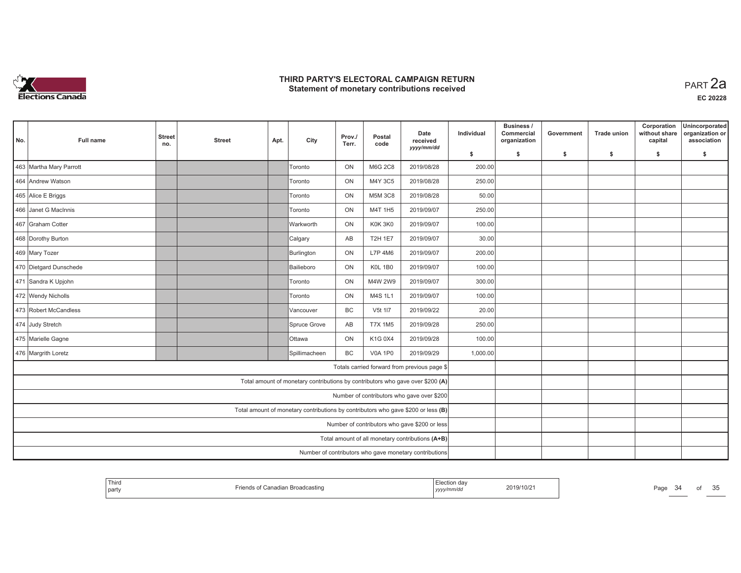

| No. | <b>Full name</b>        | <b>Street</b><br>no. | <b>Street</b> | Apt. | City                                                                              | Prov./<br>Terr. | Postal<br>code | Date<br>received<br>yyyy/mm/dd                         | Individual | Business /<br>Commercial<br>organization | Government | <b>Trade union</b> | Corporation<br>without share<br>capital | Unincorporated<br>organization or<br>association |
|-----|-------------------------|----------------------|---------------|------|-----------------------------------------------------------------------------------|-----------------|----------------|--------------------------------------------------------|------------|------------------------------------------|------------|--------------------|-----------------------------------------|--------------------------------------------------|
|     |                         |                      |               |      |                                                                                   |                 |                |                                                        | \$         | s.                                       | -\$        | -\$                | \$                                      | \$                                               |
|     | 463 Martha Mary Parrott |                      |               |      | Toronto                                                                           | ON              | <b>M6G 2C8</b> | 2019/08/28                                             | 200.00     |                                          |            |                    |                                         |                                                  |
|     | 464 Andrew Watson       |                      |               |      | <b>Toronto</b>                                                                    | ON              | M4Y 3C5        | 2019/08/28                                             | 250.00     |                                          |            |                    |                                         |                                                  |
|     | 465 Alice E Briggs      |                      |               |      | Toronto                                                                           | ON              | <b>M5M 3C8</b> | 2019/08/28                                             | 50.00      |                                          |            |                    |                                         |                                                  |
|     | 466 Janet G MacInnis    |                      |               |      | Toronto                                                                           | ON              | M4T 1H5        | 2019/09/07                                             | 250.00     |                                          |            |                    |                                         |                                                  |
|     | 467 Graham Cotter       |                      |               |      | <b>Warkworth</b>                                                                  | ON              | K0K 3K0        | 2019/09/07                                             | 100.00     |                                          |            |                    |                                         |                                                  |
|     | 468 Dorothy Burton      |                      |               |      | Calgary                                                                           | AB              | <b>T2H 1E7</b> | 2019/09/07                                             | 30.00      |                                          |            |                    |                                         |                                                  |
|     | 469 Mary Tozer          |                      |               |      | Burlington                                                                        | ON              | L7P 4M6        | 2019/09/07                                             | 200.00     |                                          |            |                    |                                         |                                                  |
|     | 470 Dietgard Dunschede  |                      |               |      | Bailieboro                                                                        | ON              | <b>K0L 1B0</b> | 2019/09/07                                             | 100.00     |                                          |            |                    |                                         |                                                  |
|     | 471 Sandra K Upjohn     |                      |               |      | <b>Toronto</b>                                                                    | ON              | M4W 2W9        | 2019/09/07                                             | 300.00     |                                          |            |                    |                                         |                                                  |
|     | 472 Wendy Nicholls      |                      |               |      | Toronto                                                                           | ON              | M4S 1L1        | 2019/09/07                                             | 100.00     |                                          |            |                    |                                         |                                                  |
|     | 473 Robert McCandless   |                      |               |      | Vancouver                                                                         | BC              | V5t 117        | 2019/09/22                                             | 20.00      |                                          |            |                    |                                         |                                                  |
|     | 474 Judy Stretch        |                      |               |      | Spruce Grove                                                                      | AB              | <b>T7X 1M5</b> | 2019/09/28                                             | 250.00     |                                          |            |                    |                                         |                                                  |
|     | 475 Marielle Gagne      |                      |               |      | <b>Ottawa</b>                                                                     | ON              | K1G 0X4        | 2019/09/28                                             | 100.00     |                                          |            |                    |                                         |                                                  |
|     | 476 Margrith Loretz     |                      |               |      | Spillimacheen                                                                     | <b>BC</b>       | <b>V0A 1P0</b> | 2019/09/29                                             | 1,000.00   |                                          |            |                    |                                         |                                                  |
|     |                         |                      |               |      |                                                                                   |                 |                | Totals carried forward from previous page \$           |            |                                          |            |                    |                                         |                                                  |
|     |                         |                      |               |      | Total amount of monetary contributions by contributors who gave over \$200 (A)    |                 |                |                                                        |            |                                          |            |                    |                                         |                                                  |
|     |                         |                      |               |      |                                                                                   |                 |                | Number of contributors who gave over \$200             |            |                                          |            |                    |                                         |                                                  |
|     |                         |                      |               |      | Total amount of monetary contributions by contributors who gave \$200 or less (B) |                 |                |                                                        |            |                                          |            |                    |                                         |                                                  |
|     |                         |                      |               |      |                                                                                   |                 |                | Number of contributors who gave \$200 or less          |            |                                          |            |                    |                                         |                                                  |
|     |                         |                      |               |      |                                                                                   |                 |                | Total amount of all monetary contributions (A+B)       |            |                                          |            |                    |                                         |                                                  |
|     |                         |                      |               |      |                                                                                   |                 |                | Number of contributors who gave monetary contributions |            |                                          |            |                    |                                         |                                                  |

| Third<br>2019/10/21<br>$D \cap \alpha$<br>adian Broadcasting<br>Canadian<br>aur<br>l part<br>` <i>''mm</i> /au<br>, уууулг | .94 | OT | $\sim$ $\sim$<br>ັບ |
|----------------------------------------------------------------------------------------------------------------------------|-----|----|---------------------|
|----------------------------------------------------------------------------------------------------------------------------|-----|----|---------------------|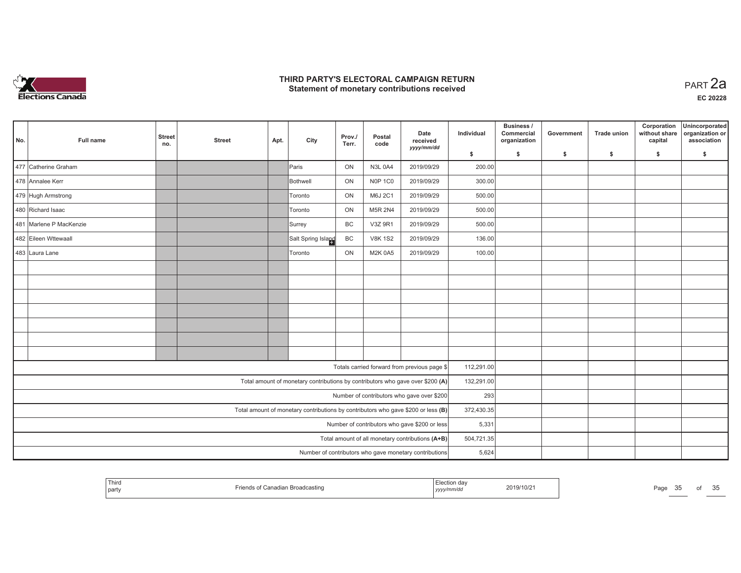

| No.                                                                               | <b>Full name</b>                                                | <b>Street</b> | <b>Street</b> | Apt.    | City                                                                           | Prov./         | Postal         | Date<br>received                                 | Individual | Business /<br>Commercial<br>organization | Government | <b>Trade union</b> | Corporation<br>without share<br>capital | Unincorporated<br>organization or<br>association |
|-----------------------------------------------------------------------------------|-----------------------------------------------------------------|---------------|---------------|---------|--------------------------------------------------------------------------------|----------------|----------------|--------------------------------------------------|------------|------------------------------------------|------------|--------------------|-----------------------------------------|--------------------------------------------------|
|                                                                                   |                                                                 | no.           |               |         |                                                                                | Terr.          | code           | yyyy/mm/dd                                       | \$         | s.                                       | \$         | $\mathsf{s}$       | \$                                      | \$                                               |
|                                                                                   | 477 Catherine Graham                                            |               |               |         | Paris                                                                          | ON             | <b>N3L 0A4</b> | 2019/09/29                                       | 200.00     |                                          |            |                    |                                         |                                                  |
|                                                                                   | 478 Annalee Kerr                                                |               |               |         | Bothwell                                                                       | ON             | <b>N0P 1C0</b> | 2019/09/29                                       | 300.00     |                                          |            |                    |                                         |                                                  |
|                                                                                   | 479 Hugh Armstrong                                              |               |               |         | Toronto                                                                        | ON             | M6J 2C1        | 2019/09/29                                       | 500.00     |                                          |            |                    |                                         |                                                  |
| 480 Richard Isaac                                                                 |                                                                 |               |               | Toronto | ON                                                                             | <b>M5R 2N4</b> | 2019/09/29     | 500.00                                           |            |                                          |            |                    |                                         |                                                  |
| 481 Marlene P MacKenzie                                                           |                                                                 |               |               |         | Surrey                                                                         | BC             | V3Z 9R1        | 2019/09/29                                       | 500.00     |                                          |            |                    |                                         |                                                  |
| 482 Eileen Wttewaall                                                              |                                                                 |               |               |         | Salt Spring Island                                                             | BC             | <b>V8K 1S2</b> | 2019/09/29                                       | 136.00     |                                          |            |                    |                                         |                                                  |
|                                                                                   | 483 Laura Lane<br>ON<br>2019/09/29<br><b>M2K 0A5</b><br>Toronto |               |               |         |                                                                                |                |                | 100.00                                           |            |                                          |            |                    |                                         |                                                  |
|                                                                                   |                                                                 |               |               |         |                                                                                |                |                |                                                  |            |                                          |            |                    |                                         |                                                  |
|                                                                                   |                                                                 |               |               |         |                                                                                |                |                |                                                  |            |                                          |            |                    |                                         |                                                  |
|                                                                                   |                                                                 |               |               |         |                                                                                |                |                |                                                  |            |                                          |            |                    |                                         |                                                  |
|                                                                                   |                                                                 |               |               |         |                                                                                |                |                |                                                  |            |                                          |            |                    |                                         |                                                  |
|                                                                                   |                                                                 |               |               |         |                                                                                |                |                |                                                  |            |                                          |            |                    |                                         |                                                  |
|                                                                                   |                                                                 |               |               |         |                                                                                |                |                |                                                  |            |                                          |            |                    |                                         |                                                  |
|                                                                                   |                                                                 |               |               |         |                                                                                |                |                |                                                  |            |                                          |            |                    |                                         |                                                  |
|                                                                                   |                                                                 |               |               |         |                                                                                |                |                | Totals carried forward from previous page \$     | 112,291.00 |                                          |            |                    |                                         |                                                  |
|                                                                                   |                                                                 |               |               |         | Total amount of monetary contributions by contributors who gave over \$200 (A) |                |                |                                                  | 132,291.00 |                                          |            |                    |                                         |                                                  |
| Number of contributors who gave over \$200                                        |                                                                 |               |               |         |                                                                                |                |                |                                                  | 293        |                                          |            |                    |                                         |                                                  |
| Total amount of monetary contributions by contributors who gave \$200 or less (B) |                                                                 |               |               |         |                                                                                |                |                |                                                  | 372,430.35 |                                          |            |                    |                                         |                                                  |
|                                                                                   |                                                                 |               |               |         |                                                                                |                |                | Number of contributors who gave \$200 or less    | 5,331      |                                          |            |                    |                                         |                                                  |
|                                                                                   |                                                                 |               |               |         |                                                                                |                |                | Total amount of all monetary contributions (A+B) | 504,721.35 |                                          |            |                    |                                         |                                                  |
|                                                                                   | Number of contributors who gave monetary contributions          |               |               |         |                                                                                |                |                |                                                  |            | 5,624                                    |            |                    |                                         |                                                  |

|  | Third<br>party | ∵anadian Broadcastino<br>$\cdots$<br>$-$ | ™ection dav<br>.<br>, , , , , , , , , ,<br>$\frac{1}{2}$ | 2019/10/2<br>the contract of the contract of the contract of the contract of the contract of | Page |  |  | $\sim$ $\sim$<br>ุ<br>ັບ |
|--|----------------|------------------------------------------|----------------------------------------------------------|----------------------------------------------------------------------------------------------|------|--|--|--------------------------|
|--|----------------|------------------------------------------|----------------------------------------------------------|----------------------------------------------------------------------------------------------|------|--|--|--------------------------|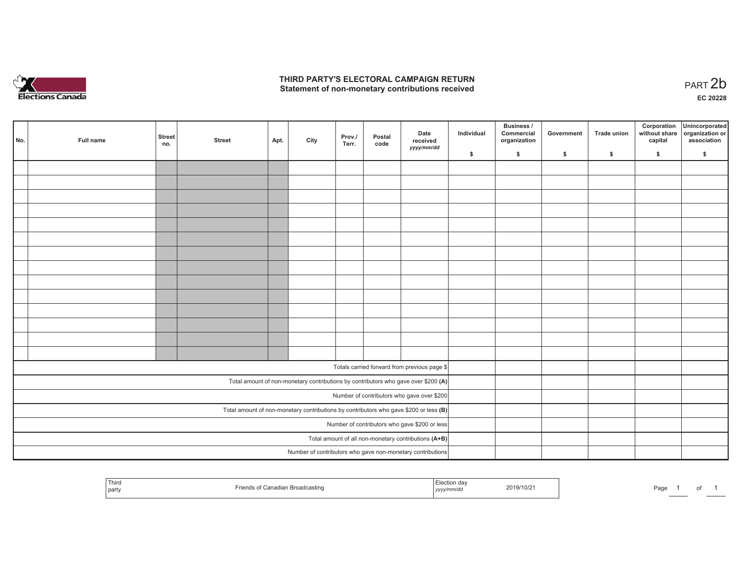

of 1

|                                                                                       | No.                                                        | Full name | <b>Street</b><br>no. | <b>Street</b> | Apt. | City | Prov./<br>Terr. | Postal<br>code | Date<br>received<br>yyyy/mm/dd                                                     | Individual | <b>Business /</b><br>Commercial<br>organization | Government | Trade union | Corporation<br>capital | Unincorporated<br>without share organization or<br>association |
|---------------------------------------------------------------------------------------|------------------------------------------------------------|-----------|----------------------|---------------|------|------|-----------------|----------------|------------------------------------------------------------------------------------|------------|-------------------------------------------------|------------|-------------|------------------------|----------------------------------------------------------------|
|                                                                                       |                                                            |           |                      |               |      |      |                 |                |                                                                                    | \$         | \$                                              | \$         | \$          | \$                     | \$                                                             |
|                                                                                       |                                                            |           |                      |               |      |      |                 |                |                                                                                    |            |                                                 |            |             |                        |                                                                |
|                                                                                       |                                                            |           |                      |               |      |      |                 |                |                                                                                    |            |                                                 |            |             |                        |                                                                |
|                                                                                       |                                                            |           |                      |               |      |      |                 |                |                                                                                    |            |                                                 |            |             |                        |                                                                |
|                                                                                       |                                                            |           |                      |               |      |      |                 |                |                                                                                    |            |                                                 |            |             |                        |                                                                |
|                                                                                       |                                                            |           |                      |               |      |      |                 |                |                                                                                    |            |                                                 |            |             |                        |                                                                |
|                                                                                       |                                                            |           |                      |               |      |      |                 |                |                                                                                    |            |                                                 |            |             |                        |                                                                |
|                                                                                       |                                                            |           |                      |               |      |      |                 |                |                                                                                    |            |                                                 |            |             |                        |                                                                |
|                                                                                       |                                                            |           |                      |               |      |      |                 |                |                                                                                    |            |                                                 |            |             |                        |                                                                |
|                                                                                       |                                                            |           |                      |               |      |      |                 |                |                                                                                    |            |                                                 |            |             |                        |                                                                |
|                                                                                       |                                                            |           |                      |               |      |      |                 |                |                                                                                    |            |                                                 |            |             |                        |                                                                |
|                                                                                       |                                                            |           |                      |               |      |      |                 |                |                                                                                    |            |                                                 |            |             |                        |                                                                |
|                                                                                       |                                                            |           |                      |               |      |      |                 |                |                                                                                    |            |                                                 |            |             |                        |                                                                |
|                                                                                       |                                                            |           |                      |               |      |      |                 |                |                                                                                    |            |                                                 |            |             |                        |                                                                |
|                                                                                       |                                                            |           |                      |               |      |      |                 |                |                                                                                    |            |                                                 |            |             |                        |                                                                |
|                                                                                       |                                                            |           |                      |               |      |      |                 |                | Totals carried forward from previous page \$                                       |            |                                                 |            |             |                        |                                                                |
|                                                                                       |                                                            |           |                      |               |      |      |                 |                |                                                                                    |            |                                                 |            |             |                        |                                                                |
|                                                                                       |                                                            |           |                      |               |      |      |                 |                | Total amount of non-monetary contributions by contributors who gave over \$200 (A) |            |                                                 |            |             |                        |                                                                |
| Number of contributors who gave over \$200                                            |                                                            |           |                      |               |      |      |                 |                |                                                                                    |            |                                                 |            |             |                        |                                                                |
| Total amount of non-monetary contributions by contributors who gave \$200 or less (B) |                                                            |           |                      |               |      |      |                 |                |                                                                                    |            |                                                 |            |             |                        |                                                                |
|                                                                                       | Number of contributors who gave \$200 or less              |           |                      |               |      |      |                 |                |                                                                                    |            |                                                 |            |             |                        |                                                                |
|                                                                                       | Total amount of all non-monetary contributions (A+B)       |           |                      |               |      |      |                 |                |                                                                                    |            |                                                 |            |             |                        |                                                                |
|                                                                                       | Number of contributors who gave non-monetary contributions |           |                      |               |      |      |                 |                |                                                                                    |            |                                                 |            |             |                        |                                                                |

| Third<br>i part | ı Broadcasting | ustion day.<br>vmm/aa<br>,,,, | 2019/10/21 | Page<br>$\sim$ |
|-----------------|----------------|-------------------------------|------------|----------------|
|-----------------|----------------|-------------------------------|------------|----------------|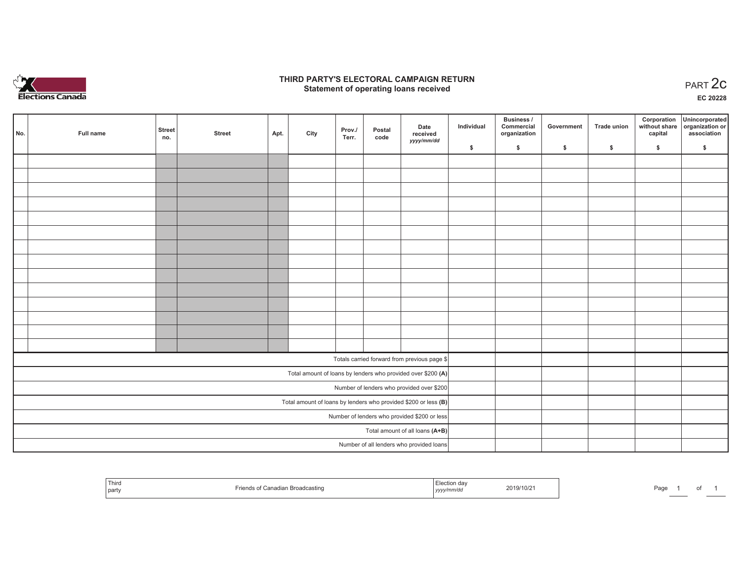

## **THIRD PARTY'S ELECTORAL CAMPAIGN RETURN STATE:** PERSON SELECTORAL CAMPAIGN RETURN<br>
Statement of operating loans received

**EC 20228**

|                                                                 | No.                                      | Full name | <b>Street</b><br>no. | <b>Street</b> | Apt. | City | Prov./<br>Terr. | Postal<br>code | Date<br>received                                             | Individual | Business /<br>Commercial<br>organization | Government | <b>Trade union</b> | Corporation<br>capital | Unincorporated<br>without share organization or<br>association |
|-----------------------------------------------------------------|------------------------------------------|-----------|----------------------|---------------|------|------|-----------------|----------------|--------------------------------------------------------------|------------|------------------------------------------|------------|--------------------|------------------------|----------------------------------------------------------------|
|                                                                 |                                          |           |                      |               |      |      |                 |                | yyyy/mm/dd                                                   | \$         | \$                                       | \$         | \$                 | \$                     | \$                                                             |
|                                                                 |                                          |           |                      |               |      |      |                 |                |                                                              |            |                                          |            |                    |                        |                                                                |
|                                                                 |                                          |           |                      |               |      |      |                 |                |                                                              |            |                                          |            |                    |                        |                                                                |
|                                                                 |                                          |           |                      |               |      |      |                 |                |                                                              |            |                                          |            |                    |                        |                                                                |
|                                                                 |                                          |           |                      |               |      |      |                 |                |                                                              |            |                                          |            |                    |                        |                                                                |
|                                                                 |                                          |           |                      |               |      |      |                 |                |                                                              |            |                                          |            |                    |                        |                                                                |
|                                                                 |                                          |           |                      |               |      |      |                 |                |                                                              |            |                                          |            |                    |                        |                                                                |
|                                                                 |                                          |           |                      |               |      |      |                 |                |                                                              |            |                                          |            |                    |                        |                                                                |
|                                                                 |                                          |           |                      |               |      |      |                 |                |                                                              |            |                                          |            |                    |                        |                                                                |
|                                                                 |                                          |           |                      |               |      |      |                 |                |                                                              |            |                                          |            |                    |                        |                                                                |
|                                                                 |                                          |           |                      |               |      |      |                 |                |                                                              |            |                                          |            |                    |                        |                                                                |
|                                                                 |                                          |           |                      |               |      |      |                 |                |                                                              |            |                                          |            |                    |                        |                                                                |
|                                                                 |                                          |           |                      |               |      |      |                 |                |                                                              |            |                                          |            |                    |                        |                                                                |
|                                                                 |                                          |           |                      |               |      |      |                 |                |                                                              |            |                                          |            |                    |                        |                                                                |
|                                                                 |                                          |           |                      |               |      |      |                 |                |                                                              |            |                                          |            |                    |                        |                                                                |
|                                                                 |                                          |           |                      |               |      |      |                 |                | Totals carried forward from previous page \$                 |            |                                          |            |                    |                        |                                                                |
|                                                                 |                                          |           |                      |               |      |      |                 |                | Total amount of loans by lenders who provided over \$200 (A) |            |                                          |            |                    |                        |                                                                |
|                                                                 |                                          |           |                      |               |      |      |                 |                | Number of lenders who provided over \$200                    |            |                                          |            |                    |                        |                                                                |
| Total amount of loans by lenders who provided \$200 or less (B) |                                          |           |                      |               |      |      |                 |                |                                                              |            |                                          |            |                    |                        |                                                                |
| Number of lenders who provided \$200 or less                    |                                          |           |                      |               |      |      |                 |                |                                                              |            |                                          |            |                    |                        |                                                                |
| Total amount of all loans (A+B)                                 |                                          |           |                      |               |      |      |                 |                |                                                              |            |                                          |            |                    |                        |                                                                |
|                                                                 | Number of all lenders who provided loans |           |                      |               |      |      |                 |                |                                                              |            |                                          |            |                    |                        |                                                                |

| <sup>'</sup> Third<br>ำn Broadca.<br>$'$ onodi:<br>icastino<br>part | 2019/10/2<br>yyyy <i>nnnv</i> | Page<br>ωı |  |
|---------------------------------------------------------------------|-------------------------------|------------|--|
|---------------------------------------------------------------------|-------------------------------|------------|--|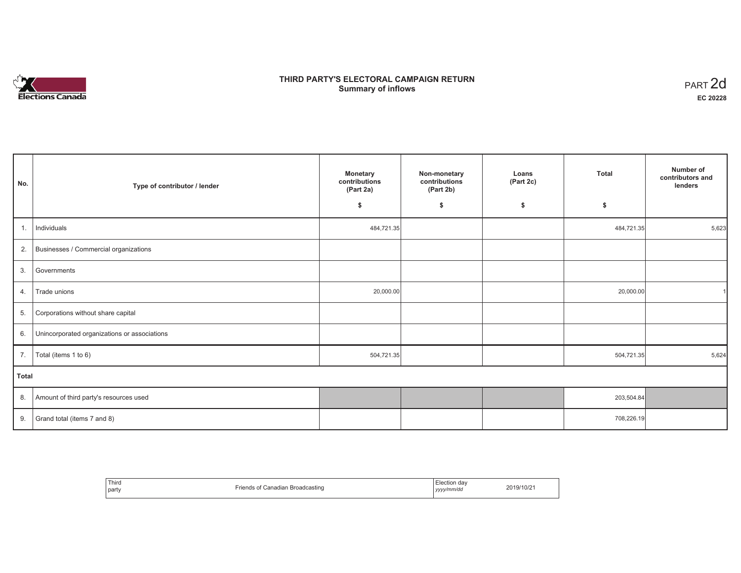# n in Elections Canada

# **THIRD PARTY'S ELECTORAL CAMPAIGN RETURN Summary of inflows**

| PART <sub>2d</sub> |
|--------------------|
| EC 20228           |

| No.          | Type of contributor / lender                 | <b>Monetary</b><br>contributions<br>(Part 2a) | Non-monetary<br>contributions<br>(Part 2b) | Loans<br>(Part 2c) | Total      | Number of<br>contributors and<br>lenders |
|--------------|----------------------------------------------|-----------------------------------------------|--------------------------------------------|--------------------|------------|------------------------------------------|
|              |                                              | \$                                            | \$                                         | \$                 | \$         |                                          |
| 1.           | Individuals                                  | 484,721.35                                    |                                            |                    | 484,721.35 | 5,623                                    |
| 2.           | Businesses / Commercial organizations        |                                               |                                            |                    |            |                                          |
| 3.           | Governments                                  |                                               |                                            |                    |            |                                          |
| 4.           | Trade unions                                 | 20,000.00                                     |                                            |                    | 20,000.00  |                                          |
| 5.           | Corporations without share capital           |                                               |                                            |                    |            |                                          |
| 6.           | Unincorporated organizations or associations |                                               |                                            |                    |            |                                          |
| 7.           | Total (items 1 to 6)                         | 504,721.35                                    |                                            |                    | 504,721.35 | 5,624                                    |
| <b>Total</b> |                                              |                                               |                                            |                    |            |                                          |
| 8.           | Amount of third party's resources used       |                                               |                                            |                    | 203,504.84 |                                          |
| 9.           | Grand total (items 7 and 8)                  |                                               |                                            |                    | 708,226.19 |                                          |

| Third<br>party | _<br><b>Broadcasting</b><br>$'$ anadian | . dav<br>lection<br>.<br>vyyy/mm/da<br>,,,, | .19/10/2' |
|----------------|-----------------------------------------|---------------------------------------------|-----------|
|----------------|-----------------------------------------|---------------------------------------------|-----------|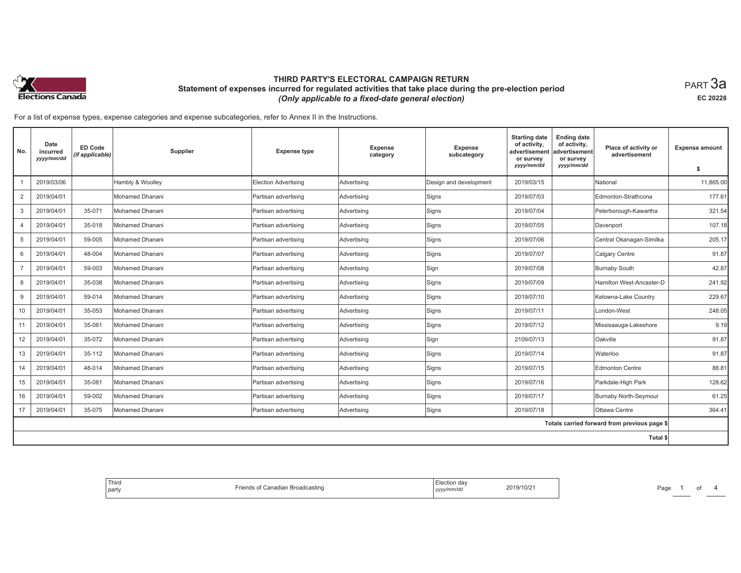

For a list of expense types, expense categories and expense subcategories, refer to Annex II in the Instructions.

| No.            | Date<br>incurred<br>yyyy/mm/dd | <b>ED Code</b><br>(if applicable) | Supplier               | <b>Expense type</b>         | <b>Expense</b><br>category | Expense<br>subcategory | <b>Starting date</b><br>of activity,<br>advertisement<br>or survey<br>yyyy/mm/dd | <b>Ending date</b><br>of activity,<br>advertisement<br>or survey<br>yyyy/mm/dd | Place of activity or<br>advertisement        | <b>Expense amount</b><br>\$ |
|----------------|--------------------------------|-----------------------------------|------------------------|-----------------------------|----------------------------|------------------------|----------------------------------------------------------------------------------|--------------------------------------------------------------------------------|----------------------------------------------|-----------------------------|
|                | 2019/03/06                     |                                   | Hambly & Woolley       | <b>Election Advertising</b> | Advertising                | Design and development | 2019/03/15                                                                       |                                                                                | National                                     | 11,865.00                   |
| $\overline{2}$ | 2019/04/01                     |                                   | Mohamed Dhanani        | Partisan advertising        | Advertising                | Signs                  | 2019/07/03                                                                       |                                                                                | Edmonton-Strathcona                          | 177.61                      |
| 3              | 2019/04/01                     | 35-071                            | Mohamed Dhanani        | Partisan advertising        | Advertising                | Signs                  | 2019/07/04                                                                       |                                                                                | Peterborough-Kawartha                        | 321.54                      |
| $\overline{4}$ | 2019/04/01                     | 35-018                            | Mohamed Dhanani        | Partisan advertising        | Advertising                | Signs                  | 2019/07/05                                                                       |                                                                                | Davenport                                    | 107.18                      |
| 5              | 2019/04/01                     | 59-005                            | Mohamed Dhanani        | Partisan advertising        | Advertising                | Signs                  | 2019/07/06                                                                       |                                                                                | Central Okanagan-Similka                     | 205.17                      |
| 6              | 2019/04/01                     | 48-004                            | Mohamed Dhanani        | Partisan advertising        | Advertising                | Signs                  | 2019/07/07                                                                       |                                                                                | Calgary Centre                               | 91.87                       |
| $\overline{7}$ | 2019/04/01                     | 59-003                            | Mohamed Dhanani        | Partisan advertising        | Advertising                | Sign                   | 2019/07/08                                                                       |                                                                                | <b>Burnaby South</b>                         | 42.87                       |
| 8              | 2019/04/01                     | 35-038                            | Mohamed Dhanani        | Partisan advertising        | Advertising                | Signs                  | 2019/07/09                                                                       |                                                                                | Hamilton West-Ancaster-D                     | 241.92                      |
| 9              | 2019/04/01                     | 59-014                            | Mohamed Dhanani        | Partisan advertising        | Advertising                | Signs                  | 2019/07/10                                                                       |                                                                                | Kelowna-Lake Country                         | 229.67                      |
| 10             | 2019/04/01                     | 35-053                            | Mohamed Dhanani        | Partisan advertising        | Advertising                | Signs                  | 2019/07/11                                                                       |                                                                                | London-West                                  | 248.05                      |
| 11             | 2019/04/01                     | 35-061                            | Mohamed Dhanani        | Partisan advertising        | Advertising                | Signs                  | 2019/07/12                                                                       |                                                                                | Missisaauga-Lakeshore                        | 9.19                        |
| 12             | 2019/04/01                     | 35-072                            | Mohamed Dhanani        | Partisan advertising        | Advertising                | Sign                   | 2109/07/13                                                                       |                                                                                | Oakville                                     | 91.87                       |
| 13             | 2019/04/01                     | 35-112                            | Mohamed Dhanani        | Partisan advertising        | Advertising                | Signs                  | 2019/07/14                                                                       |                                                                                | Waterloo                                     | 91.87                       |
| 14             | 2019/04/01                     | 48-014                            | Mohamed Dhanani        | Partisan advertising        | Advertising                | Signs                  | 2019/07/15                                                                       |                                                                                | <b>Edmonton Centre</b>                       | 88.81                       |
| 15             | 2019/04/01                     | 35-081                            | Mohamed Dhanani        | Partisan advertising        | Advertising                | Signs                  | 2019/07/16                                                                       |                                                                                | Parkdale-High Park                           | 128.62                      |
| 16             | 2019/04/01                     | 59-002                            | Mohamed Dhanani        | Partisan advertising        | Advertising                | Signs                  | 2019/07/17                                                                       |                                                                                | <b>Burnaby North-Seymour</b>                 | 61.25                       |
| 17             | 2019/04/01                     | 35-075                            | <b>Mohamed Dhanani</b> | Partisan advertising        | Advertising                | Signs                  | 2019/07/18                                                                       |                                                                                | Ottawa Centre                                | 364.41                      |
|                |                                |                                   |                        |                             |                            |                        |                                                                                  |                                                                                | Totals carried forward from previous page \$ |                             |
|                |                                |                                   |                        |                             |                            |                        |                                                                                  |                                                                                | Total \$                                     |                             |

| Third<br>  party | <b>Broadcastin</b> | echon dav<br>nm/du<br>,,,,, | 9/10/2 | Page |  |  |  |
|------------------|--------------------|-----------------------------|--------|------|--|--|--|
|------------------|--------------------|-----------------------------|--------|------|--|--|--|

равт **3а EC 20228**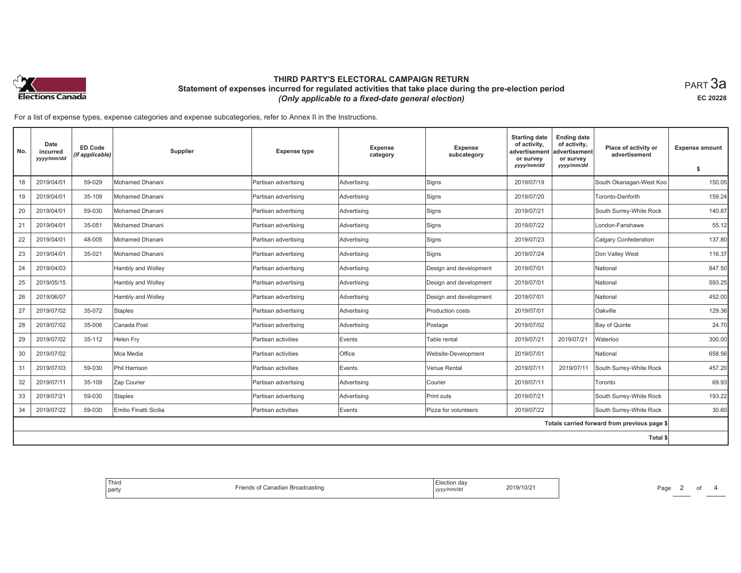

For a list of expense types, expense categories and expense subcategories, refer to Annex II in the Instructions.

| No. | Date<br>incurred<br>yyyy/mm/dd | <b>ED Code</b><br>(if applicable) | Supplier               | <b>Expense type</b>  | <b>Expense</b><br>category | <b>Expense</b><br>subcategory | <b>Starting date</b><br>of activity,<br>advertisement<br>or survey<br>yyyy/mm/dd | <b>Ending date</b><br>of activity,<br>advertisement<br>or survey<br>yyyy/mm/dd | Place of activity or<br>advertisement        | <b>Expense amount</b><br>\$ |
|-----|--------------------------------|-----------------------------------|------------------------|----------------------|----------------------------|-------------------------------|----------------------------------------------------------------------------------|--------------------------------------------------------------------------------|----------------------------------------------|-----------------------------|
| 18  | 2019/04/01                     | 59-029                            | Mohamed Dhanani        | Partisan advertising | Advertising                | Signs                         | 2019/07/19                                                                       |                                                                                | South Okanagan-West Koo                      | 150.05                      |
| 19  | 2019/04/01                     | 35-109                            | <b>Mohamed Dhanani</b> | Partisan advertising | Advertising                | Signs                         | 2019/07/20                                                                       |                                                                                | Toronto-Danforth                             | 159.24                      |
| 20  | 2019/04/01                     | 59-030                            | <b>Mohamed Dhanani</b> | Partisan advertising | Advertising                | Signs                         | 2019/07/21                                                                       |                                                                                | South Surrey-White Rock                      | 140.87                      |
| 21  | 2019/04/01                     | 35-051                            | Mohamed Dhanani        | Partisan advertising | Advertising                | Signs                         | 2019/07/22                                                                       |                                                                                | London-Fanshawe                              | 55.12                       |
| 22  | 2019/04/01                     | 48-005                            | <b>Mohamed Dhanani</b> | Partisan advertising | Advertising                | Signs                         | 2019/07/23                                                                       |                                                                                | <b>Calgary Confederation</b>                 | 137.80                      |
| 23  | 2019/04/01                     | 35-021                            | Mohamed Dhanani        | Partisan advertising | Advertising                | Signs                         | 2019/07/24                                                                       |                                                                                | Don Valley West                              | 116.37                      |
| 24  | 2019/04/03                     |                                   | Hambly and Wolley      | Partisan advertising | Advertising                | Design and development        | 2019/07/01                                                                       |                                                                                | National                                     | 847.50                      |
| 25  | 2019/05/15                     |                                   | Hambly and Wolley      | Partisan advertising | Advertising                | Design and development        | 2019/07/01                                                                       |                                                                                | National                                     | 593.25                      |
| 26  | 2019/06/07                     |                                   | Hambly and Wolley      | Partisan advertising | Advertising                | Design and development        | 2019/07/01                                                                       |                                                                                | National                                     | 452.00                      |
| 27  | 2019/07/02                     | 35-072                            | <b>Staples</b>         | Partisan advertising | Advertising                | Production costs              | 2019/07/01                                                                       |                                                                                | Oakville                                     | 129.36                      |
| 28  | 2019/07/02                     | 35-006                            | Canada Post            | Partisan advertising | Advertising                | Postage                       | 2019/07/02                                                                       |                                                                                | Bay of Quinte                                | 24.70                       |
| 29  | 2019/07/02                     | 35-112                            | <b>Helen Fry</b>       | Partisan activities  | Events                     | Table rental                  | 2019/07/21                                                                       | 2019/07/21                                                                     | Waterloo                                     | 300.00                      |
| 30  | 2019/07/02                     |                                   | Moa Media              | Partisan activities  | Office                     | Website-Development           | 2019/07/01                                                                       |                                                                                | National                                     | 658.56                      |
| 31  | 2019/07/03                     | 59-030                            | Phil Harrison          | Partisan activities  | Events                     | Venue Rental                  | 2019/07/11                                                                       | 2019/07/11                                                                     | South Surrey-White Rock                      | 457.20                      |
| 32  | 2019/07/11                     | 35-109                            | Zap Courier            | Partisan advertising | Advertising                | Courier                       | 2019/07/11                                                                       |                                                                                | Toronto                                      | 69.93                       |
| 33  | 2019/07/21                     | 59-030                            | <b>Staples</b>         | Partisan advertising | Advertising                | Print outs                    | 2019/07/21                                                                       |                                                                                | South Surrey-White Rock                      | 193.22                      |
| 34  | 2019/07/22                     | 59-030                            | Emilio Finatti Sicilia | Partisan activities  | Events                     | Pizza for volunteers          | 2019/07/22                                                                       |                                                                                | South Surrey-White Rock                      | 30.60                       |
|     |                                |                                   |                        |                      |                            |                               |                                                                                  |                                                                                | Totals carried forward from previous page \$ |                             |
|     |                                |                                   |                        |                      |                            |                               |                                                                                  |                                                                                | Total \$                                     |                             |

| Third<br>Friends of Canadian Broadcasting<br>  party | Election day<br>2019/10/21<br>yyyy/mm/dd | Page |
|------------------------------------------------------|------------------------------------------|------|
|------------------------------------------------------|------------------------------------------|------|

равт **3а EC 20228**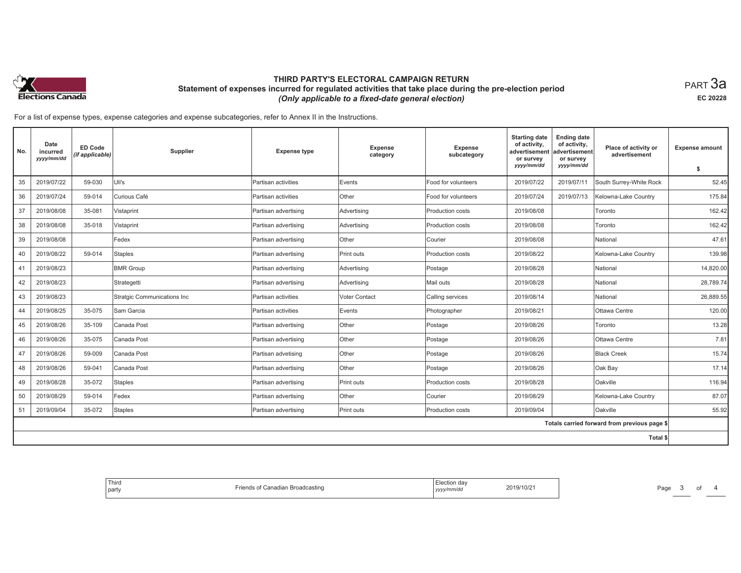

равт **3а EC 20228**

For a list of expense types, expense categories and expense subcategories, refer to Annex II in the Instructions.

| No. | Date<br>incurred<br>yyyy/mm/dd | <b>ED Code</b><br>(if applicable) | Supplier                    | <b>Expense type</b>  | <b>Expense</b><br>category | Expense<br>subcategory | <b>Starting date</b><br>of activity,<br>advertisement<br>or survey<br>yyyy/mm/dd | <b>Ending date</b><br>of activity,<br>advertisement<br>or survey<br>yyyy/mm/dd | Place of activity or<br>advertisement        | <b>Expense amount</b><br>\$ |
|-----|--------------------------------|-----------------------------------|-----------------------------|----------------------|----------------------------|------------------------|----------------------------------------------------------------------------------|--------------------------------------------------------------------------------|----------------------------------------------|-----------------------------|
| 35  | 2019/07/22                     | 59-030                            | Uli's                       | Partisan activities  | Events                     | Food for volunteers    | 2019/07/22                                                                       | 2019/07/11                                                                     | South Surrey-White Rock                      | 52.45                       |
| 36  | 2019/07/24                     | 59-014                            | Curious Café                | Partisan activities  | Other                      | Food for volunteers    | 2019/07/24                                                                       | 2019/07/13                                                                     | Kelowna-Lake Country                         | 175.84                      |
| 37  | 2019/08/08                     | 35-081                            | Vistaprint                  | Partisan advertising | Advertising                | Production costs       | 2019/08/08                                                                       |                                                                                | Toronto                                      | 162.42                      |
| 38  | 2019/08/08                     | 35-018                            | Vistaprint                  | Partisan advertising | Advertising                | Production costs       | 2019/08/08                                                                       |                                                                                | Toronto                                      | 162.42                      |
| 39  | 2019/08/08                     |                                   | Fedex                       | Partisan advertising | Other                      | Courier                | 2019/08/08                                                                       |                                                                                | National                                     | 47.61                       |
| 40  | 2019/08/22                     | 59-014                            | <b>Staples</b>              | Partisan advertising | Print outs                 | Production costs       | 2019/08/22                                                                       |                                                                                | Kelowna-Lake Country                         | 139.98                      |
| 41  | 2019/08/23                     |                                   | <b>BMR Group</b>            | Partisan advertising | Advertising                | Postage                | 2019/08/28                                                                       |                                                                                | National                                     | 14,820.00                   |
| 42  | 2019/08/23                     |                                   | Strategetti                 | Partisan advertising | Advertising                | Mail outs              | 2019/08/28                                                                       |                                                                                | National                                     | 28,789.74                   |
| 43  | 2019/08/23                     |                                   | Stratgic Communications Inc | Partisan activities  | <b>Voter Contact</b>       | Calling services       | 2019/08/14                                                                       |                                                                                | National                                     | 26,889.55                   |
| 44  | 2019/08/25                     | 35-075                            | Sam Garcia                  | Partisan activities  | Events                     | Photographer           | 2019/08/21                                                                       |                                                                                | Ottawa Centre                                | 120.00                      |
| 45  | 2019/08/26                     | 35-109                            | Canada Post                 | Partisan advertising | Other                      | Postage                | 2019/08/26                                                                       |                                                                                | Toronto                                      | 13.28                       |
| 46  | 2019/08/26                     | 35-075                            | Canada Post                 | Partisan advertising | Other                      | Postage                | 2019/08/26                                                                       |                                                                                | Ottawa Centre                                | 7.81                        |
| 47  | 2019/08/26                     | 59-009                            | Canada Post                 | Partisan advetising  | Other                      | Postage                | 2019/08/26                                                                       |                                                                                | <b>Black Creek</b>                           | 15.74                       |
| 48  | 2019/08/26                     | 59-041                            | Canada Post                 | Partisan advertising | Other                      | Postage                | 2019/08/26                                                                       |                                                                                | Oak Bay                                      | 17.14                       |
| 49  | 2019/08/28                     | 35-072                            | <b>Staples</b>              | Partisan advertising | Print outs                 | Production costs       | 2019/08/28                                                                       |                                                                                | Oakville                                     | 116.94                      |
| 50  | 2019/08/29                     | 59-014                            | Fedex                       | Partisan advertising | Other                      | Courier                | 2019/08/29                                                                       |                                                                                | Kelowna-Lake Country                         | 87.07                       |
| 51  | 2019/09/04                     | 35-072                            | <b>Staples</b>              | Partisan advertising | Print outs                 | Production costs       | 2019/09/04                                                                       |                                                                                | Oakville                                     | 55.92                       |
|     |                                |                                   |                             |                      |                            |                        |                                                                                  |                                                                                | Totals carried forward from previous page \$ |                             |
|     |                                |                                   |                             |                      |                            |                        |                                                                                  |                                                                                | Total \$                                     |                             |

| Third<br>party | adian Broadcasting<br>$'$ connection $\vdash$ | Election day<br>2019/10/21<br>.<br>, yyyymmvu | Page |
|----------------|-----------------------------------------------|-----------------------------------------------|------|
|----------------|-----------------------------------------------|-----------------------------------------------|------|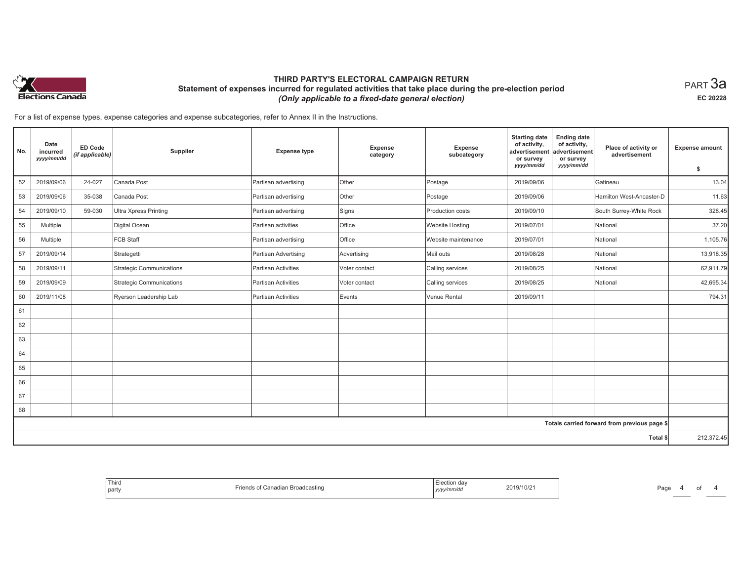

равт **3а EC 20228**

For a list of expense types, expense categories and expense subcategories, refer to Annex II in the Instructions.

| No. | Date<br>incurred<br>yyyy/mm/dd | <b>ED Code</b><br>(if applicable) | Supplier                     | <b>Expense type</b>  | Expense<br>category | Expense<br>subcategory | <b>Starting date</b><br>of activity,<br>advertisement<br>or survey<br>yyyy/mm/dd | <b>Ending date</b><br>of activity,<br>advertisement<br>or survey<br>yyyy/mm/dd | Place of activity or<br>advertisement        | <b>Expense amount</b><br>\$ |
|-----|--------------------------------|-----------------------------------|------------------------------|----------------------|---------------------|------------------------|----------------------------------------------------------------------------------|--------------------------------------------------------------------------------|----------------------------------------------|-----------------------------|
| 52  | 2019/09/06                     | 24-027                            | Canada Post                  | Partisan advertising | Other               | Postage                | 2019/09/06                                                                       |                                                                                | Gatineau                                     | 13.04                       |
| 53  | 2019/09/06                     | 35-038                            | Canada Post                  |                      | Other               |                        | 2019/09/06                                                                       |                                                                                | Hamilton West-Ancaster-D                     | 11.63                       |
|     |                                |                                   |                              | Partisan advertising |                     | Postage                |                                                                                  |                                                                                |                                              |                             |
| 54  | 2019/09/10                     | 59-030                            | <b>Ultra Xpress Printing</b> | Partisan advertising | Signs               | Production costs       | 2019/09/10                                                                       |                                                                                | South Surrey-White Rock                      | 328.45                      |
| 55  | Multiple                       |                                   | Digital Ocean                | Partisan activities  | Office              | <b>Website Hosting</b> | 2019/07/01                                                                       |                                                                                | National                                     | 37.20                       |
| 56  | Multiple                       |                                   | FCB Staff                    | Partisan advertising | Office              | Website maintenance    | 2019/07/01                                                                       |                                                                                | National                                     | 1,105.76                    |
| 57  | 2019/09/14                     |                                   | Strategetti                  | Partisan Advertising | Advertising         | Mail outs              | 2019/08/28                                                                       |                                                                                | National                                     | 13,918.35                   |
| 58  | 2019/09/11                     |                                   | Strategic Communications     | Partisan Activities  | Voter contact       | Calling services       | 2019/08/25                                                                       |                                                                                | National                                     | 62,911.79                   |
| 59  | 2019/09/09                     |                                   | Strategic Communications     | Partisan Activities  | Voter contact       | Calling services       | 2019/08/25                                                                       |                                                                                | National                                     | 42,695.34                   |
| 60  | 2019/11/08                     |                                   | Ryerson Leadership Lab       | Partisan Activities  | Events              | Venue Rental           | 2019/09/11                                                                       |                                                                                |                                              | 794.31                      |
| 61  |                                |                                   |                              |                      |                     |                        |                                                                                  |                                                                                |                                              |                             |
| 62  |                                |                                   |                              |                      |                     |                        |                                                                                  |                                                                                |                                              |                             |
| 63  |                                |                                   |                              |                      |                     |                        |                                                                                  |                                                                                |                                              |                             |
| 64  |                                |                                   |                              |                      |                     |                        |                                                                                  |                                                                                |                                              |                             |
| 65  |                                |                                   |                              |                      |                     |                        |                                                                                  |                                                                                |                                              |                             |
| 66  |                                |                                   |                              |                      |                     |                        |                                                                                  |                                                                                |                                              |                             |
| 67  |                                |                                   |                              |                      |                     |                        |                                                                                  |                                                                                |                                              |                             |
| 68  |                                |                                   |                              |                      |                     |                        |                                                                                  |                                                                                |                                              |                             |
|     |                                |                                   |                              |                      |                     |                        |                                                                                  |                                                                                | Totals carried forward from previous page \$ |                             |
|     |                                |                                   |                              |                      |                     |                        |                                                                                  |                                                                                | Total \$                                     | 212,372.45                  |

| $-$ . $-$<br>Third<br>part | t Canadian Broadcasting<br>1115 | f<br>---<br>ייירייוחו חשמי –יי<br>2019/10/2<br>yyyy/mm/dd | Page |
|----------------------------|---------------------------------|-----------------------------------------------------------|------|
|----------------------------|---------------------------------|-----------------------------------------------------------|------|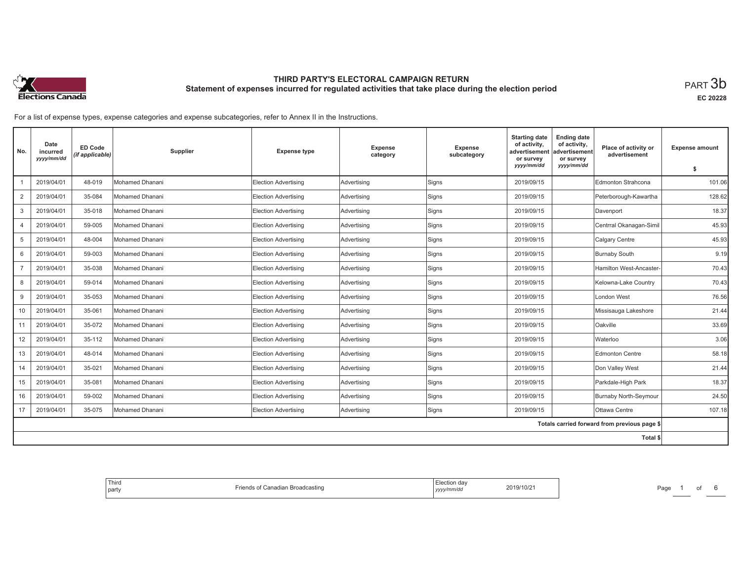

**EC 20228**

For a list of expense types, expense categories and expense subcategories, refer to Annex II in the Instructions.

| No.            | Date<br>incurred<br>yyyy/mm/dd | ED Code<br>(if applicable) | Supplier               | <b>Expense type</b>  | Expense<br>category | <b>Expense</b><br>subcategory | <b>Starting date</b><br>of activity,<br>advertisement<br>or survey<br>yyyy/mm/dd | <b>Ending date</b><br>of activity,<br>advertisement<br>or survey<br>yyyy/mm/dd | Place of activity or<br>advertisement        | <b>Expense amount</b><br>\$ |
|----------------|--------------------------------|----------------------------|------------------------|----------------------|---------------------|-------------------------------|----------------------------------------------------------------------------------|--------------------------------------------------------------------------------|----------------------------------------------|-----------------------------|
|                | 2019/04/01                     | 48-019                     | Mohamed Dhanani        | Election Advertising | Advertising         | Signs                         | 2019/09/15                                                                       |                                                                                | <b>Edmonton Strahcona</b>                    | 101.06                      |
| $\overline{2}$ | 2019/04/01                     | 35-084                     | Mohamed Dhanani        | Election Advertising | Advertising         | Signs                         | 2019/09/15                                                                       |                                                                                | Peterborough-Kawartha                        | 128.62                      |
| 3              | 2019/04/01                     | 35-018                     | Mohamed Dhanani        | Election Advertising | Advertising         | Signs                         | 2019/09/15                                                                       |                                                                                | Davenport                                    | 18.37                       |
| 4              | 2019/04/01                     | 59-005                     | <b>Mohamed Dhanani</b> | Election Advertising | Advertising         | Signs                         | 2019/09/15                                                                       |                                                                                | Centrral Okanagan-Simil                      | 45.93                       |
| 5              | 2019/04/01                     | 48-004                     | Mohamed Dhanani        | Election Advertising | Advertising         | Signs                         | 2019/09/15                                                                       |                                                                                | Calgary Centre                               | 45.93                       |
| 6              | 2019/04/01                     | 59-003                     | Mohamed Dhanani        | Election Advertising | Advertising         | Signs                         | 2019/09/15                                                                       |                                                                                | <b>Burnaby South</b>                         | 9.19                        |
| $\overline{7}$ | 2019/04/01                     | 35-038                     | Mohamed Dhanani        | Election Advertising | Advertising         | Signs                         | 2019/09/15                                                                       |                                                                                | Hamilton West-Ancaster-                      | 70.43                       |
| 8              | 2019/04/01                     | 59-014                     | Mohamed Dhanani        | Election Advertising | Advertising         | Signs                         | 2019/09/15                                                                       |                                                                                | Kelowna-Lake Country                         | 70.43                       |
| 9              | 2019/04/01                     | 35-053                     | Mohamed Dhanani        | Election Advertising | Advertising         | Signs                         | 2019/09/15                                                                       |                                                                                | London West                                  | 76.56                       |
| 10             | 2019/04/01                     | 35-061                     | Mohamed Dhanani        | Election Advertising | Advertising         | Signs                         | 2019/09/15                                                                       |                                                                                | Missisauga Lakeshore                         | 21.44                       |
| 11             | 2019/04/01                     | 35-072                     | Mohamed Dhanani        | Election Advertising | Advertising         | Signs                         | 2019/09/15                                                                       |                                                                                | Oakville                                     | 33.69                       |
| 12             | 2019/04/01                     | 35-112                     | Mohamed Dhanani        | Election Advertising | Advertising         | Signs                         | 2019/09/15                                                                       |                                                                                | Waterloo                                     | 3.06                        |
| 13             | 2019/04/01                     | 48-014                     | Mohamed Dhanani        | Election Advertising | Advertising         | Signs                         | 2019/09/15                                                                       |                                                                                | Edmonton Centre                              | 58.18                       |
| 14             | 2019/04/01                     | 35-021                     | Mohamed Dhanani        | Election Advertising | Advertising         | Signs                         | 2019/09/15                                                                       |                                                                                | Don Valley West                              | 21.44                       |
| 15             | 2019/04/01                     | 35-081                     | Mohamed Dhanani        | Election Advertising | Advertising         | Signs                         | 2019/09/15                                                                       |                                                                                | Parkdale-High Park                           | 18.37                       |
| 16             | 2019/04/01                     | 59-002                     | Mohamed Dhanani        | Election Advertising | Advertising         | Signs                         | 2019/09/15                                                                       |                                                                                | <b>Burnaby North-Seymour</b>                 | 24.50                       |
| 17             | 2019/04/01                     | 35-075                     | Mohamed Dhanani        | Election Advertising | Advertising         | Signs                         | 2019/09/15                                                                       |                                                                                | Ottawa Centre                                | 107.18                      |
|                |                                |                            |                        |                      |                     |                               |                                                                                  |                                                                                | Totals carried forward from previous page \$ |                             |
|                |                                |                            |                        |                      |                     |                               |                                                                                  |                                                                                | <b>Total \$</b>                              |                             |

| Election dav<br>2019/10/21<br>Canadian Broadcasting<br>⊹ ∩†<br>.<br>yyyy/mm/dd |
|--------------------------------------------------------------------------------|
|--------------------------------------------------------------------------------|

Page 1 of 6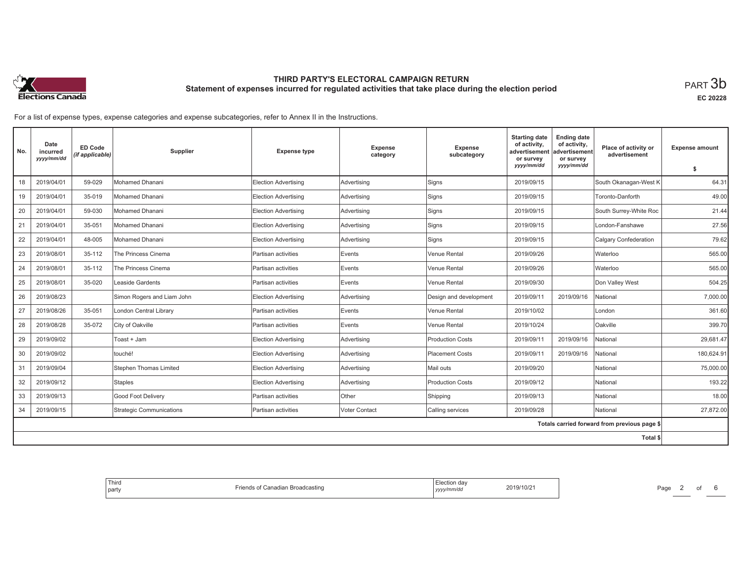

**EC 20228**

For a list of expense types, expense categories and expense subcategories, refer to Annex II in the Instructions.

| No. | Date<br>incurred<br>yyyy/mm/dd | ED Code<br>(if applicable) | Supplier                   | <b>Expense type</b>  | Expense<br>category | <b>Expense</b><br>subcategory | <b>Starting date</b><br>of activity,<br>advertisement<br>or survey<br>yyyy/mm/dd | <b>Ending date</b><br>of activity,<br>advertisement<br>or survey<br>yyyy/mm/dd | Place of activity or<br>advertisement        | <b>Expense amount</b><br>\$ |
|-----|--------------------------------|----------------------------|----------------------------|----------------------|---------------------|-------------------------------|----------------------------------------------------------------------------------|--------------------------------------------------------------------------------|----------------------------------------------|-----------------------------|
| 18  | 2019/04/01                     | 59-029                     | <b>Mohamed Dhanani</b>     | Election Advertising | Advertising         | Signs                         | 2019/09/15                                                                       |                                                                                | South Okanagan-West K                        | 64.31                       |
| 19  | 2019/04/01                     | 35-019                     | Mohamed Dhanani            | Election Advertising | Advertising         | Signs                         | 2019/09/15                                                                       |                                                                                | Toronto-Danforth                             | 49.00                       |
| 20  | 2019/04/01                     | 59-030                     | Mohamed Dhanani            | Election Advertising | Advertising         | Signs                         | 2019/09/15                                                                       |                                                                                | South Surrey-White Roc                       | 21.44                       |
| 21  | 2019/04/01                     | 35-051                     | <b>Mohamed Dhanani</b>     | Election Advertising | Advertising         | Signs                         | 2019/09/15                                                                       |                                                                                | London-Fanshawe                              | 27.56                       |
| 22  | 2019/04/01                     | 48-005                     | Mohamed Dhanani            | Election Advertising | Advertising         | Signs                         | 2019/09/15                                                                       |                                                                                | <b>Calgary Confederation</b>                 | 79.62                       |
| 23  | 2019/08/01                     | 35-112                     | The Princess Cinema        | Partisan activities  | Events              | Venue Rental                  | 2019/09/26                                                                       |                                                                                | Waterloo                                     | 565.00                      |
| 24  | 2019/08/01                     | 35-112                     | The Princess Cinema        | Partisan activities  | Events              | Venue Rental                  | 2019/09/26                                                                       |                                                                                | Waterloo                                     | 565.00                      |
| 25  | 2019/08/01                     | 35-020                     | Leaside Gardents           | Partisan activities  | Events              | Venue Rental                  | 2019/09/30                                                                       |                                                                                | Don Valley West                              | 504.25                      |
| 26  | 2019/08/23                     |                            | Simon Rogers and Liam John | Election Advertising | Advertising         | Design and development        | 2019/09/11                                                                       | 2019/09/16                                                                     | National                                     | 7,000.00                    |
| 27  | 2019/08/26                     | 35-051                     | London Central Library     | Partisan activities  | Events              | Venue Rental                  | 2019/10/02                                                                       |                                                                                | London                                       | 361.60                      |
| 28  | 2019/08/28                     | 35-072                     | City of Oakville           | Partisan activities  | Events              | Venue Rental                  | 2019/10/24                                                                       |                                                                                | Oakville                                     | 399.70                      |
| 29  | 2019/09/02                     |                            | Toast + Jam                | Election Advertising | Advertising         | <b>Production Costs</b>       | 2019/09/11                                                                       | 2019/09/16                                                                     | <b>National</b>                              | 29,681.47                   |
| 30  | 2019/09/02                     |                            | touché!                    | Election Advertising | Advertising         | <b>Placement Costs</b>        | 2019/09/11                                                                       | 2019/09/16                                                                     | National                                     | 180.624.91                  |
| 31  | 2019/09/04                     |                            | Stephen Thomas Limited     | Election Advertising | Advertising         | Mail outs                     | 2019/09/20                                                                       |                                                                                | National                                     | 75,000.00                   |
| 32  | 2019/09/12                     |                            | <b>Staples</b>             | Election Advertising | Advertising         | <b>Production Costs</b>       | 2019/09/12                                                                       |                                                                                | National                                     | 193.22                      |
| 33  | 2019/09/13                     |                            | Good Foot Delivery         | Partisan activities  | Other               | Shipping                      | 2019/09/13                                                                       |                                                                                | National                                     | 18.00                       |
| 34  | 2019/09/15                     |                            | Strategic Communications   | Partisan activities  | Voter Contact       | Calling services              | 2019/09/28                                                                       |                                                                                | National                                     | 27,872.00                   |
|     |                                |                            |                            |                      |                     |                               |                                                                                  |                                                                                | Totals carried forward from previous page \$ |                             |
|     |                                |                            |                            |                      |                     |                               |                                                                                  |                                                                                | <b>Total \$</b>                              |                             |

| 2019/10/21 |  |
|------------|--|
|------------|--|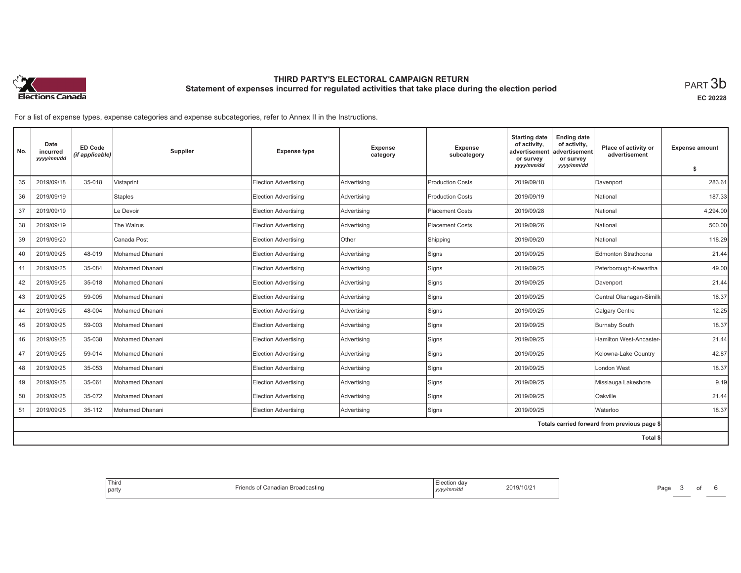

**EC 20228**

For a list of expense types, expense categories and expense subcategories, refer to Annex II in the Instructions.

| No. | Date<br>incurred<br>yyyy/mm/dd | <b>ED Code</b><br>(if applicable) | Supplier        | <b>Expense type</b>  | Expense<br>category | <b>Expense</b><br>subcategory | <b>Starting date</b><br>of activity,<br>advertisement<br>or survey | <b>Ending date</b><br>of activity,<br>advertisement<br>or survey | Place of activity or<br>advertisement        | <b>Expense amount</b> |
|-----|--------------------------------|-----------------------------------|-----------------|----------------------|---------------------|-------------------------------|--------------------------------------------------------------------|------------------------------------------------------------------|----------------------------------------------|-----------------------|
|     |                                |                                   |                 |                      |                     |                               | yyyy/mm/dd                                                         | yyyy/mm/dd                                                       |                                              | -S                    |
| 35  | 2019/09/18                     | 35-018                            | Vistaprint      | Election Advertising | Advertising         | <b>Production Costs</b>       | 2019/09/18                                                         |                                                                  | Davenport                                    | 283.61                |
| 36  | 2019/09/19                     |                                   | <b>Staples</b>  | Election Advertising | Advertising         | <b>Production Costs</b>       | 2019/09/19                                                         |                                                                  | National                                     | 187.33                |
| 37  | 2019/09/19                     |                                   | Le Devoir       | Election Advertising | Advertising         | <b>Placement Costs</b>        | 2019/09/28                                                         |                                                                  | National                                     | 4,294.00              |
| 38  | 2019/09/19                     |                                   | The Walrus      | Election Advertising | Advertising         | <b>Placement Costs</b>        | 2019/09/26                                                         |                                                                  | National                                     | 500.00                |
| 39  | 2019/09/20                     |                                   | Canada Post     | Election Advertising | Other               | Shipping                      | 2019/09/20                                                         |                                                                  | National                                     | 118.29                |
| 40  | 2019/09/25                     | 48-019                            | Mohamed Dhanani | Election Advertising | Advertising         | Signs                         | 2019/09/25                                                         |                                                                  | Edmonton Strathcona                          | 21.44                 |
| 41  | 2019/09/25                     | 35-084                            | Mohamed Dhanani | Election Advertising | Advertising         | Signs                         | 2019/09/25                                                         |                                                                  | Peterborough-Kawartha                        | 49.00                 |
| 42  | 2019/09/25                     | 35-018                            | Mohamed Dhanani | Election Advertising | Advertising         | Signs                         | 2019/09/25                                                         |                                                                  | Davenport                                    | 21.44                 |
| 43  | 2019/09/25                     | 59-005                            | Mohamed Dhanani | Election Advertising | Advertising         | Signs                         | 2019/09/25                                                         |                                                                  | Central Okanagan-Similk                      | 18.37                 |
| 44  | 2019/09/25                     | 48-004                            | Mohamed Dhanani | Election Advertising | Advertising         | Signs                         | 2019/09/25                                                         |                                                                  | Calgary Centre                               | 12.25                 |
| 45  | 2019/09/25                     | 59-003                            | Mohamed Dhanani | Election Advertising | Advertising         | Signs                         | 2019/09/25                                                         |                                                                  | <b>Burnaby South</b>                         | 18.37                 |
| 46  | 2019/09/25                     | 35-038                            | Mohamed Dhanani | Election Advertising | Advertising         | Signs                         | 2019/09/25                                                         |                                                                  | Hamilton West-Ancaster-                      | 21.44                 |
| 47  | 2019/09/25                     | 59-014                            | Mohamed Dhanani | Election Advertising | Advertising         | Signs                         | 2019/09/25                                                         |                                                                  | Kelowna-Lake Country                         | 42.87                 |
| 48  | 2019/09/25                     | 35-053                            | Mohamed Dhanani | Election Advertising | Advertising         | Signs                         | 2019/09/25                                                         |                                                                  | London West                                  | 18.37                 |
| 49  | 2019/09/25                     | 35-061                            | Mohamed Dhanani | Election Advertising | Advertising         | Signs                         | 2019/09/25                                                         |                                                                  | Missiauga Lakeshore                          | 9.19                  |
| 50  | 2019/09/25                     | 35-072                            | Mohamed Dhanani | Election Advertising | Advertising         | Signs                         | 2019/09/25                                                         |                                                                  | Oakville                                     | 21.44                 |
| 51  | 2019/09/25                     | 35-112                            | Mohamed Dhanani | Election Advertising | Advertising         | Signs                         | 2019/09/25                                                         |                                                                  | Waterloo                                     | 18.37                 |
|     |                                |                                   |                 |                      |                     |                               |                                                                    |                                                                  | Totals carried forward from previous page \$ |                       |
|     |                                |                                   |                 |                      |                     |                               |                                                                    |                                                                  | Total \$                                     |                       |

| 2019/10/21 |  |
|------------|--|
|------------|--|

Page 3 of 6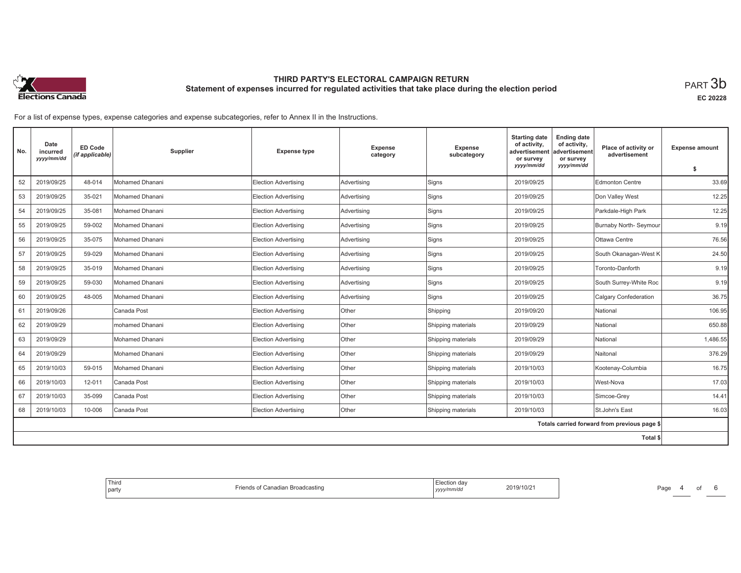

**EC 20228**

For a list of expense types, expense categories and expense subcategories, refer to Annex II in the Instructions.

| No. | Date<br>incurred<br>yyyy/mm/dd | <b>ED Code</b><br>(if applicable) | Supplier         | <b>Expense type</b>  | Expense<br>category | Expense<br>subcategory | <b>Starting date</b><br>of activity,<br>advertisement<br>or survey | <b>Ending date</b><br>of activity,<br>advertisement<br>or survey | Place of activity or<br>advertisement        | <b>Expense amount</b> |
|-----|--------------------------------|-----------------------------------|------------------|----------------------|---------------------|------------------------|--------------------------------------------------------------------|------------------------------------------------------------------|----------------------------------------------|-----------------------|
|     |                                |                                   |                  |                      |                     |                        | yyyy/mm/dd                                                         | yyyy/mm/dd                                                       |                                              | \$                    |
| 52  | 2019/09/25                     | 48-014                            | Mohamed Dhanani  | Election Advertising | Advertising         | Signs                  | 2019/09/25                                                         |                                                                  | <b>Edmonton Centre</b>                       | 33.69                 |
| 53  | 2019/09/25                     | 35-021                            | Mohamed Dhanani  | Election Advertising | Advertising         | Signs                  | 2019/09/25                                                         |                                                                  | Don Valley West                              | 12.25                 |
| 54  | 2019/09/25                     | 35-081                            | Mohamed Dhanani  | Election Advertising | Advertising         | Signs                  | 2019/09/25                                                         |                                                                  | Parkdale-High Park                           | 12.25                 |
| 55  | 2019/09/25                     | 59-002                            | Mohamed Dhanani  | Election Advertising | Advertising         | Signs                  | 2019/09/25                                                         |                                                                  | Burnaby North- Seymour                       | 9.19                  |
| 56  | 2019/09/25                     | 35-075                            | Mohamed Dhanani  | Election Advertising | Advertising         | Signs                  | 2019/09/25                                                         |                                                                  | Ottawa Centre                                | 76.56                 |
| 57  | 2019/09/25                     | 59-029                            | Mohamed Dhanani  | Election Advertising | Advertising         | Signs                  | 2019/09/25                                                         |                                                                  | South Okanagan-West K                        | 24.50                 |
| 58  | 2019/09/25                     | 35-019                            | Mohamed Dhanani  | Election Advertising | Advertising         | Signs                  | 2019/09/25                                                         |                                                                  | Toronto-Danforth                             | 9.19                  |
| 59  | 2019/09/25                     | 59-030                            | Mohamed Dhanani  | Election Advertising | Advertising         | Signs                  | 2019/09/25                                                         |                                                                  | South Surrey-White Roc                       | 9.19                  |
| 60  | 2019/09/25                     | 48-005                            | Mohamed Dhanani  | Election Advertising | Advertising         | Signs                  | 2019/09/25                                                         |                                                                  | <b>Calgary Confederation</b>                 | 36.75                 |
| 61  | 2019/09/26                     |                                   | Canada Post      | Election Advertising | Other               | Shipping               | 2019/09/20                                                         |                                                                  | National                                     | 106.95                |
| 62  | 2019/09/29                     |                                   | Imohamed Dhanani | Election Advertising | Other               | Shipping materials     | 2019/09/29                                                         |                                                                  | National                                     | 650.88                |
| 63  | 2019/09/29                     |                                   | Mohamed Dhanani  | Election Advertising | Other               | Shipping materials     | 2019/09/29                                                         |                                                                  | National                                     | 1,486.55              |
| 64  | 2019/09/29                     |                                   | Mohamed Dhanani  | Election Advertising | Other               | Shipping materials     | 2019/09/29                                                         |                                                                  | Naitonal                                     | 376.29                |
| 65  | 2019/10/03                     | 59-015                            | Mohamed Dhanani  | Election Advertising | Other               | Shipping materials     | 2019/10/03                                                         |                                                                  | Kootenay-Columbia                            | 16.75                 |
| 66  | 2019/10/03                     | 12-011                            | Canada Post      | Election Advertising | Other               | Shipping materials     | 2019/10/03                                                         |                                                                  | West-Nova                                    | 17.03                 |
| 67  | 2019/10/03                     | 35-099                            | Canada Post      | Election Advertising | Other               | Shipping materials     | 2019/10/03                                                         |                                                                  | Simcoe-Grey                                  | 14.41                 |
| 68  | 2019/10/03                     | 10-006                            | Canada Post      | Election Advertising | Other               | Shipping materials     | 2019/10/03                                                         |                                                                  | St.John's East                               | 16.03                 |
|     |                                |                                   |                  |                      |                     |                        |                                                                    |                                                                  | Totals carried forward from previous page \$ |                       |
|     |                                |                                   |                  |                      |                     |                        |                                                                    |                                                                  | Total \$                                     |                       |

| ection da <sup>,</sup> | $ -$                      |
|------------------------|---------------------------|
| 2019/10/21             | Frien <sup>-</sup>        |
| yyyy/mm/dd             | ৲of Canadian Broadcasting |

Page 4 of 6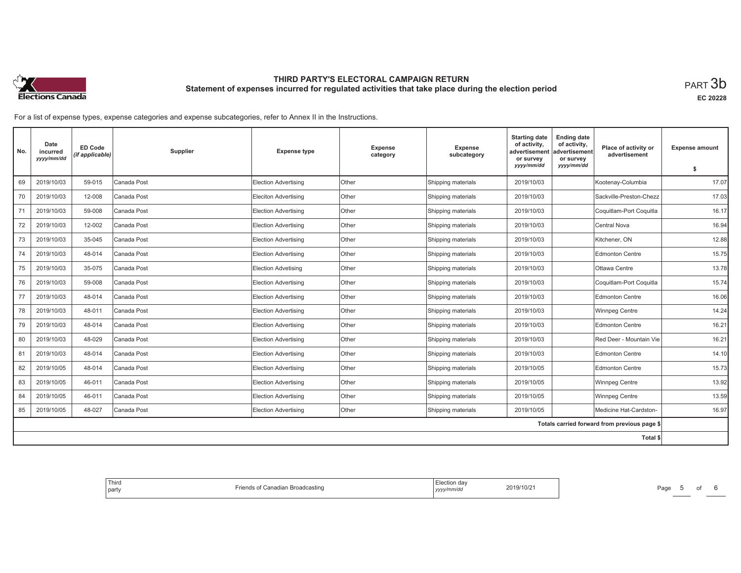

**EC 20228**

For a list of expense types, expense categories and expense subcategories, refer to Annex II in the Instructions.

| No.      | Date<br>incurred<br>yyyy/mm/dd | ED Code<br>(if applicable) | Supplier    | <b>Expense type</b>         | <b>Expense</b><br>category | Expense<br>subcategory | <b>Starting date</b><br>of activity,<br>advertisement<br>or survey<br>yyyy/mm/dd | <b>Ending date</b><br>of activity,<br>advertisement<br>or survey<br>yyyy/mm/dd | Place of activity or<br>advertisement        | <b>Expense amount</b><br>s. |
|----------|--------------------------------|----------------------------|-------------|-----------------------------|----------------------------|------------------------|----------------------------------------------------------------------------------|--------------------------------------------------------------------------------|----------------------------------------------|-----------------------------|
| 69       | 2019/10/03                     | 59-015                     | Canada Post | <b>Election Advertising</b> | Other                      | Shipping materials     | 2019/10/03                                                                       |                                                                                | Kootenay-Columbia                            | 17.07                       |
|          |                                |                            |             |                             |                            |                        |                                                                                  |                                                                                |                                              |                             |
| 70       | 2019/10/03                     | 12-008                     | Canada Post | Eleciton Advertising        | Other                      | Shipping materials     | 2019/10/03                                                                       |                                                                                | Sackville-Preston-Chezz                      | 17.03                       |
| 71       | 2019/10/03                     | 59-008                     | Canada Post | <b>Election Advertising</b> | Other                      | Shipping materials     | 2019/10/03                                                                       |                                                                                | Coquitlam-Port Coquitla                      | 16.17                       |
| 72       | 2019/10/03                     | 12-002                     | Canada Post | <b>Election Advertising</b> | Other                      | Shipping materials     | 2019/10/03                                                                       |                                                                                | Central Nova                                 | 16.94                       |
| 73       | 2019/10/03                     | 35-045                     | Canada Post | <b>Election Advertising</b> | <b>Other</b>               | Shipping materials     | 2019/10/03                                                                       |                                                                                | Kitchener, ON                                | 12.88                       |
| 74       | 2019/10/03                     | 48-014                     | Canada Post | <b>Election Advertising</b> | Other                      | Shipping materials     | 2019/10/03                                                                       |                                                                                | <b>Edmonton Centre</b>                       | 15.75                       |
| 75       | 2019/10/03                     | 35-075                     | Canada Post | <b>Election Advetising</b>  | Other                      | Shipping materials     | 2019/10/03                                                                       |                                                                                | Ottawa Centre                                | 13.78                       |
| 76       | 2019/10/03                     | 59-008                     | Canada Post | <b>Election Advertising</b> | Other                      | Shipping materials     | 2019/10/03                                                                       |                                                                                | Coquitlam-Port Coquitla                      | 15.74                       |
| 77       | 2019/10/03                     | 48-014                     | Canada Post | Election Advertising        | Other                      | Shipping materials     | 2019/10/03                                                                       |                                                                                | <b>Edmonton Centre</b>                       | 16.06                       |
| 78       | 2019/10/03                     | 48-011                     | Canada Post | <b>Election Advertising</b> | Other                      | Shipping materials     | 2019/10/03                                                                       |                                                                                | <b>Winnpeg Centre</b>                        | 14.24                       |
| 79       | 2019/10/03                     | 48-014                     | Canada Post | <b>Election Advertising</b> | <b>Other</b>               | Shipping materials     | 2019/10/03                                                                       |                                                                                | <b>Edmonton Centre</b>                       | 16.21                       |
| 80       | 2019/10/03                     | 48-029                     | Canada Post | Election Advertising        | Other                      | Shipping materials     | 2019/10/03                                                                       |                                                                                | Red Deer - Mountain Vie                      | 16.21                       |
| 81       | 2019/10/03                     | 48-014                     | Canada Post | <b>Election Advertising</b> | Other                      | Shipping materials     | 2019/10/03                                                                       |                                                                                | <b>Edmonton Centre</b>                       | 14.10                       |
| 82       | 2019/10/05                     | 48-014                     | Canada Post | <b>Election Advertising</b> | Other                      | Shipping materials     | 2019/10/05                                                                       |                                                                                | <b>Edmonton Centre</b>                       | 15.73                       |
| 83       | 2019/10/05                     | 46-011                     | Canada Post | Election Advertising        | <b>Other</b>               | Shipping materials     | 2019/10/05                                                                       |                                                                                | <b>Winnpeg Centre</b>                        | 13.92                       |
| 84       | 2019/10/05                     | 46-011                     | Canada Post | <b>Election Advertising</b> | Other                      | Shipping materials     | 2019/10/05                                                                       |                                                                                | <b>Winnpeg Centre</b>                        | 13.59                       |
| 85       | 2019/10/05                     | 48-027                     | Canada Post | <b>Election Advertising</b> | Other                      | Shipping materials     | 2019/10/05                                                                       |                                                                                | Medicine Hat-Cardston-                       | 16.97                       |
|          |                                |                            |             |                             |                            |                        |                                                                                  |                                                                                | Totals carried forward from previous page \$ |                             |
| Total \$ |                                |                            |             |                             |                            |                        |                                                                                  |                                                                                |                                              |                             |

| tion.<br>2019/10/21 | stina |
|---------------------|-------|
|---------------------|-------|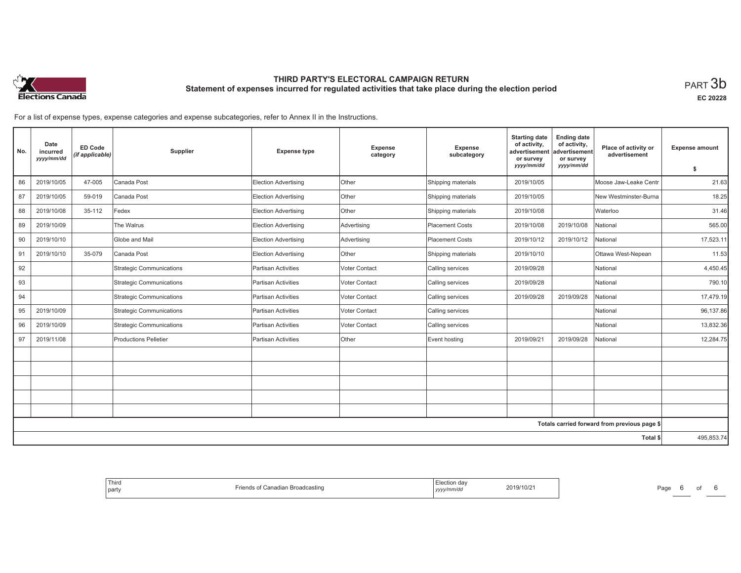

**EC 20228**

For a list of expense types, expense categories and expense subcategories, refer to Annex II in the Instructions.

| No. | Date<br>incurred<br>yyyy/mm/dd | <b>ED Code</b><br>(if applicable) | Supplier                        | <b>Expense type</b>         | Expense<br>category | Expense<br>subcategory | <b>Starting date</b><br>of activity,<br>advertisement<br>or survey<br>yyyy/mm/dd | <b>Ending date</b><br>of activity,<br>advertisement<br>or survey<br>yyyy/mm/dd | Place of activity or<br>advertisement        | <b>Expense amount</b><br>-S |
|-----|--------------------------------|-----------------------------------|---------------------------------|-----------------------------|---------------------|------------------------|----------------------------------------------------------------------------------|--------------------------------------------------------------------------------|----------------------------------------------|-----------------------------|
| 86  | 2019/10/05                     | 47-005                            | Canada Post                     | <b>Election Advertising</b> | <b>Other</b>        | Shipping materials     | 2019/10/05                                                                       |                                                                                | Moose Jaw-Leake Centr                        | 21.63                       |
| 87  | 2019/10/05                     | 59-019                            | Canada Post                     | <b>Election Advertising</b> | Other               | Shipping materials     | 2019/10/05                                                                       |                                                                                | New Westminster-Burna                        | 18.25                       |
| 88  | 2019/10/08                     | 35-112                            | Fedex                           | Election Advertising        | Other               | Shipping materials     | 2019/10/08                                                                       |                                                                                | Waterloo                                     | 31.46                       |
| 89  | 2019/10/09                     |                                   | The Walrus                      | <b>Election Advertising</b> | Advertising         | <b>Placement Costs</b> | 2019/10/08                                                                       | 2019/10/08                                                                     | National                                     | 565.00                      |
| 90  | 2019/10/10                     |                                   | Globe and Mail                  | <b>Election Advertising</b> | Advertising         | <b>Placement Costs</b> | 2019/10/12                                                                       | 2019/10/12                                                                     | National                                     | 17,523.11                   |
| 91  | 2019/10/10                     | 35-079                            | Canada Post                     | Election Advertising        | Other               | Shipping materials     | 2019/10/10                                                                       |                                                                                | Ottawa West-Nepean                           | 11.53                       |
| 92  |                                |                                   | <b>Strategic Communications</b> | <b>Partisan Activities</b>  | Voter Contact       | Calling services       | 2019/09/28                                                                       |                                                                                | National                                     | 4,450.45                    |
| 93  |                                |                                   | <b>Strategic Communications</b> | <b>Partisan Activities</b>  | Voter Contact       | Calling services       | 2019/09/28                                                                       |                                                                                | National                                     | 790.10                      |
| 94  |                                |                                   | <b>Strategic Communications</b> | Partisan Activities         | Voter Contact       | Calling services       | 2019/09/28                                                                       | 2019/09/28                                                                     | National                                     | 17,479.19                   |
| 95  | 2019/10/09                     |                                   | <b>Strategic Communications</b> | <b>Partisan Activities</b>  | Voter Contact       | Calling services       |                                                                                  |                                                                                | National                                     | 96,137.86                   |
| 96  | 2019/10/09                     |                                   | <b>Strategic Communications</b> | <b>Partisan Activities</b>  | Voter Contact       | Calling services       |                                                                                  |                                                                                | National                                     | 13,832.36                   |
| 97  | 2019/11/08                     |                                   | <b>Productions Pelletier</b>    | Partisan Activities         | Other               | Event hosting          | 2019/09/21                                                                       | 2019/09/28                                                                     | National                                     | 12.284.75                   |
|     |                                |                                   |                                 |                             |                     |                        |                                                                                  |                                                                                |                                              |                             |
|     |                                |                                   |                                 |                             |                     |                        |                                                                                  |                                                                                |                                              |                             |
|     |                                |                                   |                                 |                             |                     |                        |                                                                                  |                                                                                |                                              |                             |
|     |                                |                                   |                                 |                             |                     |                        |                                                                                  |                                                                                |                                              |                             |
|     |                                |                                   |                                 |                             |                     |                        |                                                                                  |                                                                                |                                              |                             |
|     |                                |                                   |                                 |                             |                     |                        |                                                                                  |                                                                                | Totals carried forward from previous page \$ |                             |
|     |                                |                                   |                                 |                             |                     |                        |                                                                                  |                                                                                | Total \$                                     | 495,853.74                  |

| ection day<br>2019/10/21<br>. Canadian Broadcasting<br>$r1 \cap r$<br>Tienus o<br>yyyy/mm/dd | Third<br>party |
|----------------------------------------------------------------------------------------------|----------------|
|----------------------------------------------------------------------------------------------|----------------|